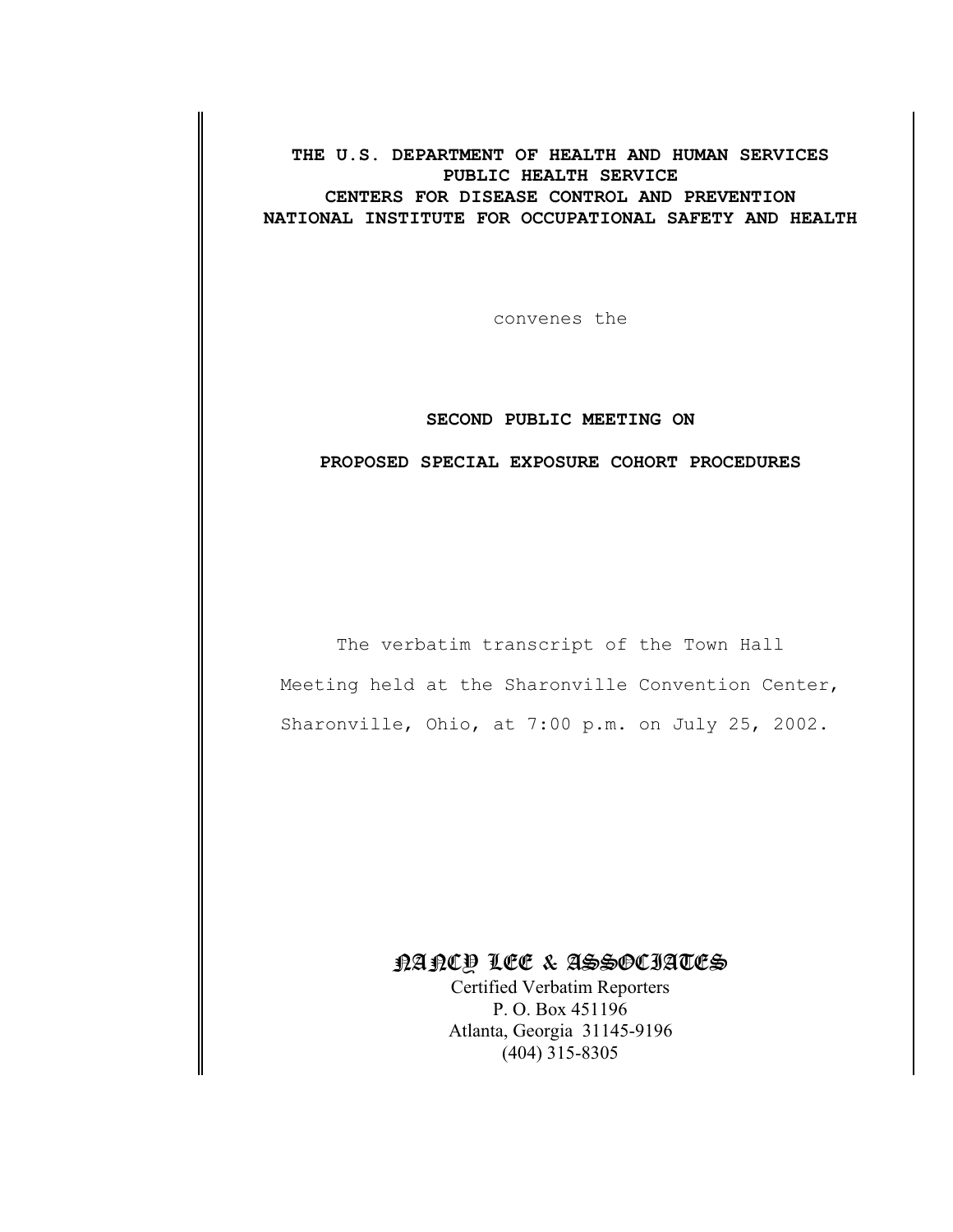**THE U.S. DEPARTMENT OF HEALTH AND HUMAN SERVICES PUBLIC HEALTH SERVICE CENTERS FOR DISEASE CONTROL AND PREVENTION NATIONAL INSTITUTE FOR OCCUPATIONAL SAFETY AND HEALTH**

convenes the

## **SECOND PUBLIC MEETING ON**

## **PROPOSED SPECIAL EXPOSURE COHORT PROCEDURES**

The verbatim transcript of the Town Hall Meeting held at the Sharonville Convention Center, Sharonville, Ohio, at 7:00 p.m. on July 25, 2002.

## NANCY LEE & ASSOCIATES

Certified Verbatim Reporters P. O. Box 451196 Atlanta, Georgia 31145-9196 (404) 315-8305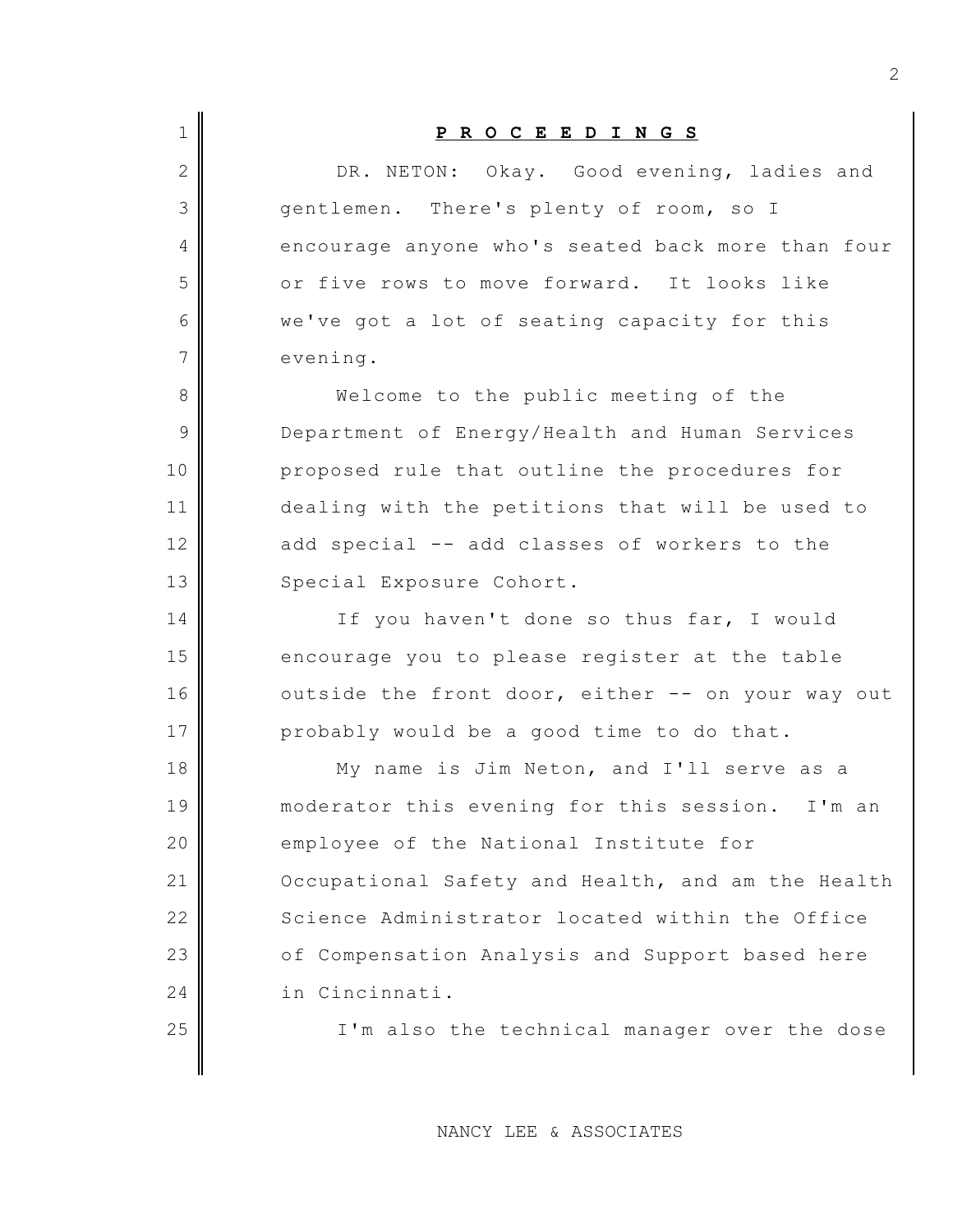| $\mathbf{2}$<br>3<br>gentlemen. There's plenty of room, so I<br>4<br>5<br>or five rows to move forward. It looks like<br>we've got a lot of seating capacity for this<br>6<br>7<br>evening.<br>8<br>Welcome to the public meeting of the<br>9<br>Department of Energy/Health and Human Services<br>10<br>proposed rule that outline the procedures for<br>11<br>12<br>add special -- add classes of workers to the<br>13<br>Special Exposure Cohort.<br>14<br>If you haven't done so thus far, I would<br>15<br>encourage you to please register at the table<br>16<br>17<br>probably would be a good time to do that.<br>18<br>My name is Jim Neton, and I'll serve as a<br>19<br>20<br>employee of the National Institute for<br>21<br>22<br>23<br>24<br>in Cincinnati. | $\mathbf 1$ | PROCEEDINGS                                       |
|---------------------------------------------------------------------------------------------------------------------------------------------------------------------------------------------------------------------------------------------------------------------------------------------------------------------------------------------------------------------------------------------------------------------------------------------------------------------------------------------------------------------------------------------------------------------------------------------------------------------------------------------------------------------------------------------------------------------------------------------------------------------------|-------------|---------------------------------------------------|
|                                                                                                                                                                                                                                                                                                                                                                                                                                                                                                                                                                                                                                                                                                                                                                           |             | DR. NETON: Okay. Good evening, ladies and         |
|                                                                                                                                                                                                                                                                                                                                                                                                                                                                                                                                                                                                                                                                                                                                                                           |             |                                                   |
|                                                                                                                                                                                                                                                                                                                                                                                                                                                                                                                                                                                                                                                                                                                                                                           |             | encourage anyone who's seated back more than four |
|                                                                                                                                                                                                                                                                                                                                                                                                                                                                                                                                                                                                                                                                                                                                                                           |             |                                                   |
|                                                                                                                                                                                                                                                                                                                                                                                                                                                                                                                                                                                                                                                                                                                                                                           |             |                                                   |
|                                                                                                                                                                                                                                                                                                                                                                                                                                                                                                                                                                                                                                                                                                                                                                           |             |                                                   |
|                                                                                                                                                                                                                                                                                                                                                                                                                                                                                                                                                                                                                                                                                                                                                                           |             |                                                   |
|                                                                                                                                                                                                                                                                                                                                                                                                                                                                                                                                                                                                                                                                                                                                                                           |             |                                                   |
|                                                                                                                                                                                                                                                                                                                                                                                                                                                                                                                                                                                                                                                                                                                                                                           |             |                                                   |
|                                                                                                                                                                                                                                                                                                                                                                                                                                                                                                                                                                                                                                                                                                                                                                           |             | dealing with the petitions that will be used to   |
|                                                                                                                                                                                                                                                                                                                                                                                                                                                                                                                                                                                                                                                                                                                                                                           |             |                                                   |
|                                                                                                                                                                                                                                                                                                                                                                                                                                                                                                                                                                                                                                                                                                                                                                           |             |                                                   |
|                                                                                                                                                                                                                                                                                                                                                                                                                                                                                                                                                                                                                                                                                                                                                                           |             |                                                   |
|                                                                                                                                                                                                                                                                                                                                                                                                                                                                                                                                                                                                                                                                                                                                                                           |             |                                                   |
|                                                                                                                                                                                                                                                                                                                                                                                                                                                                                                                                                                                                                                                                                                                                                                           |             | outside the front door, either -- on your way out |
|                                                                                                                                                                                                                                                                                                                                                                                                                                                                                                                                                                                                                                                                                                                                                                           |             |                                                   |
|                                                                                                                                                                                                                                                                                                                                                                                                                                                                                                                                                                                                                                                                                                                                                                           |             |                                                   |
|                                                                                                                                                                                                                                                                                                                                                                                                                                                                                                                                                                                                                                                                                                                                                                           |             | moderator this evening for this session. I'm an   |
|                                                                                                                                                                                                                                                                                                                                                                                                                                                                                                                                                                                                                                                                                                                                                                           |             |                                                   |
|                                                                                                                                                                                                                                                                                                                                                                                                                                                                                                                                                                                                                                                                                                                                                                           |             | Occupational Safety and Health, and am the Health |
|                                                                                                                                                                                                                                                                                                                                                                                                                                                                                                                                                                                                                                                                                                                                                                           |             | Science Administrator located within the Office   |
|                                                                                                                                                                                                                                                                                                                                                                                                                                                                                                                                                                                                                                                                                                                                                                           |             | of Compensation Analysis and Support based here   |
|                                                                                                                                                                                                                                                                                                                                                                                                                                                                                                                                                                                                                                                                                                                                                                           |             |                                                   |
| 25                                                                                                                                                                                                                                                                                                                                                                                                                                                                                                                                                                                                                                                                                                                                                                        |             | I'm also the technical manager over the dose      |

NANCY LEE & ASSOCIATES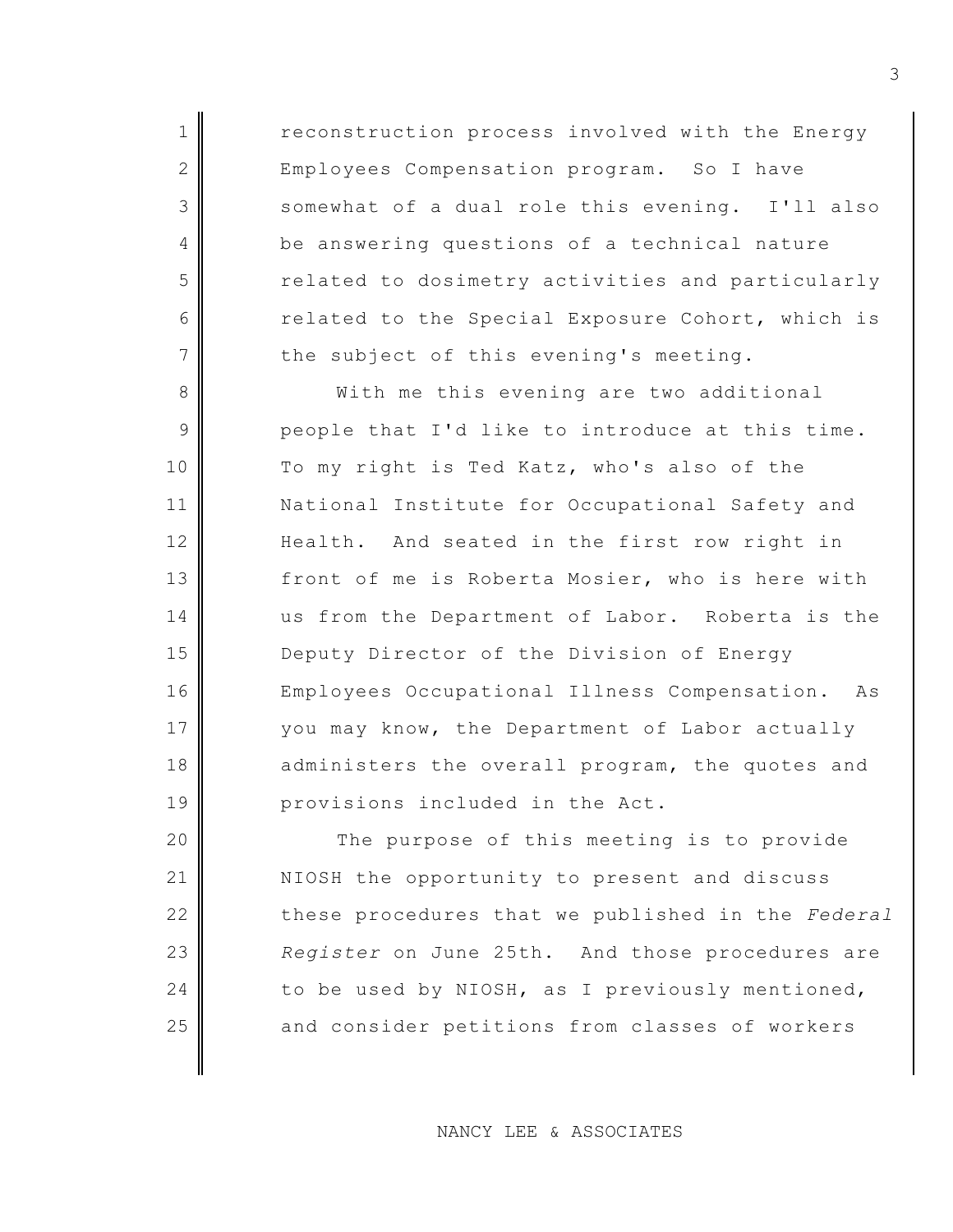1 reconstruction process involved with the Energy 2 Employees Compensation program. So I have 3 somewhat of a dual role this evening. I'll also 4 be answering questions of a technical nature 5 characeleric related to dosimetry activities and particularly 6 related to the Special Exposure Cohort, which is  $7$  the subject of this evening's meeting.

8 With me this evening are two additional  $9 \parallel$  people that I'd like to introduce at this time. 10 To my right is Ted Katz, who's also of the 11 | National Institute for Occupational Safety and 12 Health. And seated in the first row right in 13 front of me is Roberta Mosier, who is here with 14 us from the Department of Labor. Roberta is the 15 Deputy Director of the Division of Energy 16 Employees Occupational Illness Compensation. As 17 | vou may know, the Department of Labor actually 18 administers the overall program, the quotes and 19 provisions included in the Act.

20 The purpose of this meeting is to provide 21 NIOSH the opportunity to present and discuss 22 these procedures that we published in the *Federal* 23 *Register* on June 25th. And those procedures are 24 to be used by NIOSH, as I previously mentioned, 25 and consider petitions from classes of workers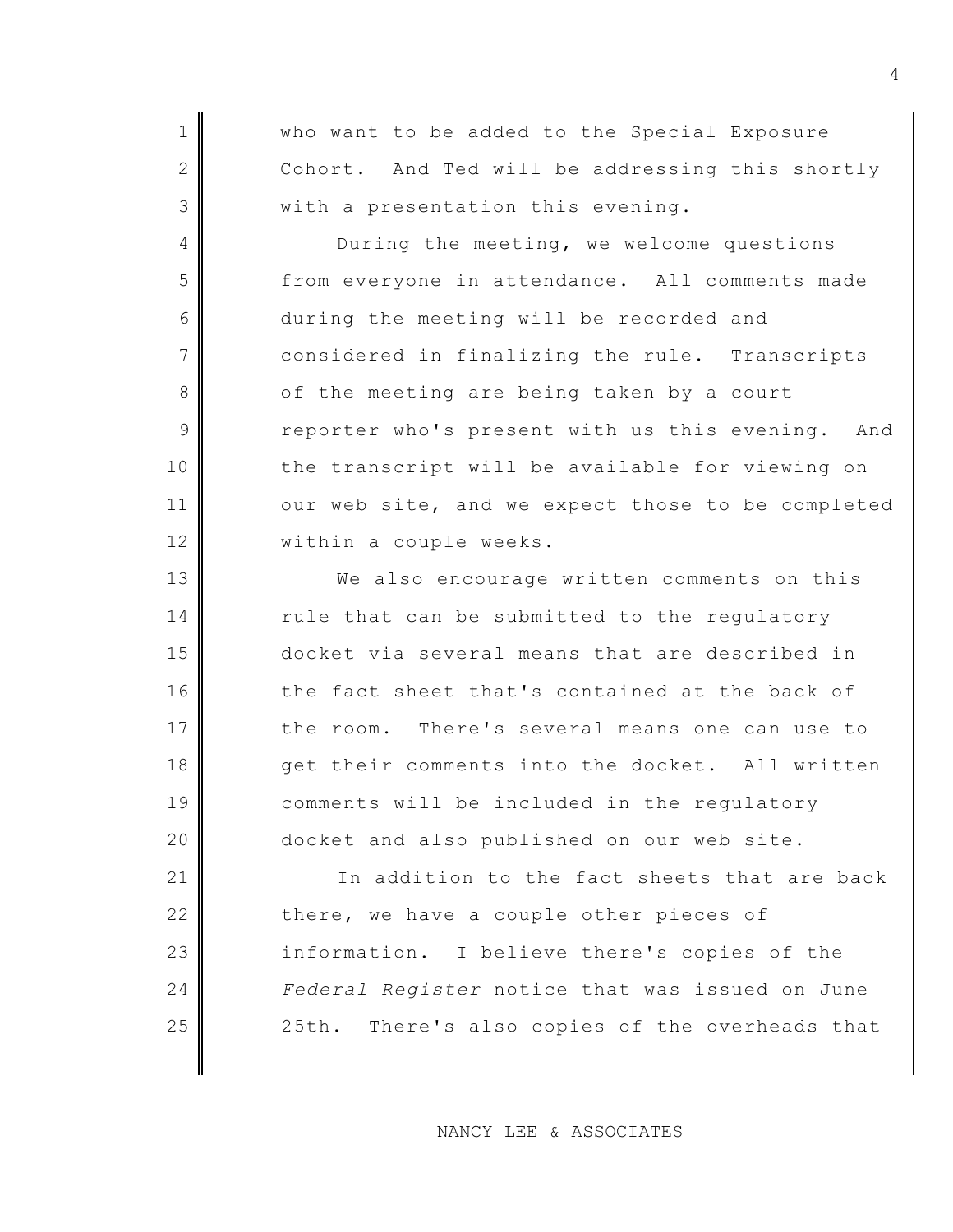1 Who want to be added to the Special Exposure 2 Cohort. And Ted will be addressing this shortly  $3$  with a presentation this evening.

4 During the meeting, we welcome questions 5 from everyone in attendance. All comments made 6 during the meeting will be recorded and 7 considered in finalizing the rule. Transcripts 8 of the meeting are being taken by a court 9 reporter who's present with us this evening. And 10 the transcript will be available for viewing on 11 our web site, and we expect those to be completed 12 | within a couple weeks.

13 We also encourage written comments on this  $14$  rule that can be submitted to the regulatory 15 docket via several means that are described in 16 the fact sheet that's contained at the back of 17 the room. There's several means one can use to 18 get their comments into the docket. All written 19 comments will be included in the regulatory 20 docket and also published on our web site.

21 In addition to the fact sheets that are back 22 there, we have a couple other pieces of 23 information. I believe there's copies of the 24 *Federal Register* notice that was issued on June 25 | 25th. There's also copies of the overheads that

NANCY LEE & ASSOCIATES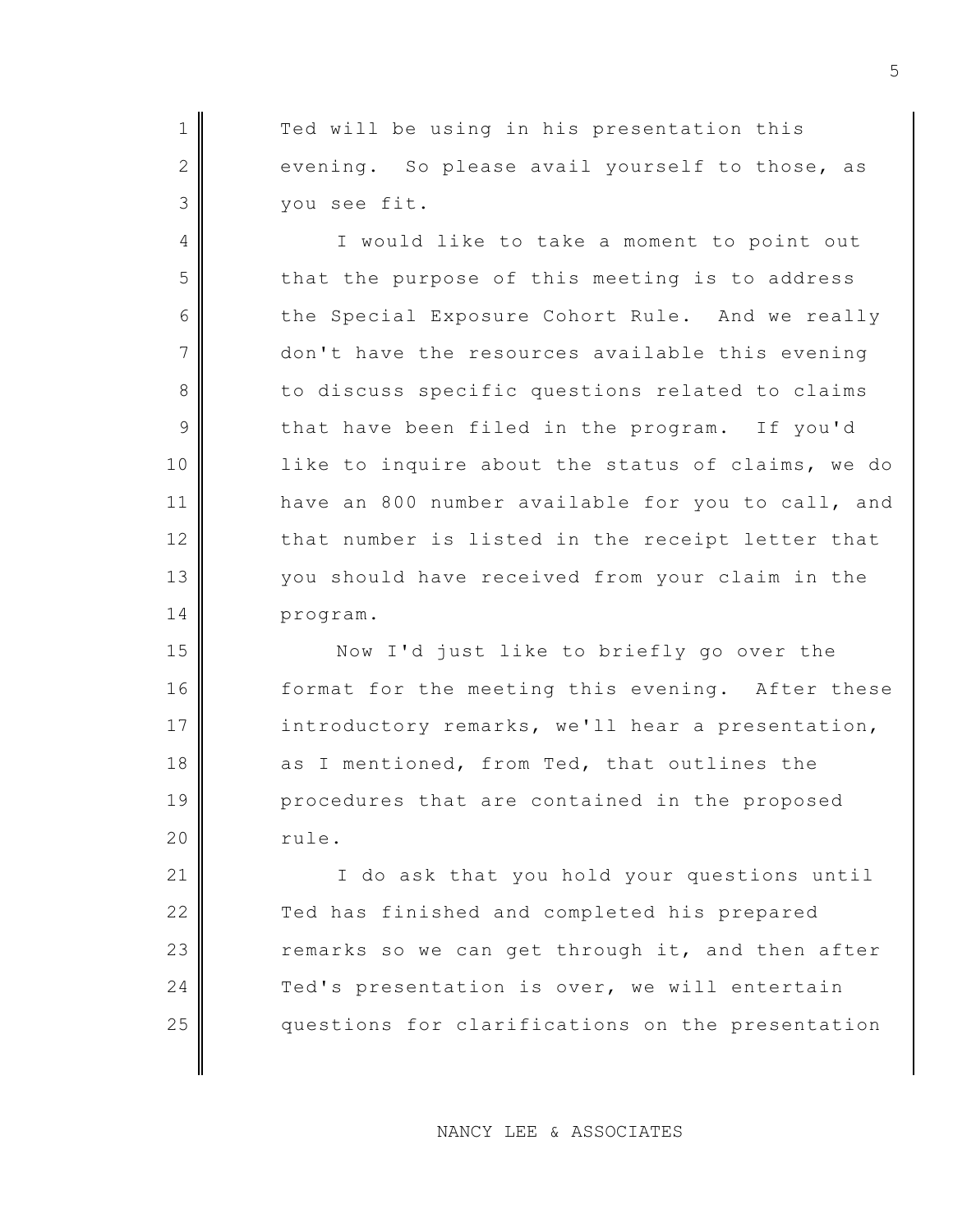1 Ted will be using in his presentation this  $2$  evening. So please avail yourself to those, as 3 you see fit.

4 I would like to take a moment to point out 5 that the purpose of this meeting is to address 6 the Special Exposure Cohort Rule. And we really 7 don't have the resources available this evening 8 to discuss specific questions related to claims 9 that have been filed in the program. If you'd 10 like to inquire about the status of claims, we do 11 have an 800 number available for you to call, and  $12$  that number is listed in the receipt letter that 13 you should have received from your claim in the 14 program.

15 Now I'd just like to briefly go over the 16 format for the meeting this evening. After these 17 introductory remarks, we'll hear a presentation, 18 as I mentioned, from Ted, that outlines the 19 procedures that are contained in the proposed 20 rule.

21 | The ask that you hold your questions until 22 Ted has finished and completed his prepared  $23$  remarks so we can get through it, and then after 24 Ted's presentation is over, we will entertain 25 questions for clarifications on the presentation

NANCY LEE & ASSOCIATES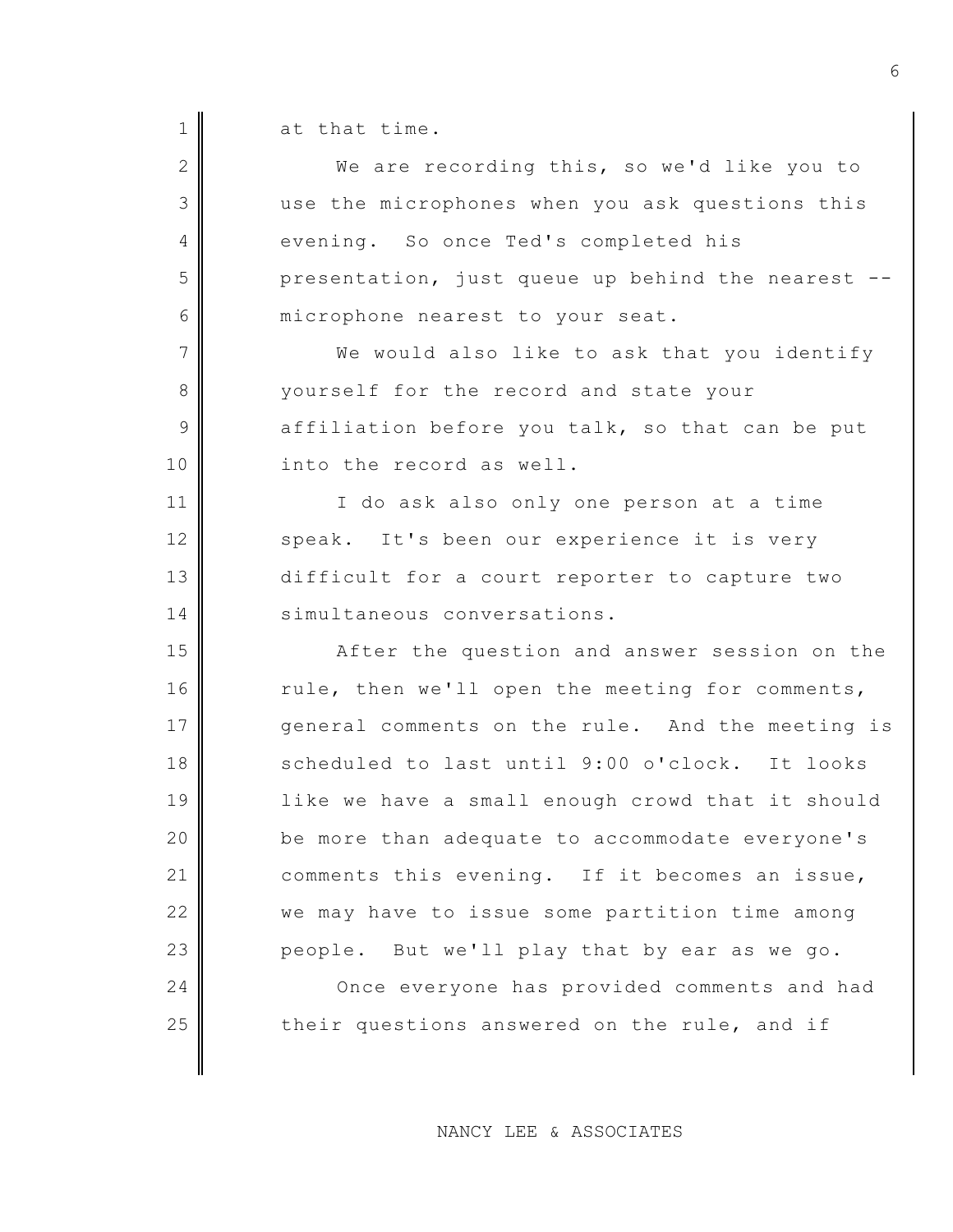$1 \parallel$  at that time.

| $\overline{2}$ | We are recording this, so we'd like you to       |
|----------------|--------------------------------------------------|
| 3              | use the microphones when you ask questions this  |
| 4              | evening. So once Ted's completed his             |
| 5              | presentation, just queue up behind the nearest   |
| 6              | microphone nearest to your seat.                 |
| 7              | We would also like to ask that you identify      |
| 8              | yourself for the record and state your           |
| 9              | affiliation before you talk, so that can be put  |
| 10             | into the record as well.                         |
| 11             | I do ask also only one person at a time          |
| 12             | speak. It's been our experience it is very       |
| 13             | difficult for a court reporter to capture two    |
| 14             | simultaneous conversations.                      |
| 15             | After the question and answer session on the     |
| 16             | rule, then we'll open the meeting for comments,  |
| 17             | general comments on the rule. And the meeting is |
| 18             | scheduled to last until 9:00 o'clock. It looks   |
| 19             | like we have a small enough crowd that it should |
| 20             | be more than adequate to accommodate everyone's  |
| 21             | comments this evening. If it becomes an issue,   |
| 22             | we may have to issue some partition time among   |
| 23             | people. But we'll play that by ear as we go.     |
| 24             | Once everyone has provided comments and had      |
| 25             | their questions answered on the rule, and if     |
|                |                                                  |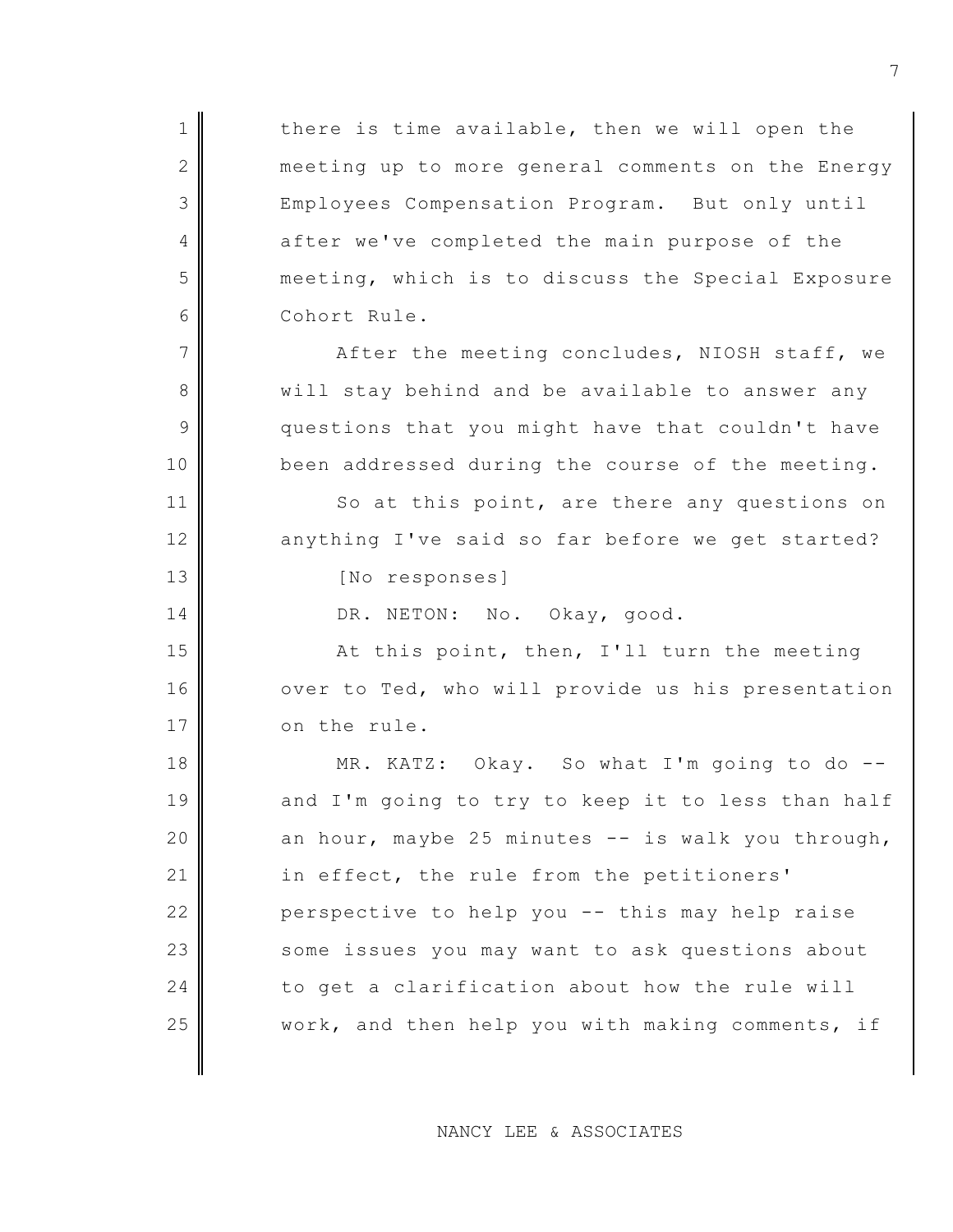$1$  there is time available, then we will open the 2 meeting up to more general comments on the Energy 3 Employees Compensation Program. But only until 4 after we've completed the main purpose of the 5 meeting, which is to discuss the Special Exposure 6 Cohort Rule.  $7$   $\parallel$  After the meeting concludes, NIOSH staff, we 8 will stay behind and be available to answer any  $9$  questions that you might have that couldn't have 10 been addressed during the course of the meeting. 11 So at this point, are there any questions on 12 anything I've said so far before we get started? 13 No responses] 14 DR. NETON: No. Okay, good. 15 At this point, then, I'll turn the meeting 16 over to Ted, who will provide us his presentation 17 on the rule. 18 MR. KATZ: Okay. So what I'm going to do --19 and I'm going to try to keep it to less than half 20  $\parallel$  an hour, maybe 25 minutes -- is walk you through, 21 in effect, the rule from the petitioners' 22 perspective to help you -- this may help raise 23 some issues you may want to ask questions about  $24$  to get a clarification about how the rule will 25 work, and then help you with making comments, if

NANCY LEE & ASSOCIATES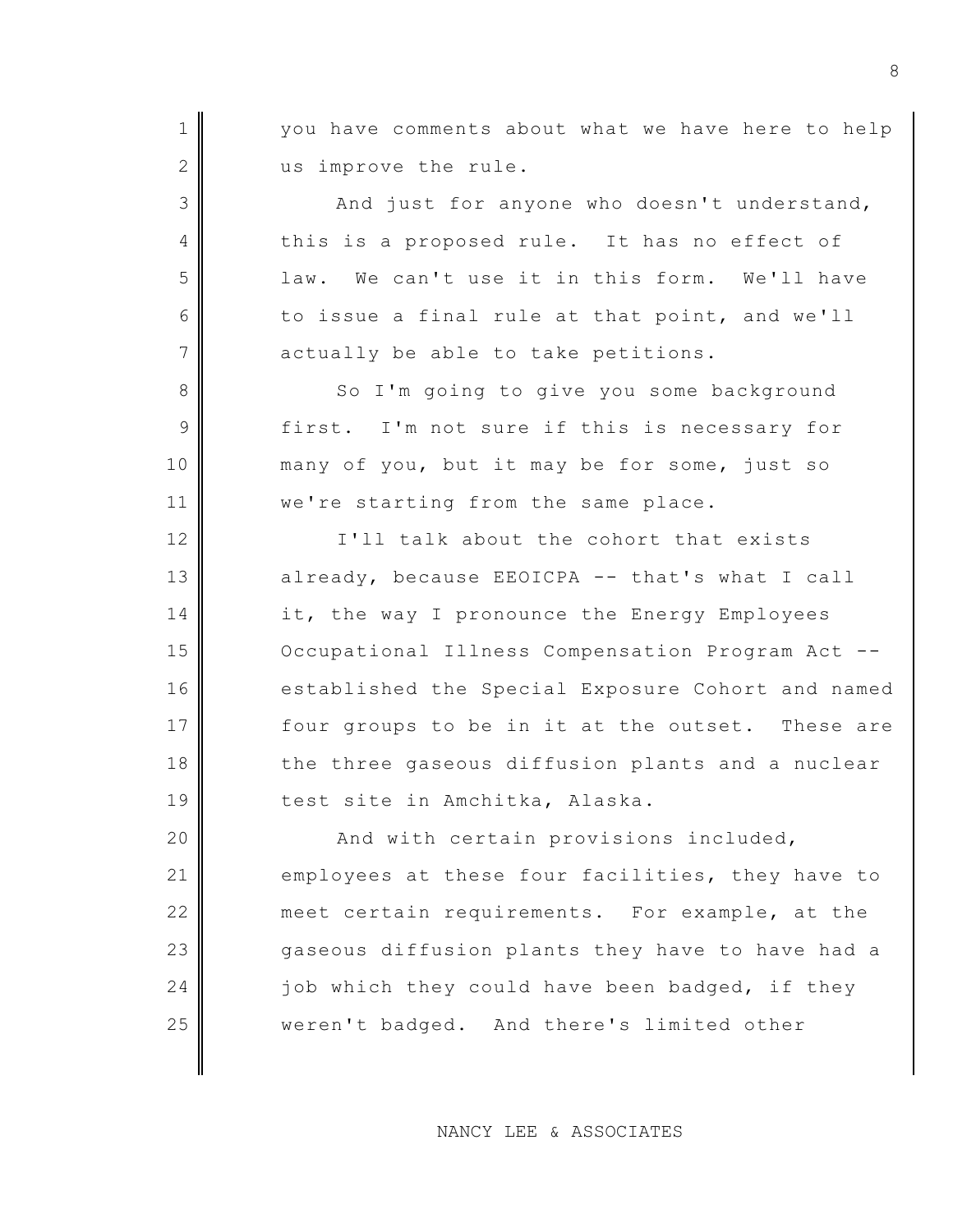1 || vou have comments about what we have here to help 2 us improve the rule. 3 And just for anyone who doesn't understand, 4 this is a proposed rule. It has no effect of 5 and 1 am. We can't use it in this form. We'll have 6 to issue a final rule at that point, and we'll  $7$  actually be able to take petitions. 8 So I'm going to give you some background 9 first. I'm not sure if this is necessary for 10 many of you, but it may be for some, just so 11 | we're starting from the same place. 12 IVII talk about the cohort that exists 13 already, because EEOICPA -- that's what I call 14 it, the way I pronounce the Energy Employees 15 | Occupational Illness Compensation Program Act --16 established the Special Exposure Cohort and named 17 four groups to be in it at the outset. These are 18 the three gaseous diffusion plants and a nuclear 19 test site in Amchitka, Alaska. 20 || And with certain provisions included, 21 employees at these four facilities, they have to 22 meet certain requirements. For example, at the 23 gaseous diffusion plants they have to have had a 24  $\parallel$  job which they could have been badged, if they 25 weren't badged. And there's limited other

NANCY LEE & ASSOCIATES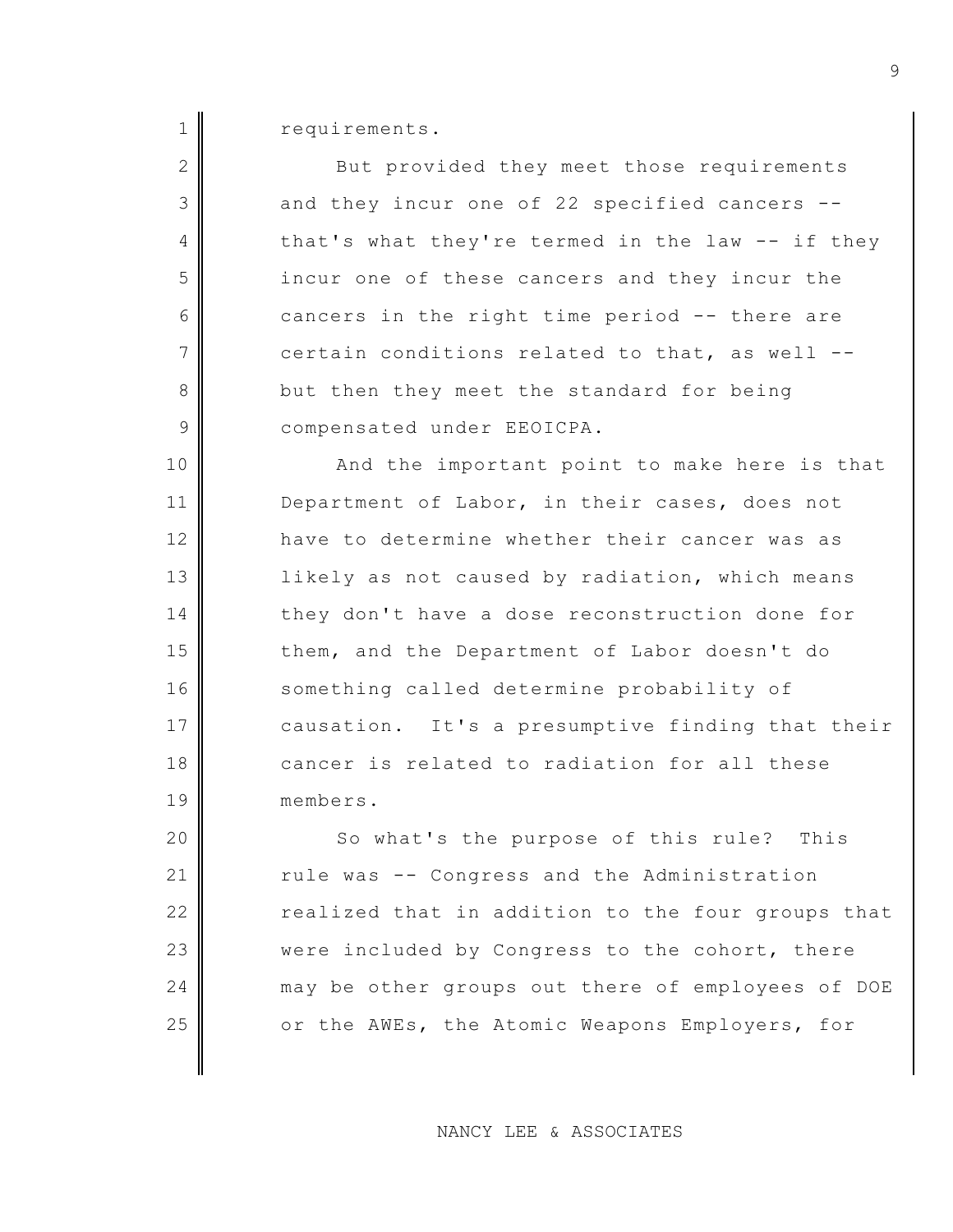1 requirements.

2 But provided they meet those requirements 3 and they incur one of 22 specified cancers --4 that's what they're termed in the law -- if they 5 incur one of these cancers and they incur the 6 cancers in the right time period -- there are  $7$  certain conditions related to that, as well --8 but then they meet the standard for being 9 **Compensated under EEOICPA.** 

10 And the important point to make here is that 11 Department of Labor, in their cases, does not 12 have to determine whether their cancer was as 13 likely as not caused by radiation, which means 14 they don't have a dose reconstruction done for 15 them, and the Department of Labor doesn't do 16 something called determine probability of 17 causation. It's a presumptive finding that their 18 cancer is related to radiation for all these 19 members.

20 || So what's the purpose of this rule? This 21 rule was -- Congress and the Administration 22 realized that in addition to the four groups that 23 were included by Congress to the cohort, there 24 may be other groups out there of employees of DOE 25 or the AWEs, the Atomic Weapons Employers, for

NANCY LEE & ASSOCIATES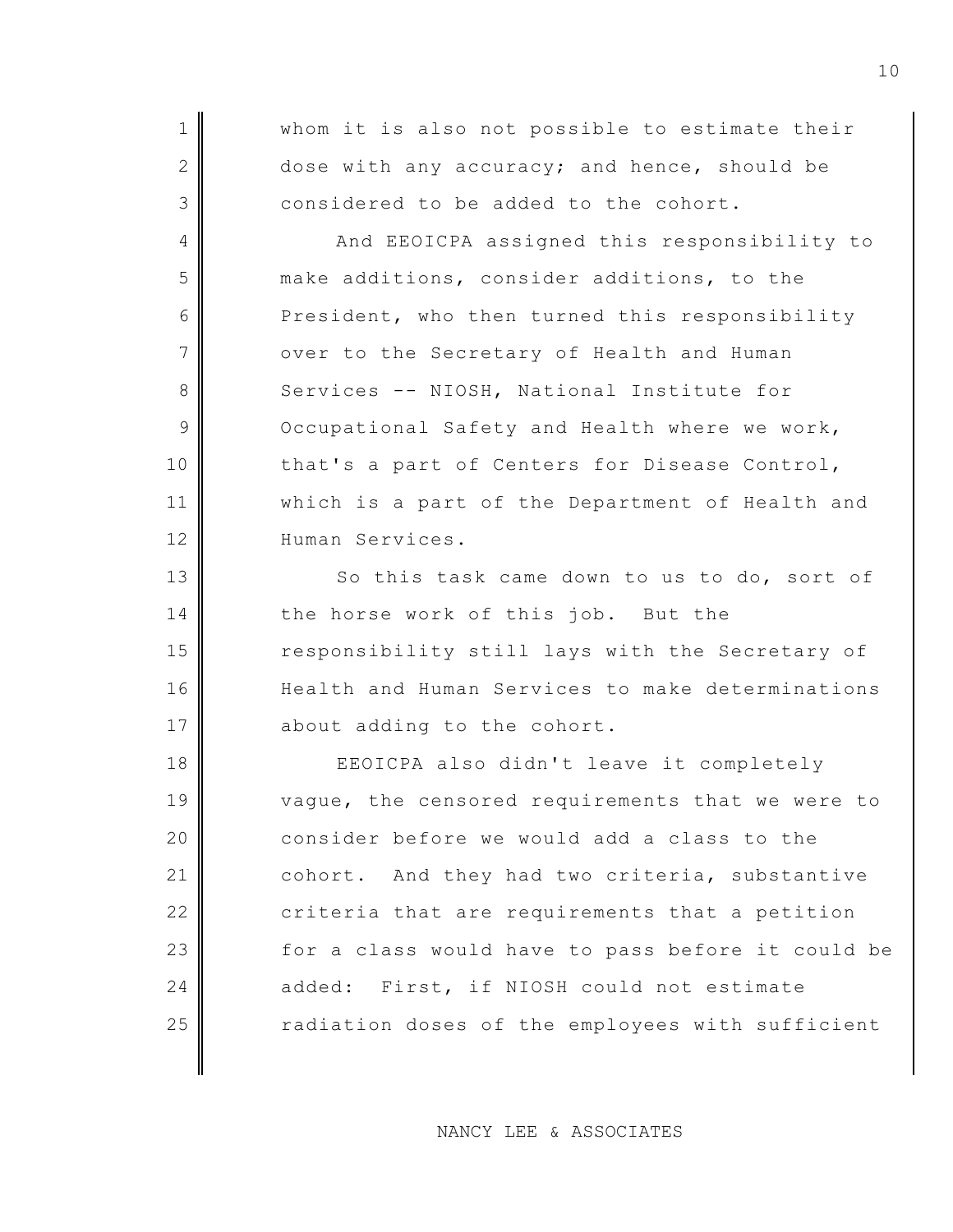| $\mathbf 1$    | whom it is also not possible to estimate their    |
|----------------|---------------------------------------------------|
| $\mathbf{2}$   | dose with any accuracy; and hence, should be      |
| 3              | considered to be added to the cohort.             |
| 4              | And EEOICPA assigned this responsibility to       |
| 5              | make additions, consider additions, to the        |
| 6              | President, who then turned this responsibility    |
| $\overline{7}$ | over to the Secretary of Health and Human         |
| $8\,$          | Services -- NIOSH, National Institute for         |
| $\mathsf 9$    | Occupational Safety and Health where we work,     |
| 10             | that's a part of Centers for Disease Control,     |
| 11             | which is a part of the Department of Health and   |
| 12             | Human Services.                                   |
| 13             | So this task came down to us to do, sort of       |
| 14             | the horse work of this job. But the               |
| 15             | responsibility still lays with the Secretary of   |
| 16             | Health and Human Services to make determinations  |
| 17             | about adding to the cohort.                       |
| 18             | EEOICPA also didn't leave it completely           |
| 19             | vague, the censored requirements that we were to  |
| 20             | consider before we would add a class to the       |
| 21             | cohort. And they had two criteria, substantive    |
| 22             | criteria that are requirements that a petition    |
| 23             | for a class would have to pass before it could be |
| 24             | added: First, if NIOSH could not estimate         |
| 25             | radiation doses of the employees with sufficient  |

NANCY LEE & ASSOCIATES

 $\parallel$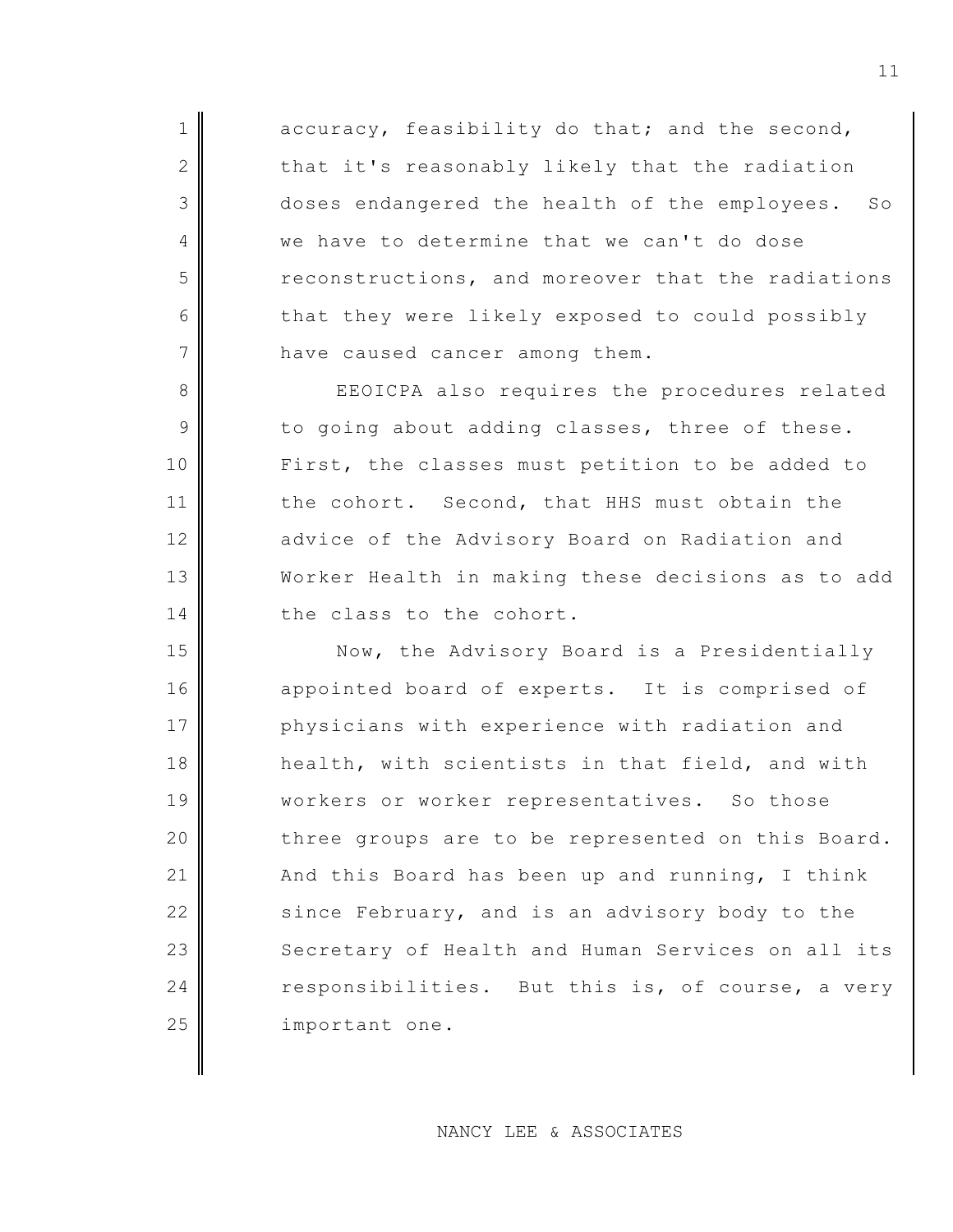$1$  accuracy, feasibility do that; and the second,  $2$  that it's reasonably likely that the radiation 3 doses endangered the health of the employees. So 4 we have to determine that we can't do dose 5 reconstructions, and moreover that the radiations 6 that they were likely exposed to could possibly  $7$  have caused cancer among them.

8 EEOICPA also requires the procedures related  $9$  to going about adding classes, three of these. 10 First, the classes must petition to be added to 11 the cohort. Second, that HHS must obtain the 12 advice of the Advisory Board on Radiation and 13 Worker Health in making these decisions as to add 14 the class to the cohort.

15 Now, the Advisory Board is a Presidentially 16 appointed board of experts. It is comprised of 17 physicians with experience with radiation and 18 health, with scientists in that field, and with 19 || workers or worker representatives. So those  $20$  three groups are to be represented on this Board. 21  $\parallel$  And this Board has been up and running, I think 22 since February, and is an advisory body to the 23 Secretary of Health and Human Services on all its 24 responsibilities. But this is, of course, a very 25 | important one.

NANCY LEE & ASSOCIATES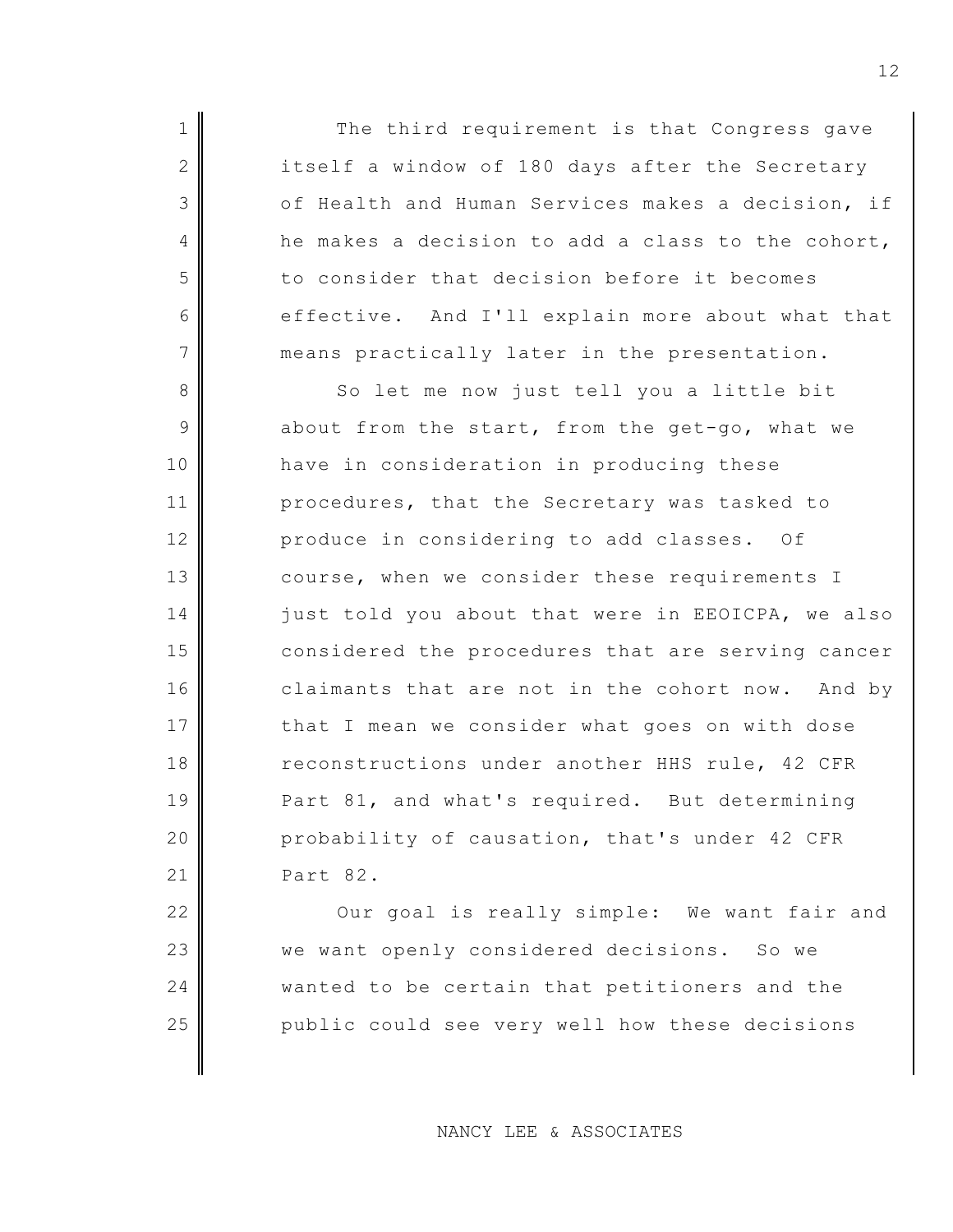1 The third requirement is that Congress gave 2 itself a window of 180 days after the Secretary 3 of Health and Human Services makes a decision, if  $4 \parallel$  he makes a decision to add a class to the cohort, 5 to consider that decision before it becomes 6 effective. And I'll explain more about what that 7 means practically later in the presentation.

8 So let me now just tell you a little bit  $9$  about from the start, from the get-go, what we 10 have in consideration in producing these 11 procedures, that the Secretary was tasked to 12 produce in considering to add classes. Of 13 course, when we consider these requirements I 14 just told you about that were in EEOICPA, we also 15 considered the procedures that are serving cancer 16 claimants that are not in the cohort now. And by 17 that I mean we consider what goes on with dose 18 reconstructions under another HHS rule, 42 CFR 19 Part 81, and what's required. But determining 20 probability of causation, that's under 42 CFR 21 Part 82.

22 || Our goal is really simple: We want fair and 23 we want openly considered decisions. So we 24 || wanted to be certain that petitioners and the 25 public could see very well how these decisions

NANCY LEE & ASSOCIATES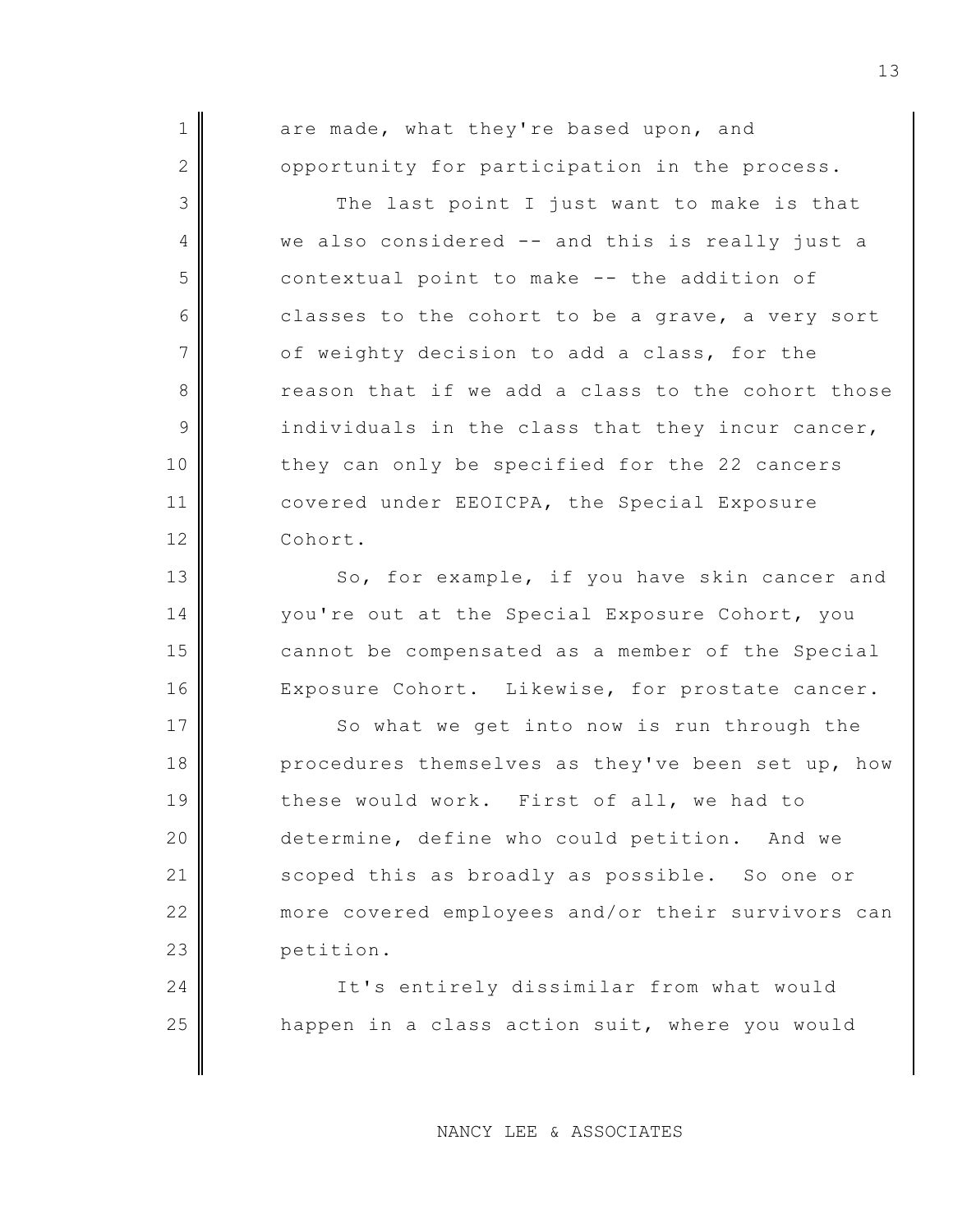1 are made, what they're based upon, and  $2$  opportunity for participation in the process. 3 The last point I just want to make is that 4 we also considered -- and this is really just a 5 contextual point to make -- the addition of  $6 \parallel$  classes to the cohort to be a grave, a very sort  $7$  of weighty decision to add a class, for the 8 a **reason** that if we add a class to the cohort those  $9$  individuals in the class that they incur cancer, 10 they can only be specified for the 22 cancers 11 covered under EEOICPA, the Special Exposure 12 Cohort. 13 So, for example, if you have skin cancer and 14 you're out at the Special Exposure Cohort, you 15 cannot be compensated as a member of the Special 16 Exposure Cohort. Likewise, for prostate cancer.

17 So what we get into now is run through the 18 procedures themselves as they've been set up, how 19 these would work. First of all, we had to 20 determine, define who could petition. And we 21 scoped this as broadly as possible. So one or 22 more covered employees and/or their survivors can 23 petition.

24 | It's entirely dissimilar from what would 25 **h** happen in a class action suit, where you would

NANCY LEE & ASSOCIATES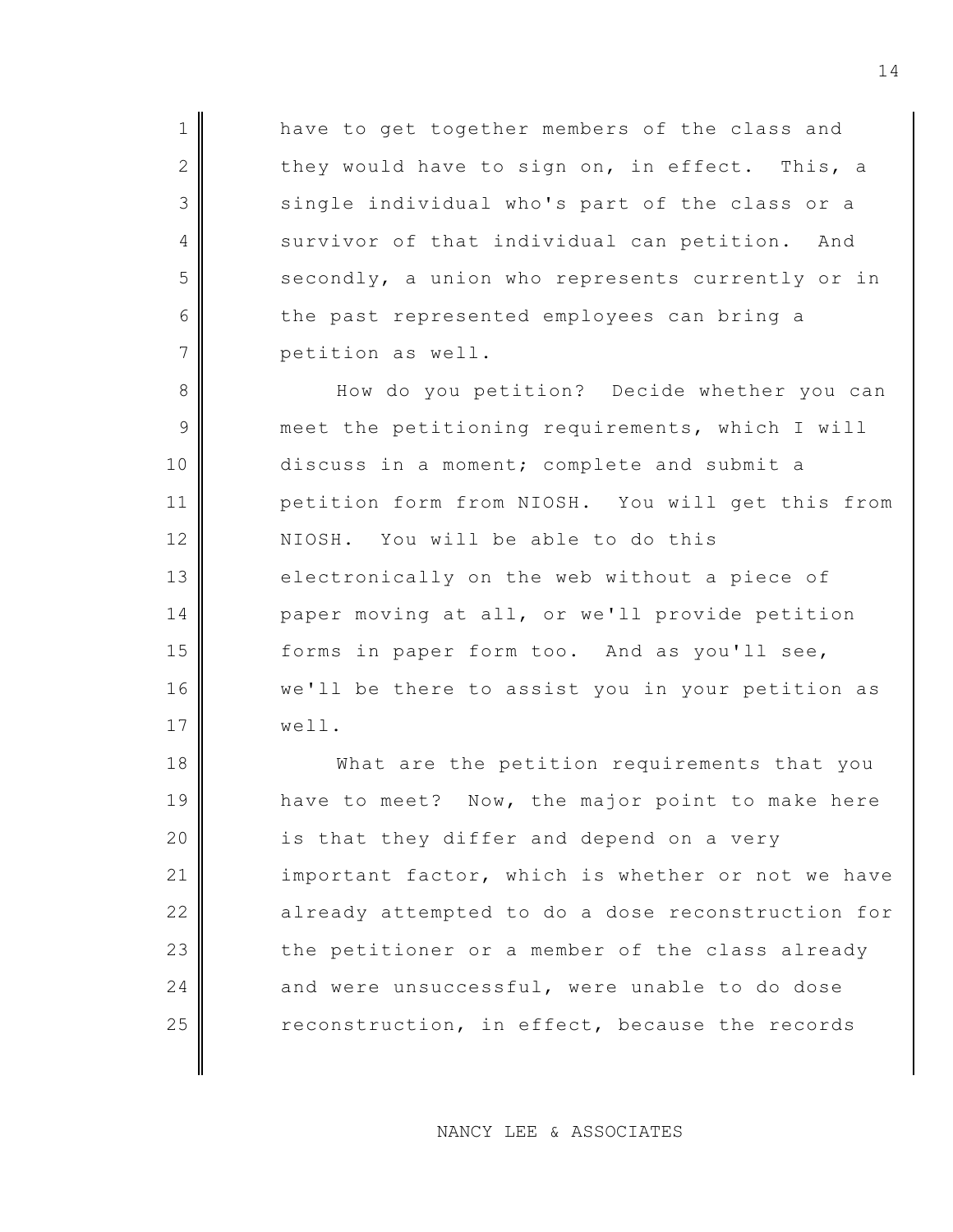1 have to get together members of the class and  $2$  they would have to sign on, in effect. This, a  $3$  single individual who's part of the class or a 4 Survivor of that individual can petition. And  $5$  secondly, a union who represents currently or in 6 the past represented employees can bring a 7 petition as well.

8 How do you petition? Decide whether you can 9 meet the petitioning requirements, which I will 10 discuss in a moment; complete and submit a 11 petition form from NIOSH. You will get this from 12 NIOSH. You will be able to do this 13 electronically on the web without a piece of 14 paper moving at all, or we'll provide petition 15 forms in paper form too. And as you'll see, 16 we'll be there to assist you in your petition as 17 well.

18 What are the petition requirements that you 19 have to meet? Now, the major point to make here  $20$  is that they differ and depend on a very 21 important factor, which is whether or not we have 22 already attempted to do a dose reconstruction for  $23$  the petitioner or a member of the class already 24  $\parallel$  and were unsuccessful, were unable to do dose 25 reconstruction, in effect, because the records

NANCY LEE & ASSOCIATES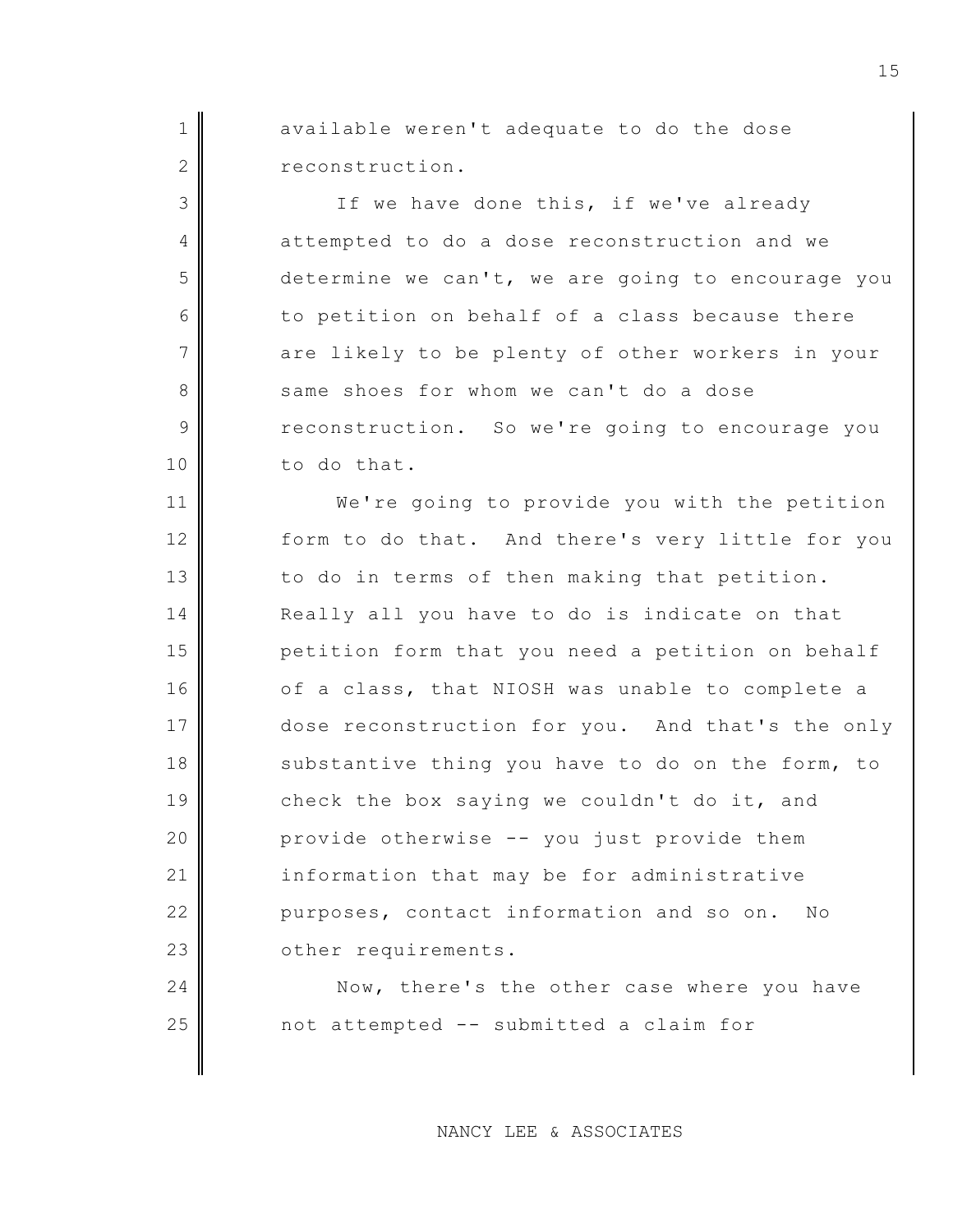1 available weren't adequate to do the dose 2 reconstruction.

3 If we have done this, if we've already 4 attempted to do a dose reconstruction and we  $5$  determine we can't, we are going to encourage you 6 to petition on behalf of a class because there  $7$  are likely to be plenty of other workers in your 8 same shoes for whom we can't do a dose 9 reconstruction. So we're going to encourage you 10 to do that.

11 We're going to provide you with the petition 12 form to do that. And there's very little for you 13 to do in terms of then making that petition. 14 Really all you have to do is indicate on that 15 petition form that you need a petition on behalf 16 of a class, that NIOSH was unable to complete a 17 dose reconstruction for you. And that's the only 18 substantive thing you have to do on the form, to 19 check the box saying we couldn't do it, and 20 **provide otherwise -- you just provide them** 21 information that may be for administrative 22 purposes, contact information and so on. No 23 **O**ther requirements.

24 Now, there's the other case where you have 25 not attempted -- submitted a claim for

NANCY LEE & ASSOCIATES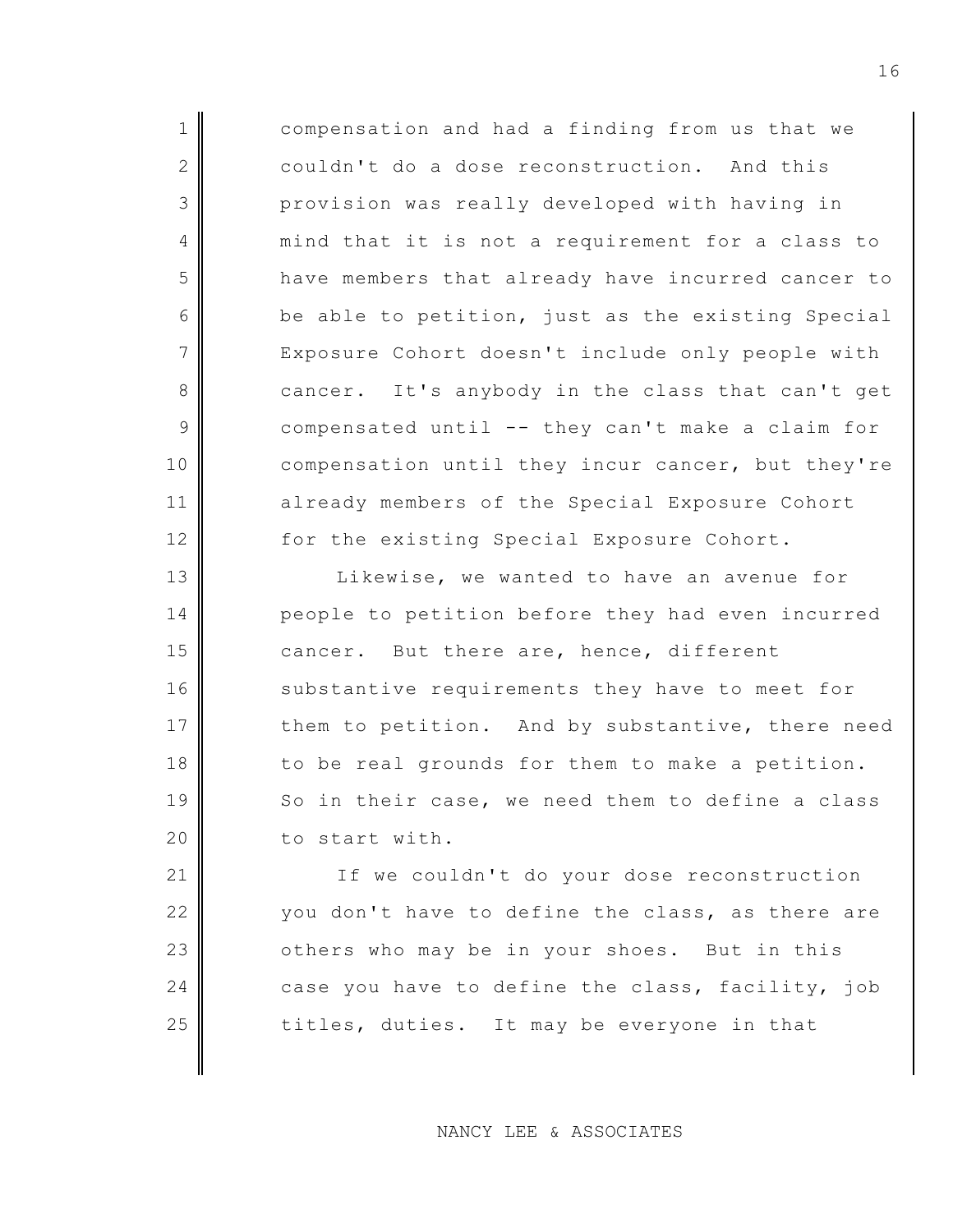1 compensation and had a finding from us that we 2 couldn't do a dose reconstruction. And this 3 provision was really developed with having in 4 mind that it is not a requirement for a class to 5 have members that already have incurred cancer to  $6 \parallel$  be able to petition, just as the existing Special 7 Exposure Cohort doesn't include only people with 8 cancer. It's anybody in the class that can't get 9 compensated until -- they can't make a claim for 10 compensation until they incur cancer, but they're 11 already members of the Special Exposure Cohort 12 for the existing Special Exposure Cohort.

13 Likewise, we wanted to have an avenue for 14 people to petition before they had even incurred 15 cancer. But there are, hence, different 16 substantive requirements they have to meet for 17 them to petition. And by substantive, there need 18 to be real grounds for them to make a petition. 19 So in their case, we need them to define a class 20 to start with.

21 If we couldn't do your dose reconstruction 22 you don't have to define the class, as there are  $23$  |  $\phantom{1}$  others who may be in your shoes. But in this 24 case you have to define the class, facility, job  $25$   $\parallel$  titles, duties. It may be everyone in that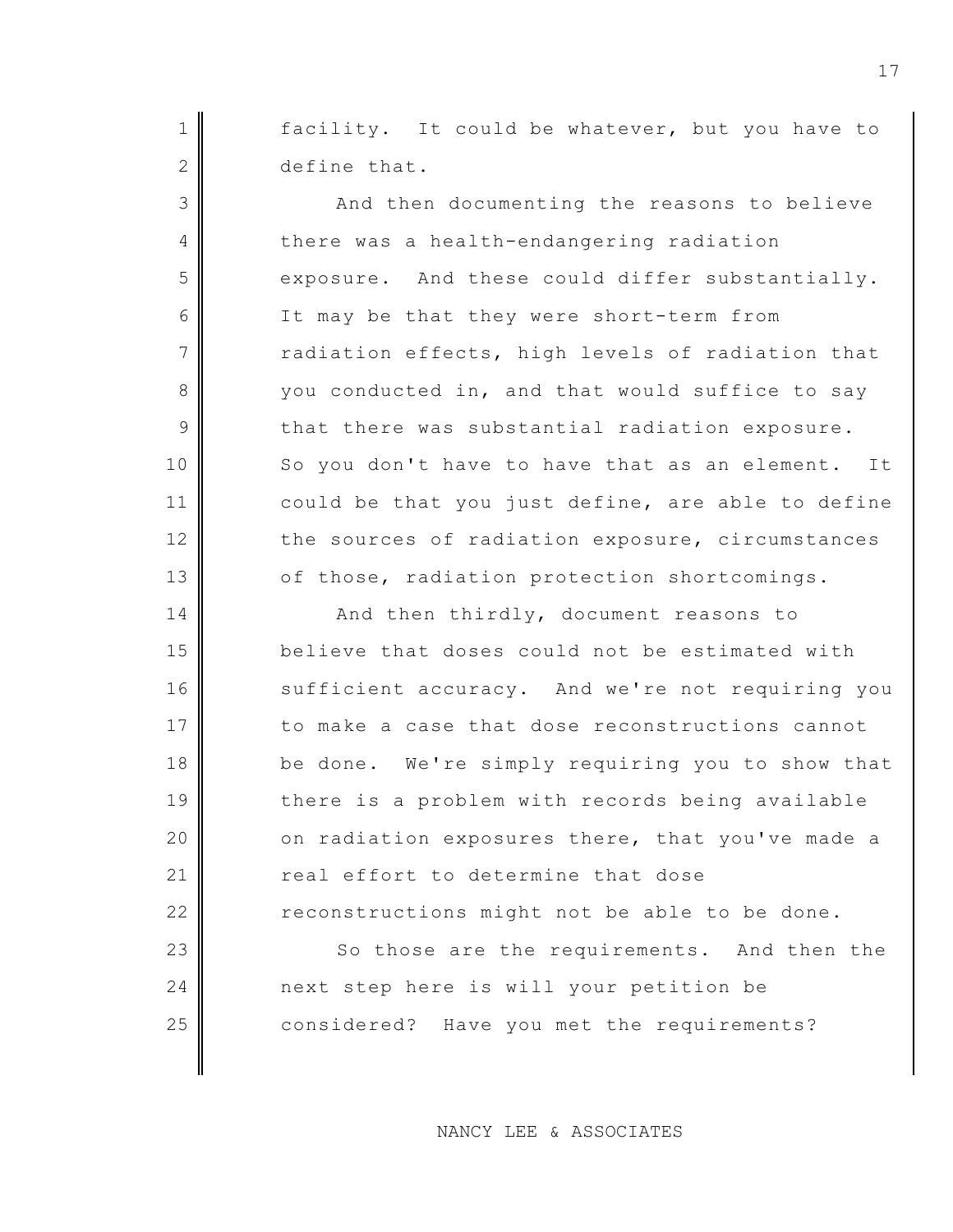$1$  facility. It could be whatever, but you have to 2 define that.

3 And then documenting the reasons to believe 4 there was a health-endangering radiation  $5$  exposure. And these could differ substantially. 6 It may be that they were short-term from  $7$   $\parallel$  radiation effects, high levels of radiation that 8 you conducted in, and that would suffice to say  $9$  that there was substantial radiation exposure. 10 So you don't have to have that as an element. It 11 could be that you just define, are able to define 12 the sources of radiation exposure, circumstances 13 of those, radiation protection shortcomings.

14 And then thirdly, document reasons to 15 believe that doses could not be estimated with 16 sufficient accuracy. And we're not requiring you 17 to make a case that dose reconstructions cannot 18 be done. We're simply requiring you to show that 19 there is a problem with records being available  $20$  on radiation exposures there, that you've made a 21 real effort to determine that dose  $22$  reconstructions might not be able to be done.

23 So those are the requirements. And then the 24 next step here is will your petition be 25 considered? Have you met the requirements?

NANCY LEE & ASSOCIATES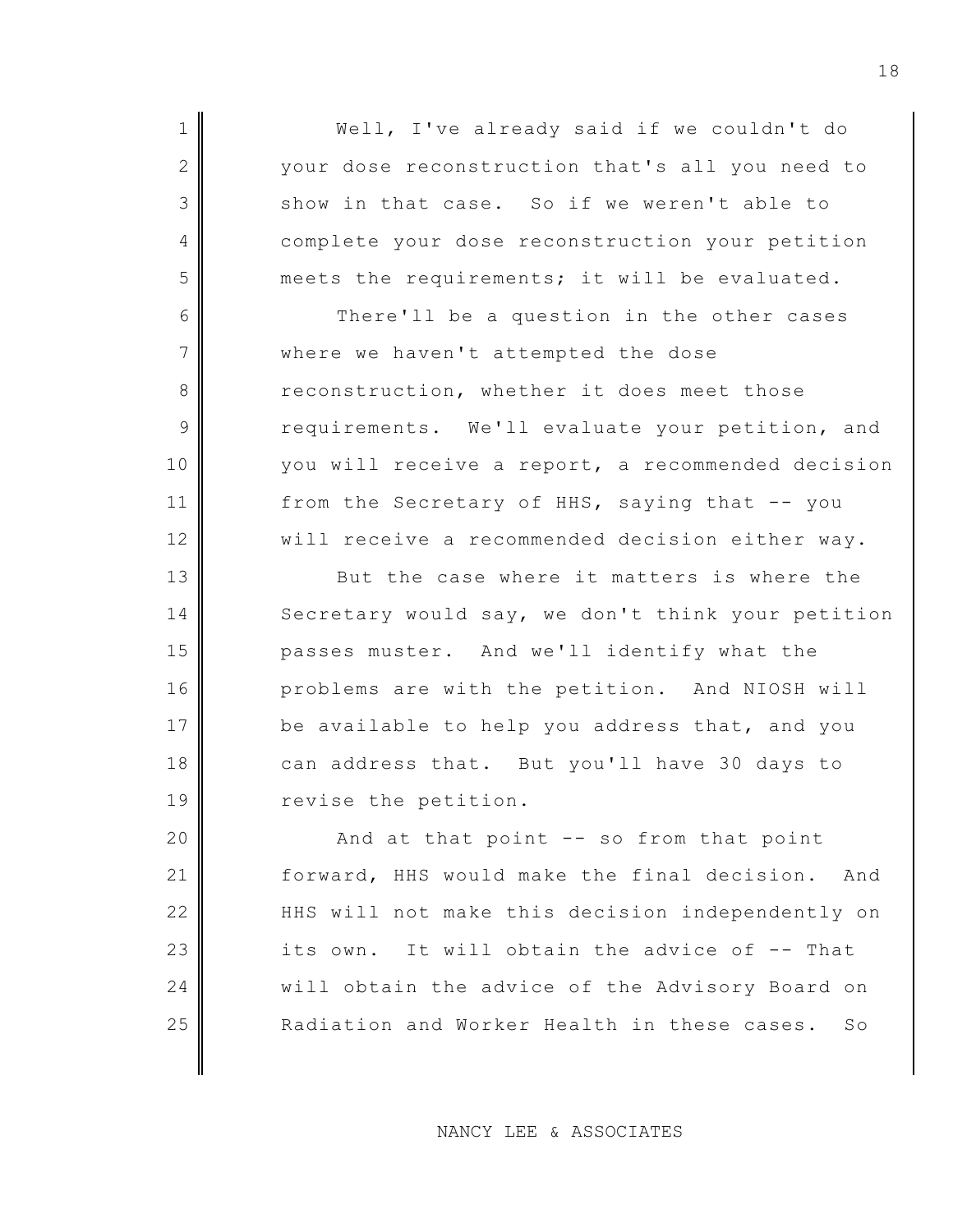1 || Well, I've already said if we couldn't do 2 your dose reconstruction that's all you need to  $3$  show in that case. So if we weren't able to 4 complete your dose reconstruction your petition  $5$  meets the requirements; it will be evaluated.

6 There'll be a question in the other cases 7 where we haven't attempted the dose 8 reconstruction, whether it does meet those 9 requirements. We'll evaluate your petition, and 10 you will receive a report, a recommended decision 11 from the Secretary of HHS, saying that -- you 12 | will receive a recommended decision either way.

13 But the case where it matters is where the 14 Secretary would say, we don't think your petition 15 | passes muster. And we'll identify what the 16 problems are with the petition. And NIOSH will 17 be available to help you address that, and you 18 can address that. But you'll have 30 days to 19 revise the petition.

 $\parallel$  And at that point -- so from that point forward, HHS would make the final decision. And HHS will not make this decision independently on its own. It will obtain the advice of  $-$ - That 24 will obtain the advice of the Advisory Board on **Radiation and Worker Health in these cases.** So

NANCY LEE & ASSOCIATES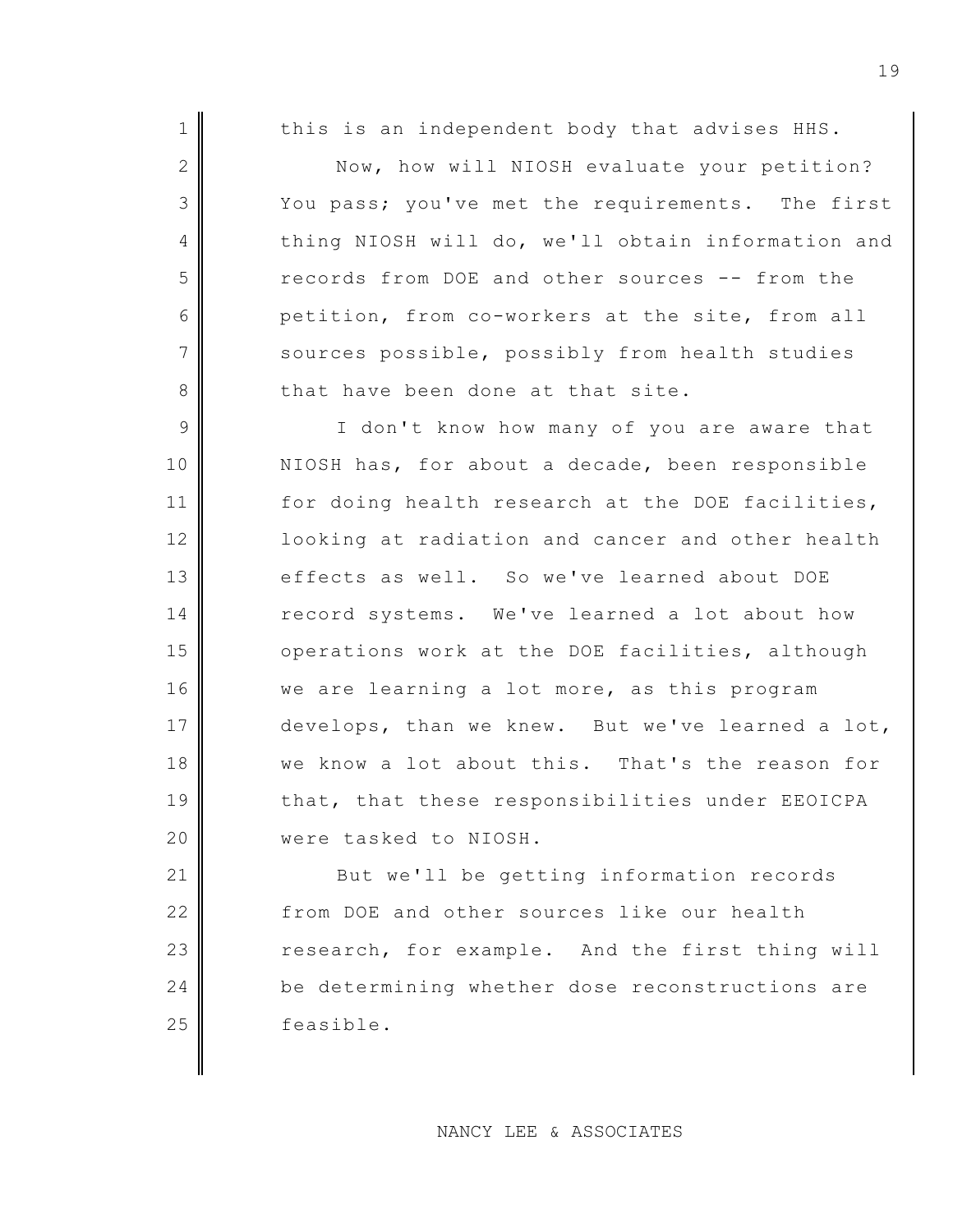|  | 1 I |  |  | this is an independent body that advises HHS. |  |  |  |  |  |
|--|-----|--|--|-----------------------------------------------|--|--|--|--|--|
|--|-----|--|--|-----------------------------------------------|--|--|--|--|--|

2 Now, how will NIOSH evaluate your petition? 3 You pass; you've met the requirements. The first 4 thing NIOSH will do, we'll obtain information and 5 records from DOE and other sources -- from the 6 petition, from co-workers at the site, from all 7 sources possible, possibly from health studies 8 that have been done at that site.

9 || I don't know how many of you are aware that 10 NIOSH has, for about a decade, been responsible 11 for doing health research at the DOE facilities, 12 **looking at radiation and cancer and other health** 13 effects as well. So we've learned about DOE 14 record systems. We've learned a lot about how 15 operations work at the DOE facilities, although 16 we are learning a lot more, as this program 17 develops, than we knew. But we've learned a lot, 18 we know a lot about this. That's the reason for 19 that, that these responsibilities under EEOICPA 20 **were tasked to NIOSH.** 

21 But we'll be getting information records 22 from DOE and other sources like our health 23 research, for example. And the first thing will 24 be determining whether dose reconstructions are 25 deep feasible.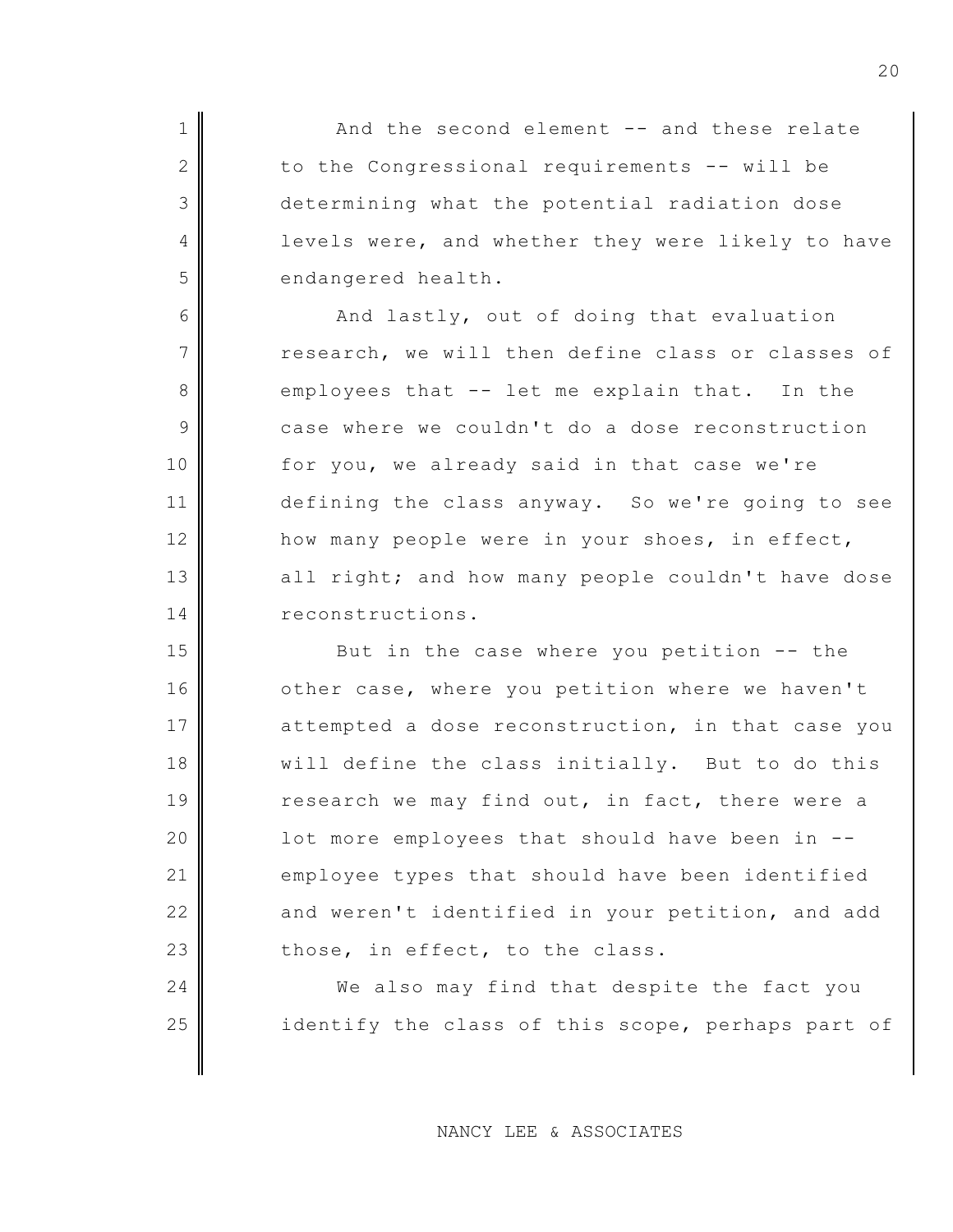1 And the second element -- and these relate 2 to the Congressional requirements -- will be 3 determining what the potential radiation dose 4 levels were, and whether they were likely to have 5 endangered health.

6 And lastly, out of doing that evaluation  $7$   $\parallel$  research, we will then define class or classes of 8 employees that -- let me explain that. In the 9 case where we couldn't do a dose reconstruction 10 for you, we already said in that case we're 11 defining the class anyway. So we're going to see 12 how many people were in your shoes, in effect, 13 all right; and how many people couldn't have dose 14 reconstructions.

15 But in the case where you petition -- the 16 other case, where you petition where we haven't 17 attempted a dose reconstruction, in that case you 18 || will define the class initially. But to do this 19 research we may find out, in fact, there were a 20  $\parallel$  1 ot more employees that should have been in  $-$ 21 employee types that should have been identified 22 and weren't identified in your petition, and add  $23$  those, in effect, to the class.

24 We also may find that despite the fact you 25 identify the class of this scope, perhaps part of

NANCY LEE & ASSOCIATES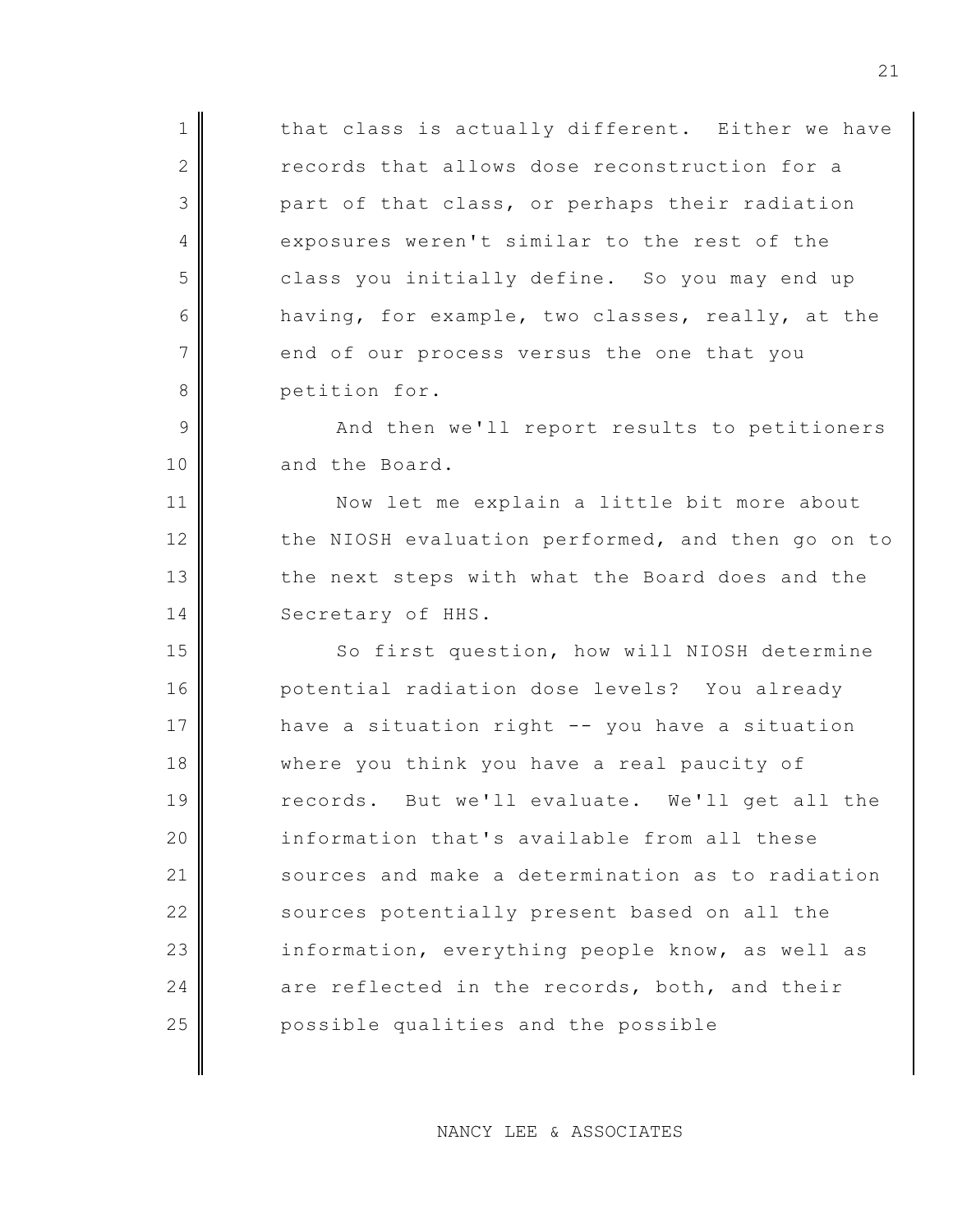$1$  that class is actually different. Either we have 2 records that allows dose reconstruction for a 3 part of that class, or perhaps their radiation 4 exposures weren't similar to the rest of the 5 class you initially define. So you may end up 6 having, for example, two classes, really, at the 7 end of our process versus the one that you 8 || petition for. 9 And then we'll report results to petitioners 10 and the Board. 11 Now let me explain a little bit more about 12 the NIOSH evaluation performed, and then go on to 13 the next steps with what the Board does and the 14 Secretary of HHS. 15 So first question, how will NIOSH determine 16 | potential radiation dose levels? You already 17 have a situation right -- you have a situation 18 where you think you have a real paucity of 19 records. But we'll evaluate. We'll get all the 20 information that's available from all these 21 sources and make a determination as to radiation 22 sources potentially present based on all the 23 information, everything people know, as well as 24  $\parallel$  are reflected in the records, both, and their 25 possible qualities and the possible

NANCY LEE & ASSOCIATES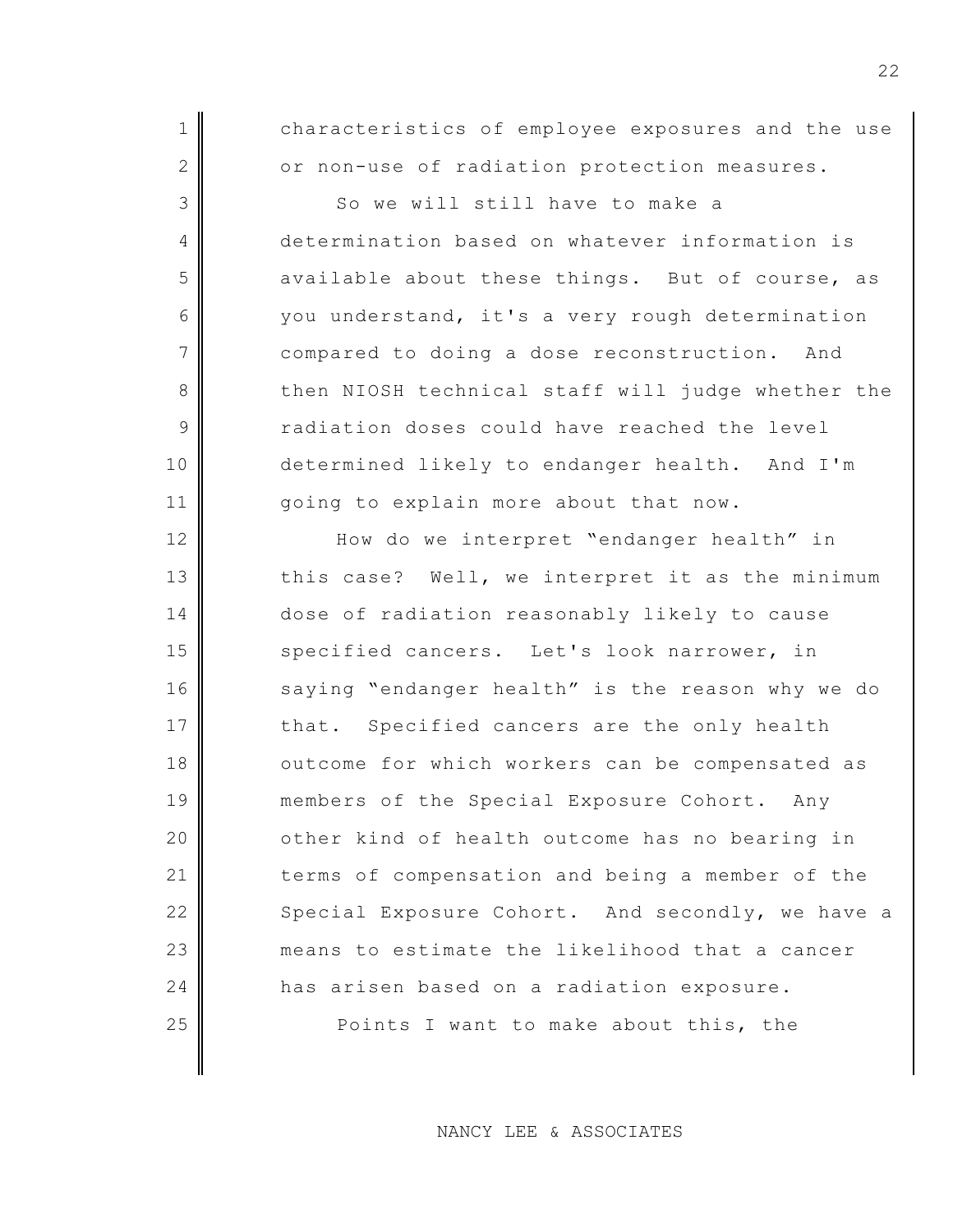1 characteristics of employee exposures and the use 2 or non-use of radiation protection measures.

3 So we will still have to make a 4 determination based on whatever information is  $5$  available about these things. But of course, as 6 you understand, it's a very rough determination 7 compared to doing a dose reconstruction. And 8 then NIOSH technical staff will judge whether the 9 Tadiation doses could have reached the level 10 determined likely to endanger health. And I'm 11 | qoing to explain more about that now.

12 How do we interpret "endanger health" in  $13$  this case? Well, we interpret it as the minimum 14 dose of radiation reasonably likely to cause 15 specified cancers. Let's look narrower, in 16 saying "endanger health" is the reason why we do 17 that. Specified cancers are the only health 18 outcome for which workers can be compensated as 19 members of the Special Exposure Cohort. Any 20 **| comparent control** beatch outcome has no bearing in 21 terms of compensation and being a member of the 22 Special Exposure Cohort. And secondly, we have a 23 means to estimate the likelihood that a cancer 24 has arisen based on a radiation exposure. 25 || Points I want to make about this, the

NANCY LEE & ASSOCIATES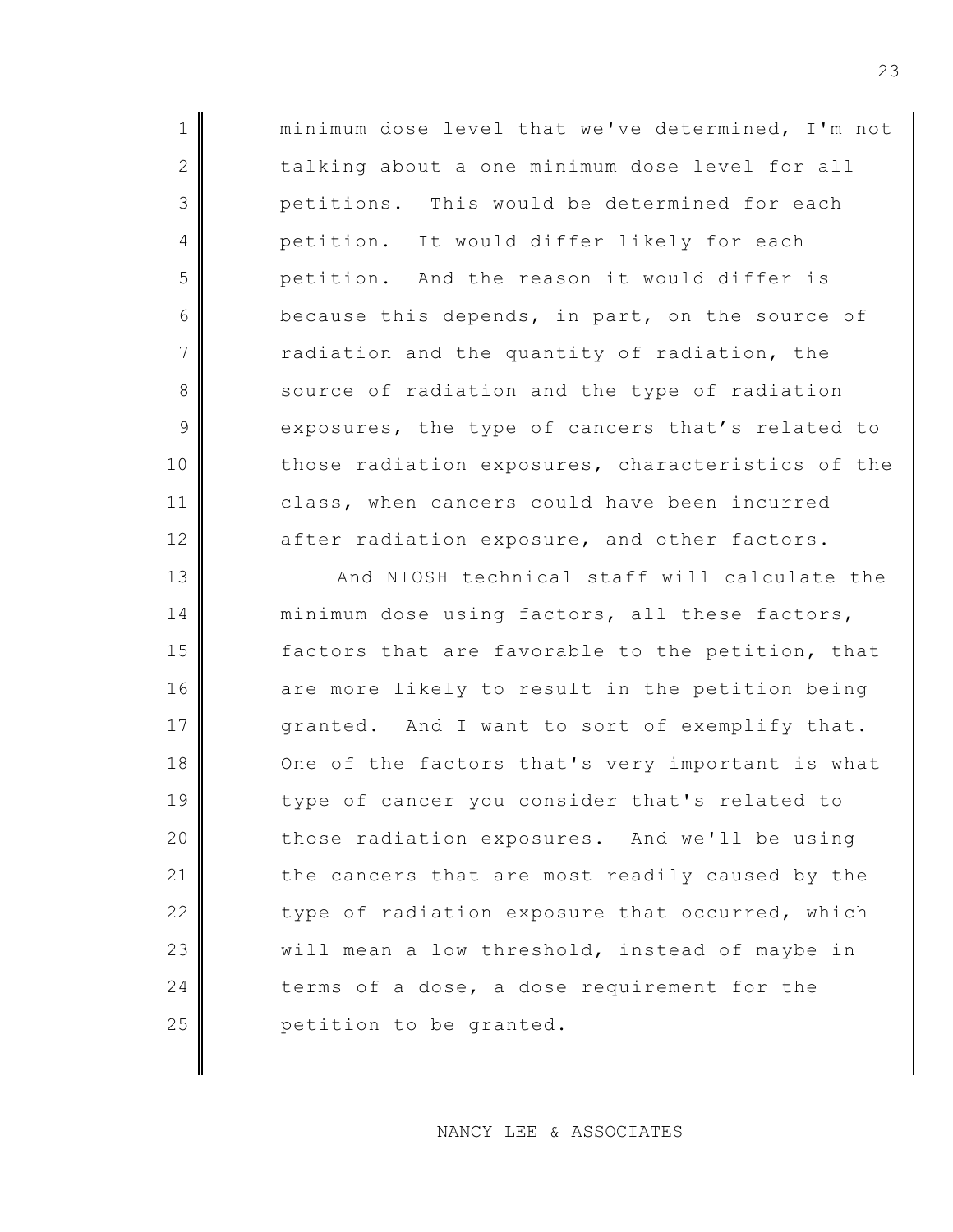| $\mathbf 1$    | minimum dose level that we've determined, I'm not |
|----------------|---------------------------------------------------|
| 2              | talking about a one minimum dose level for all    |
| 3              | petitions. This would be determined for each      |
| 4              | petition. It would differ likely for each         |
| 5              | petition. And the reason it would differ is       |
| 6              | because this depends, in part, on the source of   |
| $\overline{7}$ | radiation and the quantity of radiation, the      |
| 8              | source of radiation and the type of radiation     |
| $\overline{9}$ | exposures, the type of cancers that's related to  |
| 10             | those radiation exposures, characteristics of the |
| 11             | class, when cancers could have been incurred      |
| 12             | after radiation exposure, and other factors.      |
| 13             | And NIOSH technical staff will calculate the      |
| 14             | minimum dose using factors, all these factors,    |
| 15             | factors that are favorable to the petition, that  |
| 16             | are more likely to result in the petition being   |
| 17             | granted. And I want to sort of exemplify that.    |
| 18             | One of the factors that's very important is what  |
| 19             | type of cancer you consider that's related to     |
| 20             | those radiation exposures. And we'll be using     |
| 21             | the cancers that are most readily caused by the   |

22 type of radiation exposure that occurred, which will mean a low threshold, instead of maybe in 24 terms of a dose, a dose requirement for the 25 petition to be granted.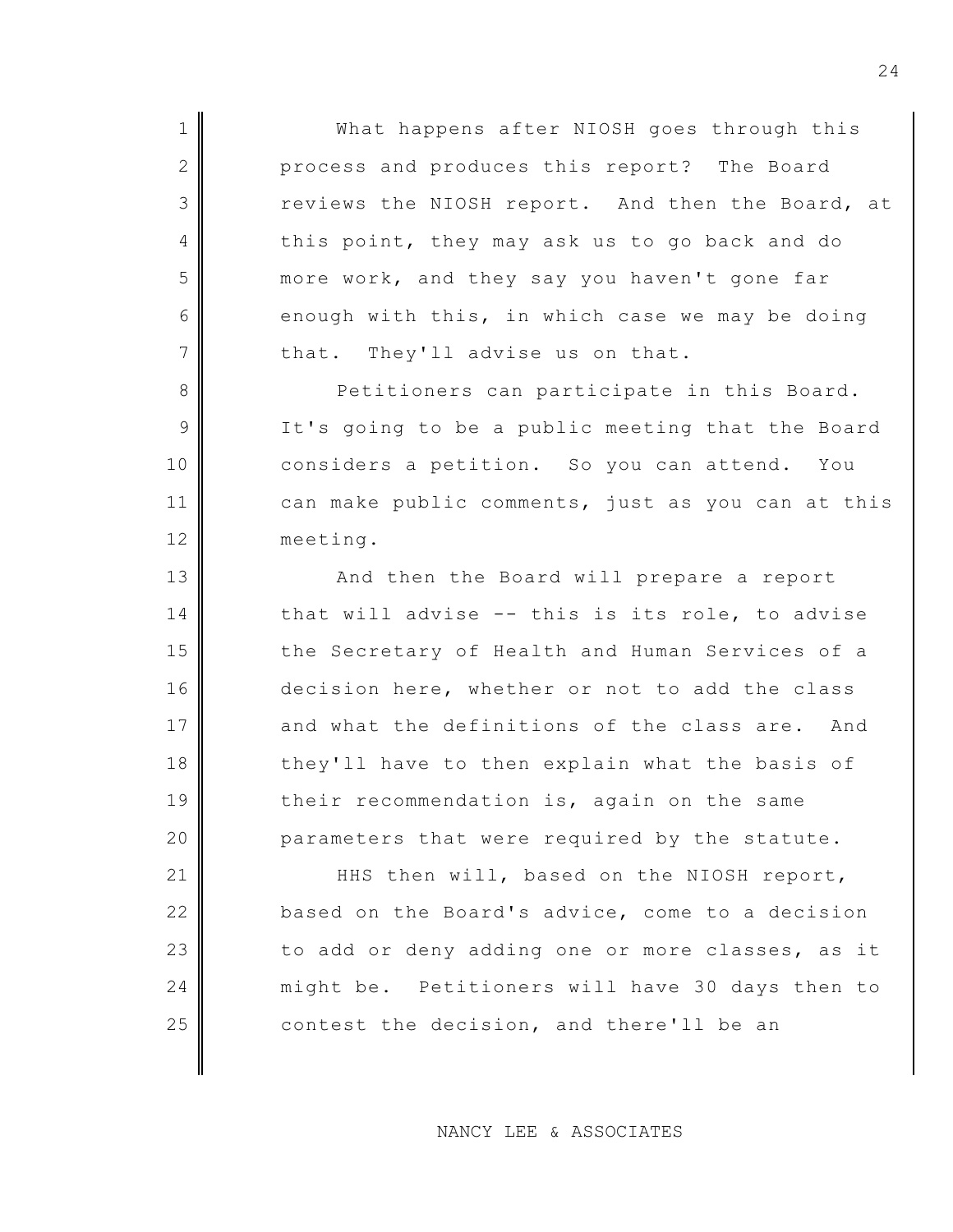1 || What happens after NIOSH goes through this 2 process and produces this report? The Board 3 reviews the NIOSH report. And then the Board, at 4 this point, they may ask us to go back and do 5 more work, and they say you haven't gone far  $6 \parallel$  enough with this, in which case we may be doing  $7$  that. They'll advise us on that.

8 Petitioners can participate in this Board. 9 It's going to be a public meeting that the Board 10 considers a petition. So you can attend. You 11 can make public comments, just as you can at this 12 meeting.

13 And then the Board will prepare a report  $14$  that will advise -- this is its role, to advise 15 the Secretary of Health and Human Services of a 16 decision here, whether or not to add the class 17 and what the definitions of the class are. And 18 they'll have to then explain what the basis of 19 their recommendation is, again on the same 20 parameters that were required by the statute.

21 HHS then will, based on the NIOSH report, 22 based on the Board's advice, come to a decision  $23$  to add or deny adding one or more classes, as it 24 might be. Petitioners will have 30 days then to 25 contest the decision, and there'll be an

NANCY LEE & ASSOCIATES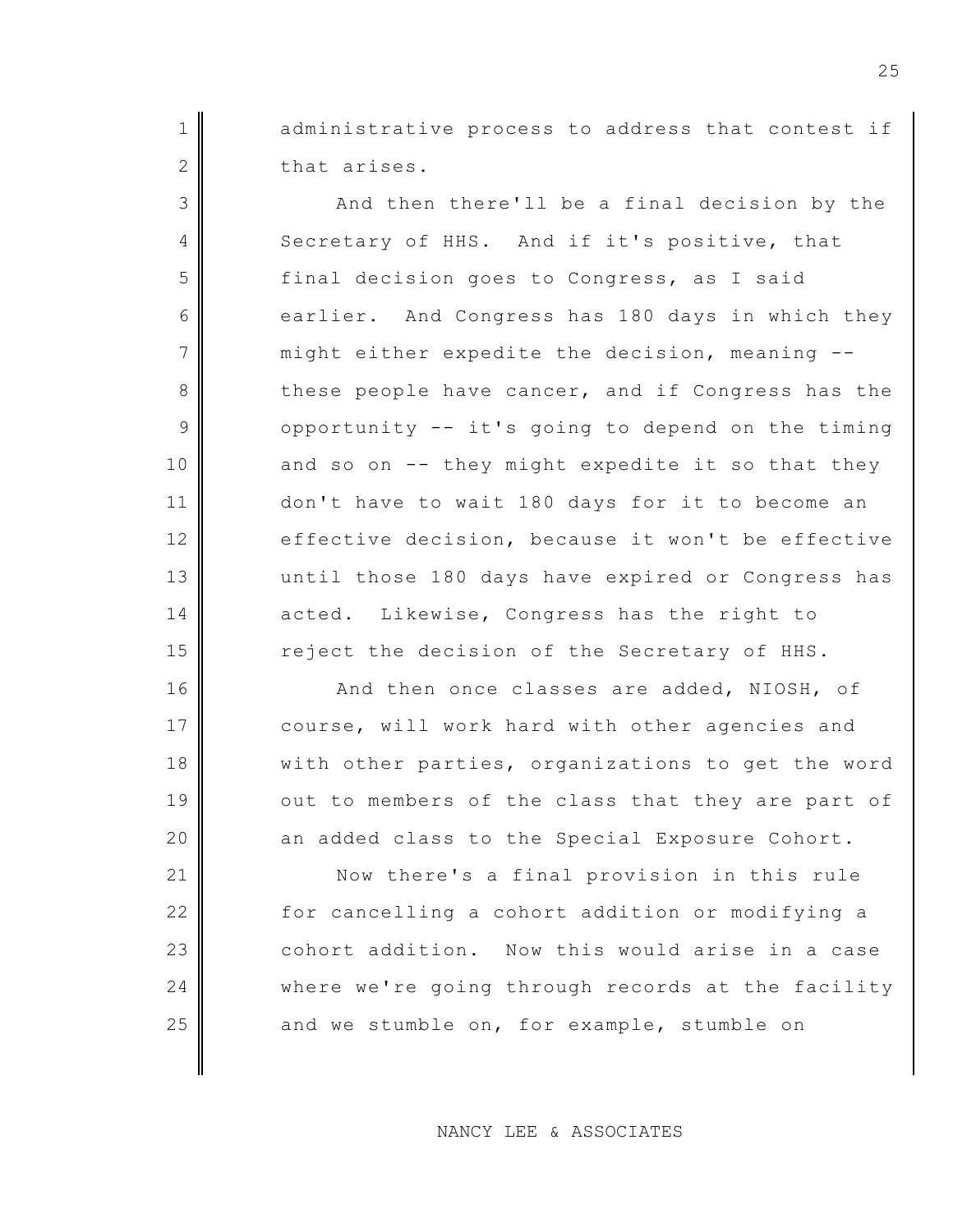1 administrative process to address that contest if 2 that arises.

3 And then there'll be a final decision by the 4 Secretary of HHS. And if it's positive, that 5 final decision goes to Congress, as I said 6 earlier. And Congress has 180 days in which they  $7$  might either expedite the decision, meaning  $-$ 8 these people have cancer, and if Congress has the  $9$  opportunity -- it's going to depend on the timing  $10$  and so on  $-$ - they might expedite it so that they 11 don't have to wait 180 days for it to become an 12 effective decision, because it won't be effective 13 until those 180 days have expired or Congress has 14 acted. Likewise, Congress has the right to 15 reject the decision of the Secretary of HHS.

16 And then once classes are added, NIOSH, of 17 course, will work hard with other agencies and 18 with other parties, organizations to get the word 19 out to members of the class that they are part of 20 an added class to the Special Exposure Cohort.

21 Now there's a final provision in this rule 22 for cancelling a cohort addition or modifying a 23 cohort addition. Now this would arise in a case 24 where we're going through records at the facility 25 and we stumble on, for example, stumble on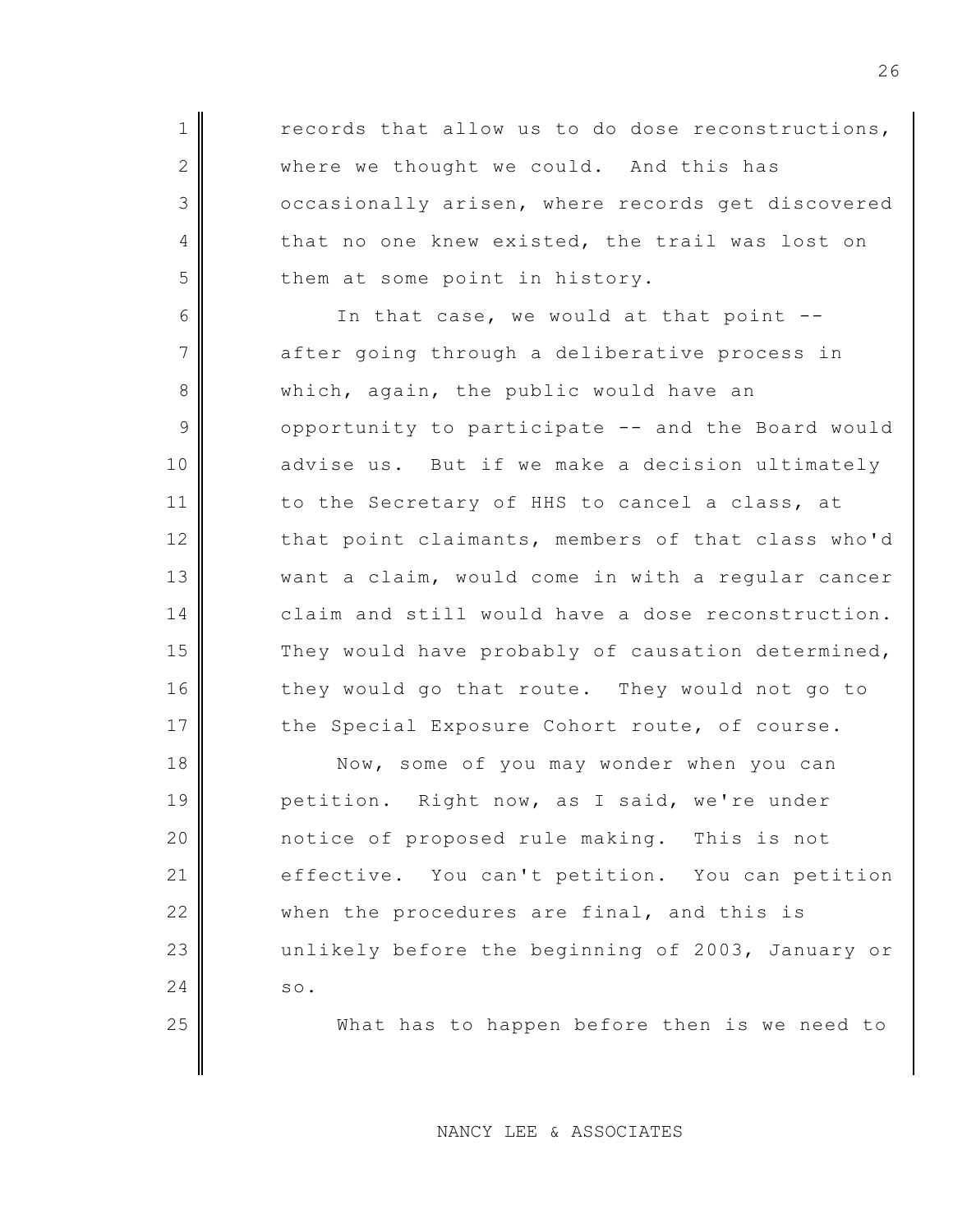$1 \parallel$  records that allow us to do dose reconstructions, 2 where we thought we could. And this has 3 cccasionally arisen, where records get discovered 4 that no one knew existed, the trail was lost on  $5$  them at some point in history.

6 In that case, we would at that point -- $7$  after going through a deliberative process in 8 which, again, the public would have an  $9$  opportunity to participate  $-$  and the Board would 10 advise us. But if we make a decision ultimately 11 to the Secretary of HHS to cancel a class, at 12 that point claimants, members of that class who'd 13 want a claim, would come in with a regular cancer 14 claim and still would have a dose reconstruction.  $15$  They would have probably of causation determined, 16 they would go that route. They would not go to 17 the Special Exposure Cohort route, of course.

18 Now, some of you may wonder when you can 19 petition. Right now, as I said, we're under 20 notice of proposed rule making. This is not 21 effective. You can't petition. You can petition 22 when the procedures are final, and this is 23 unlikely before the beginning of 2003, January or  $24$  so.

25 What has to happen before then is we need to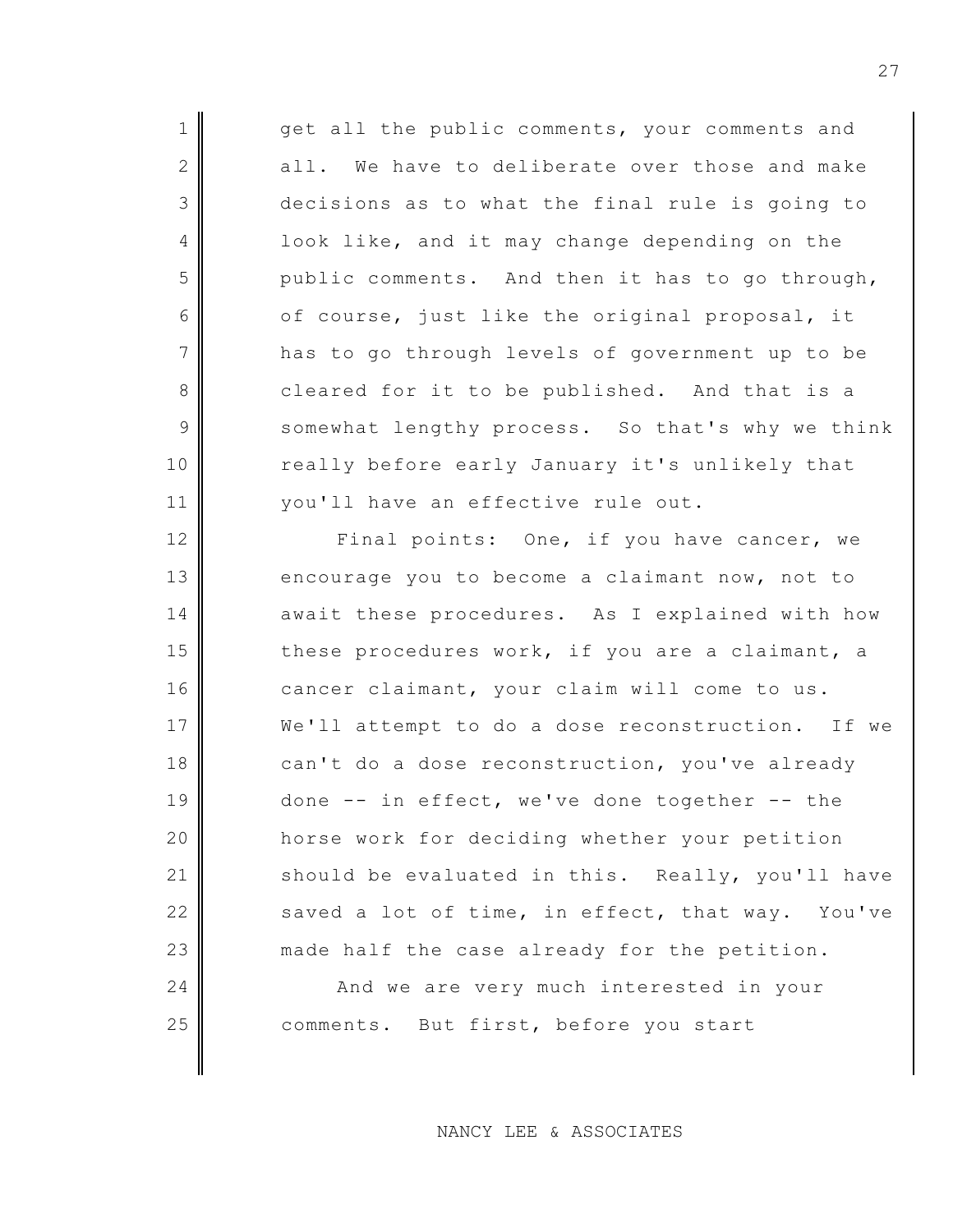1 get all the public comments, your comments and 2 all. We have to deliberate over those and make 3 decisions as to what the final rule is going to 4 cook like, and it may change depending on the  $5$  public comments. And then it has to go through, 6 of course, just like the original proposal, it 7 has to go through levels of government up to be 8 cleared for it to be published. And that is a 9 somewhat lengthy process. So that's why we think 10 really before early January it's unlikely that 11 | vou'll have an effective rule out. 12 Final points: One, if you have cancer, we

13 encourage you to become a claimant now, not to 14 await these procedures. As I explained with how 15 these procedures work, if you are a claimant, a 16 cancer claimant, your claim will come to us. 17 We'll attempt to do a dose reconstruction. If we 18 can't do a dose reconstruction, you've already 19 done -- in effect, we've done together -- the 20 **horse work for deciding whether your petition** 21 should be evaluated in this. Really, you'll have 22 saved a lot of time, in effect, that way. You've 23 made half the case already for the petition.

24 And we are very much interested in your 25 comments. But first, before you start

NANCY LEE & ASSOCIATES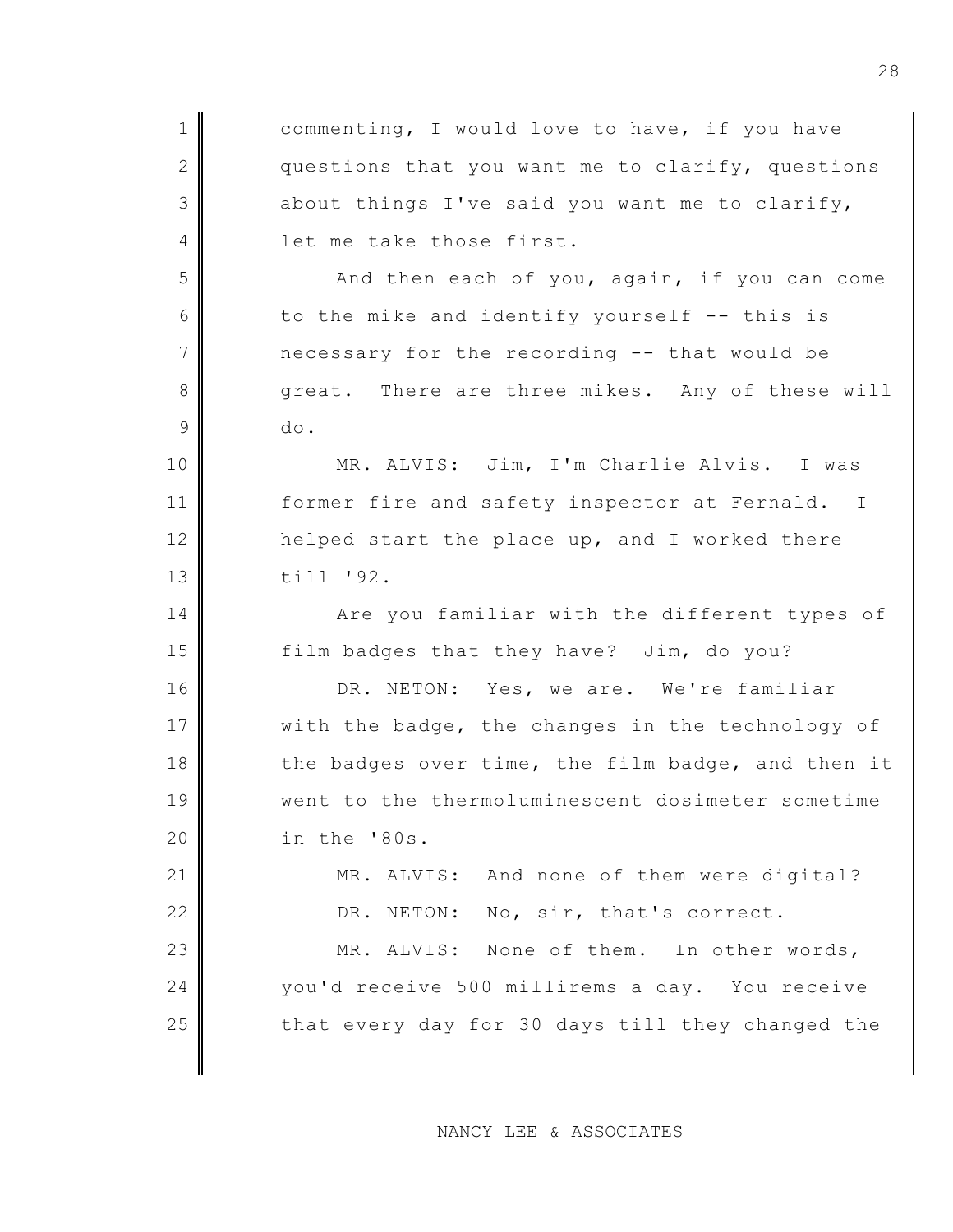| $\mathbf 1$   | commenting, I would love to have, if you have     |
|---------------|---------------------------------------------------|
| 2             | questions that you want me to clarify, questions  |
| 3             | about things I've said you want me to clarify,    |
| 4             | let me take those first.                          |
| 5             | And then each of you, again, if you can come      |
| 6             | to the mike and identify yourself -- this is      |
| 7             | necessary for the recording -- that would be      |
| 8             | great. There are three mikes. Any of these will   |
| $\mathcal{G}$ | do.                                               |
| 10            | MR. ALVIS: Jim, I'm Charlie Alvis. I was          |
| 11            | former fire and safety inspector at Fernald. I    |
| 12            | helped start the place up, and I worked there     |
| 13            | till '92.                                         |
| 14            | Are you familiar with the different types of      |
| 15            | film badges that they have? Jim, do you?          |
| 16            | DR. NETON: Yes, we are. We're familiar            |
| 17            | with the badge, the changes in the technology of  |
| 18            | the badges over time, the film badge, and then it |
| 19            | went to the thermoluminescent dosimeter sometime  |
| 20            | in the '80s.                                      |
| 21            | MR. ALVIS: And none of them were digital?         |
| 22            | No, sir, that's correct.<br>DR. NETON:            |
| 23            | MR. ALVIS: None of them. In other words,          |
| 24            | you'd receive 500 millirems a day. You receive    |
| 25            | that every day for 30 days till they changed the  |
|               |                                                   |

NANCY LEE & ASSOCIATES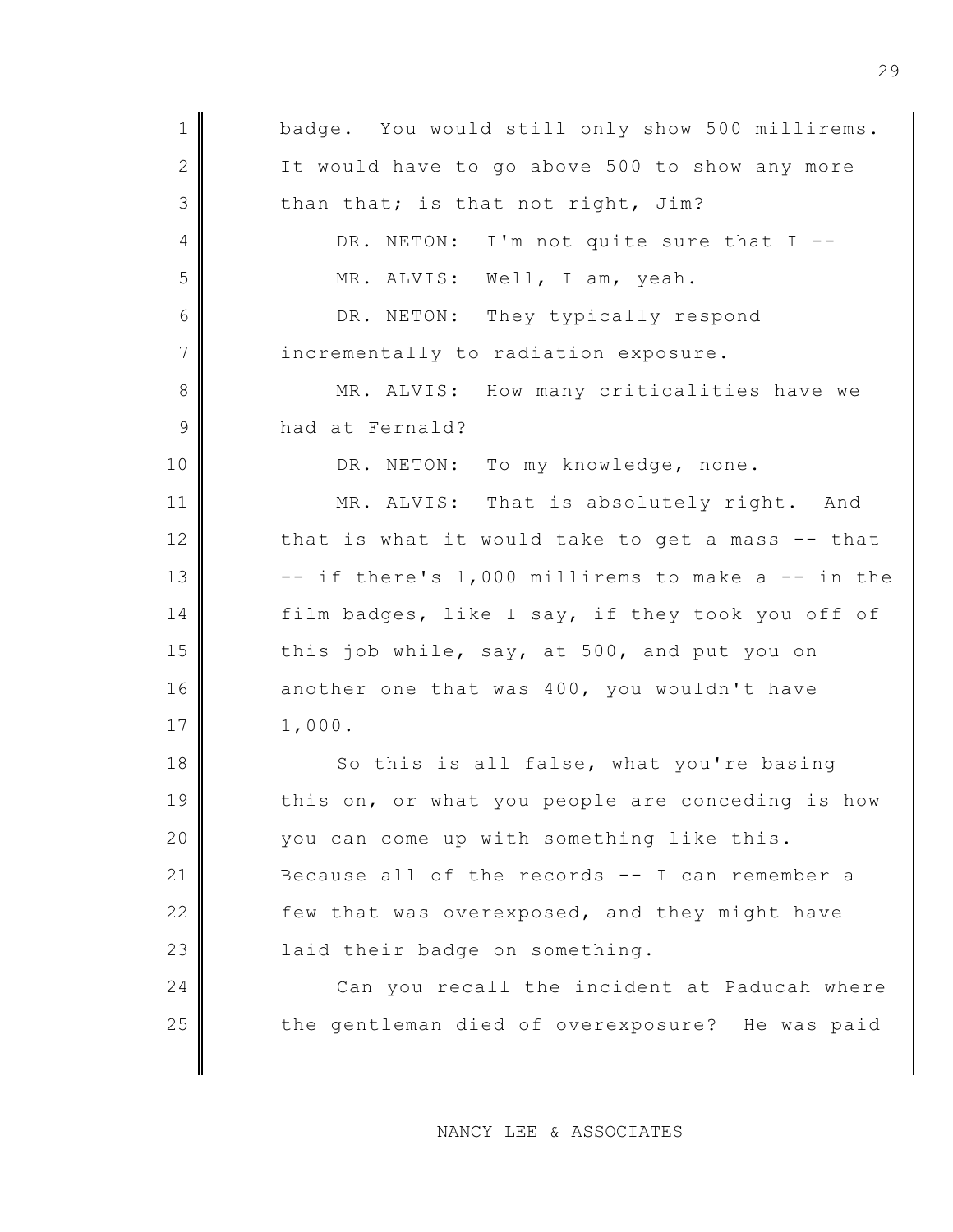1 badge. You would still only show 500 millirems. 2 It would have to go above 500 to show any more  $3$  than that; is that not right, Jim? 4 DR. NETON: I'm not quite sure that I --5 MR. ALVIS: Well, I am, yeah. 6 DR. NETON: They typically respond 7 incrementally to radiation exposure. 8 MR. ALVIS: How many criticalities have we 9 had at Fernald? 10 DR. NETON: To my knowledge, none. 11 MR. ALVIS: That is absolutely right. And  $12$  that is what it would take to get a mass -- that  $13$   $\parallel$  -- if there's 1,000 millirems to make a -- in the 14 film badges, like I say, if they took you off of 15 this job while, say, at 500, and put you on 16 another one that was 400, you wouldn't have 17 1,000. 18 So this is all false, what you're basing 19 this on, or what you people are conceding is how 20 you can come up with something like this. 21 Because all of the records  $-$  I can remember a 22 few that was overexposed, and they might have 23 | laid their badge on something. 24 Can you recall the incident at Paducah where 25 the gentleman died of overexposure? He was paid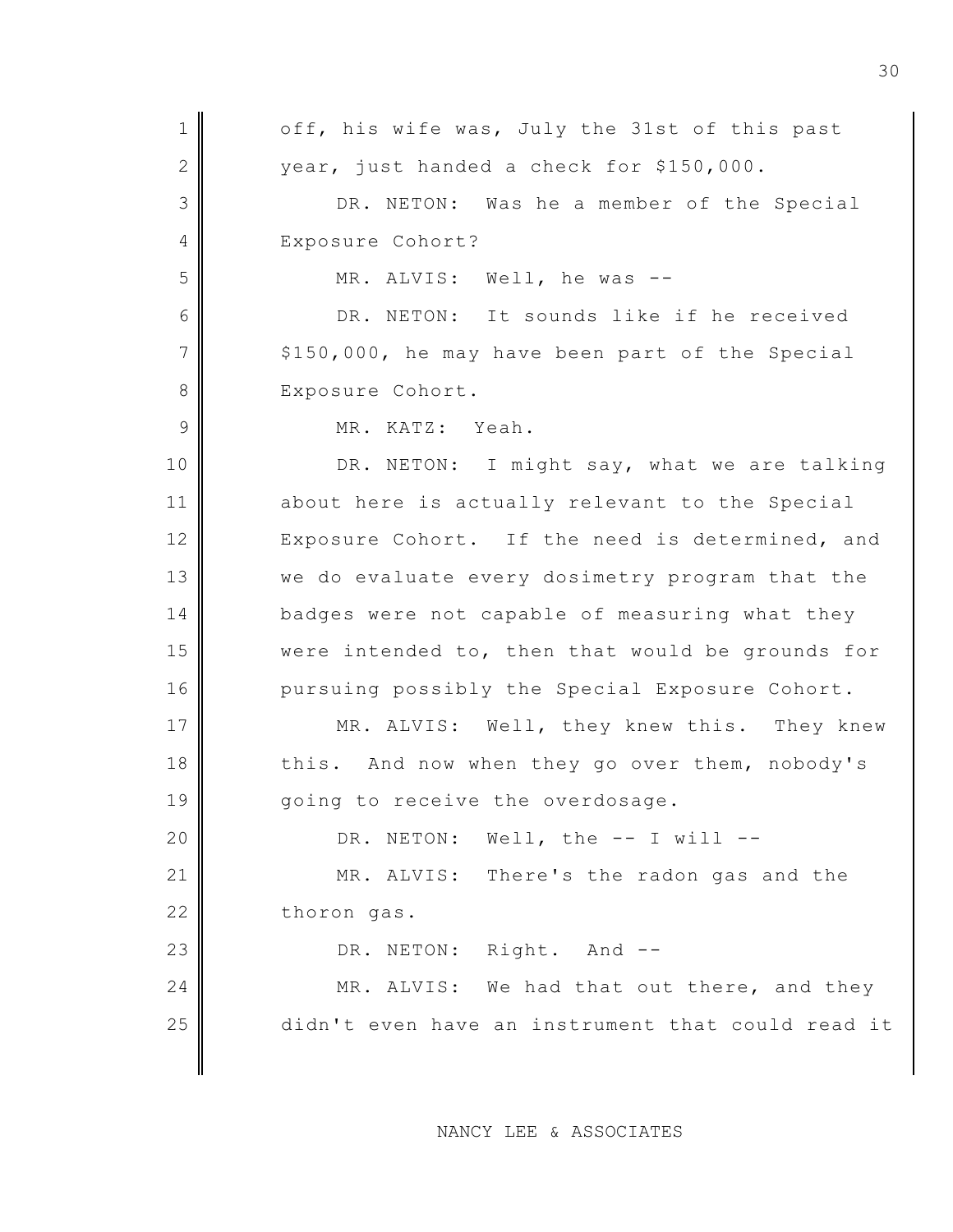1 off, his wife was, July the 31st of this past  $2$  | vear, just handed a check for \$150,000. 3 DR. NETON: Was he a member of the Special 4 Exposure Cohort? 5 MR. ALVIS: Well, he was -- 6 DR. NETON: It sounds like if he received  $7$   $\parallel$  \$150,000, he may have been part of the Special 8 Exposure Cohort. 9 MR. KATZ: Yeah. 10 DR. NETON: I might say, what we are talking 11 about here is actually relevant to the Special 12 Exposure Cohort. If the need is determined, and 13 we do evaluate every dosimetry program that the 14 badges were not capable of measuring what they 15 were intended to, then that would be grounds for 16 pursuing possibly the Special Exposure Cohort. 17 || MR. ALVIS: Well, they knew this. They knew 18 this. And now when they go over them, nobody's 19 || qoing to receive the overdosage. 20 DR. NETON: Well, the -- I will --21 MR. ALVIS: There's the radon gas and the 22 thoron gas. 23 DR. NETON: Right. And --24  $\parallel$  MR. ALVIS: We had that out there, and they 25 didn't even have an instrument that could read it

NANCY LEE & ASSOCIATES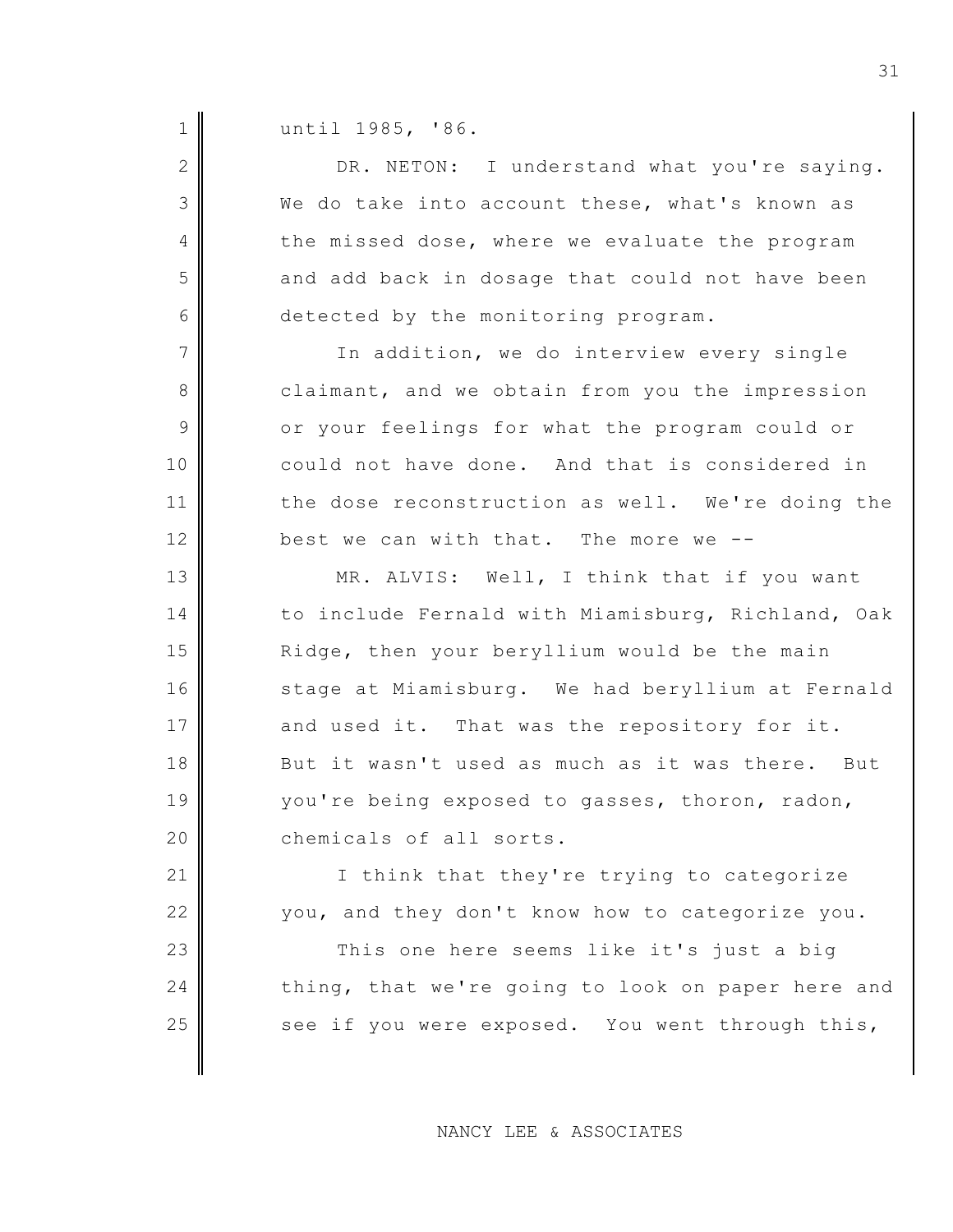1 | until 1985, '86.

| $\overline{2}$ | DR. NETON: I understand what you're saying.       |
|----------------|---------------------------------------------------|
| 3              | We do take into account these, what's known as    |
| 4              | the missed dose, where we evaluate the program    |
| 5              | and add back in dosage that could not have been   |
| 6              | detected by the monitoring program.               |
| $\overline{7}$ | In addition, we do interview every single         |
| $8\,$          | claimant, and we obtain from you the impression   |
| 9              | or your feelings for what the program could or    |
| 10             | could not have done. And that is considered in    |
| 11             | the dose reconstruction as well. We're doing the  |
| 12             | best we can with that. The more we --             |
| 13             | MR. ALVIS: Well, I think that if you want         |
| 14             | to include Fernald with Miamisburg, Richland, Oak |
| 15             | Ridge, then your beryllium would be the main      |
| 16             | stage at Miamisburg. We had beryllium at Fernald  |
| 17             | and used it. That was the repository for it.      |
| 18             | But it wasn't used as much as it was there. But   |
| 19             | you're being exposed to gasses, thoron, radon,    |
| 20             | chemicals of all sorts.                           |
| 21             | I think that they're trying to categorize         |
| 22             | you, and they don't know how to categorize you.   |
| 23             | This one here seems like it's just a big          |
| 24             | thing, that we're going to look on paper here and |
| 25             | see if you were exposed. You went through this,   |
|                |                                                   |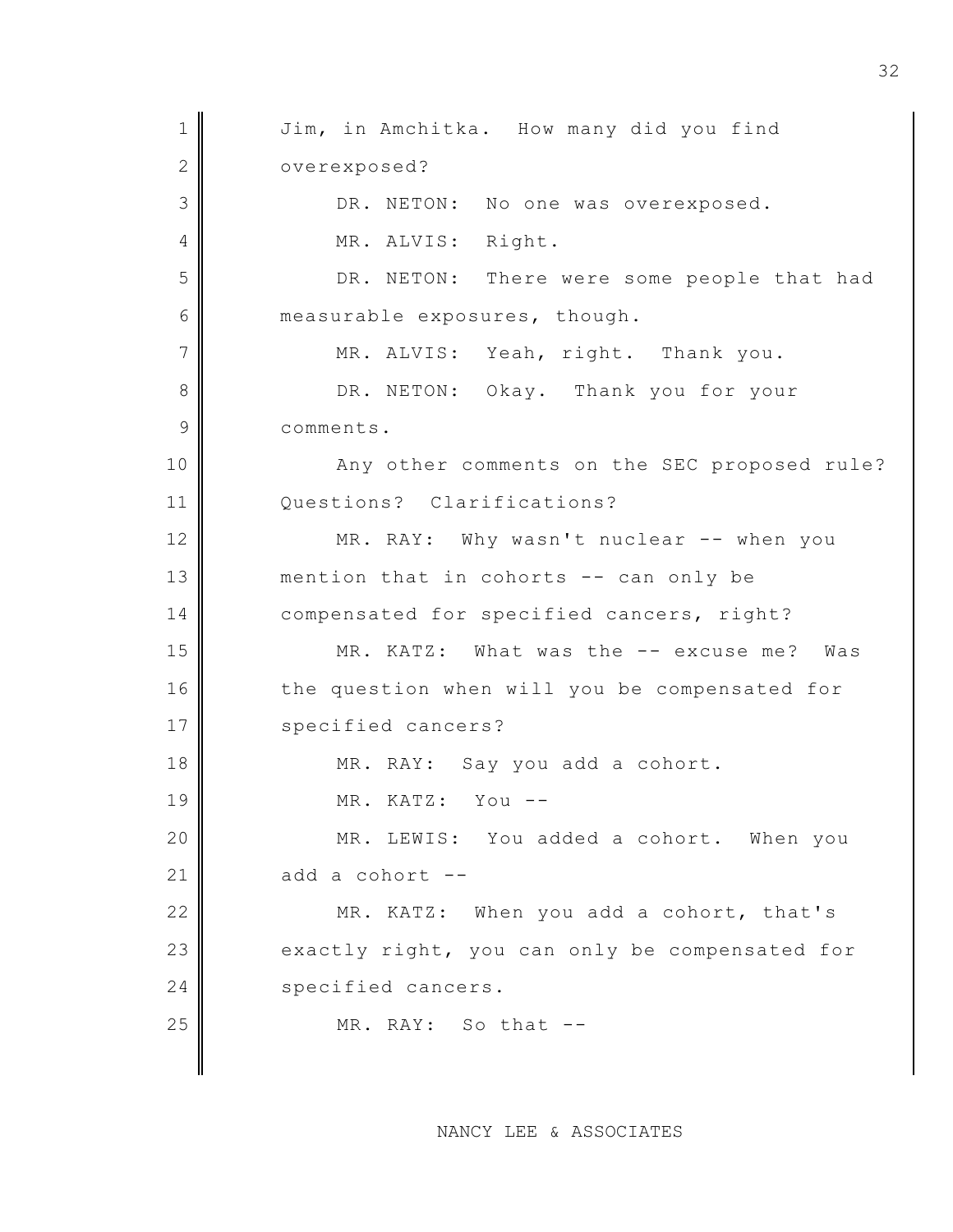1 Jim, in Amchitka. How many did you find 2 overexposed? 3 DR. NETON: No one was overexposed. 4 || MR. ALVIS: Right. 5 DR. NETON: There were some people that had 6 measurable exposures, though.  $7$  MR. ALVIS: Yeah, right. Thank you. 8 DR. NETON: Okay. Thank you for your 9 comments. 10 Any other comments on the SEC proposed rule? 11 Questions? Clarifications? 12 MR. RAY: Why wasn't nuclear -- when you 13 mention that in cohorts -- can only be 14 compensated for specified cancers, right? 15 MR. KATZ: What was the -- excuse me? Was 16 the question when will you be compensated for 17 || specified cancers? 18 MR. RAY: Say you add a cohort. 19 MR. KATZ: You -- 20 MR. LEWIS: You added a cohort. When you 21  $\parallel$  add a cohort --22 MR. KATZ: When you add a cohort, that's  $23$  exactly right, you can only be compensated for 24 specified cancers.  $25$  MR. RAY: So that  $-$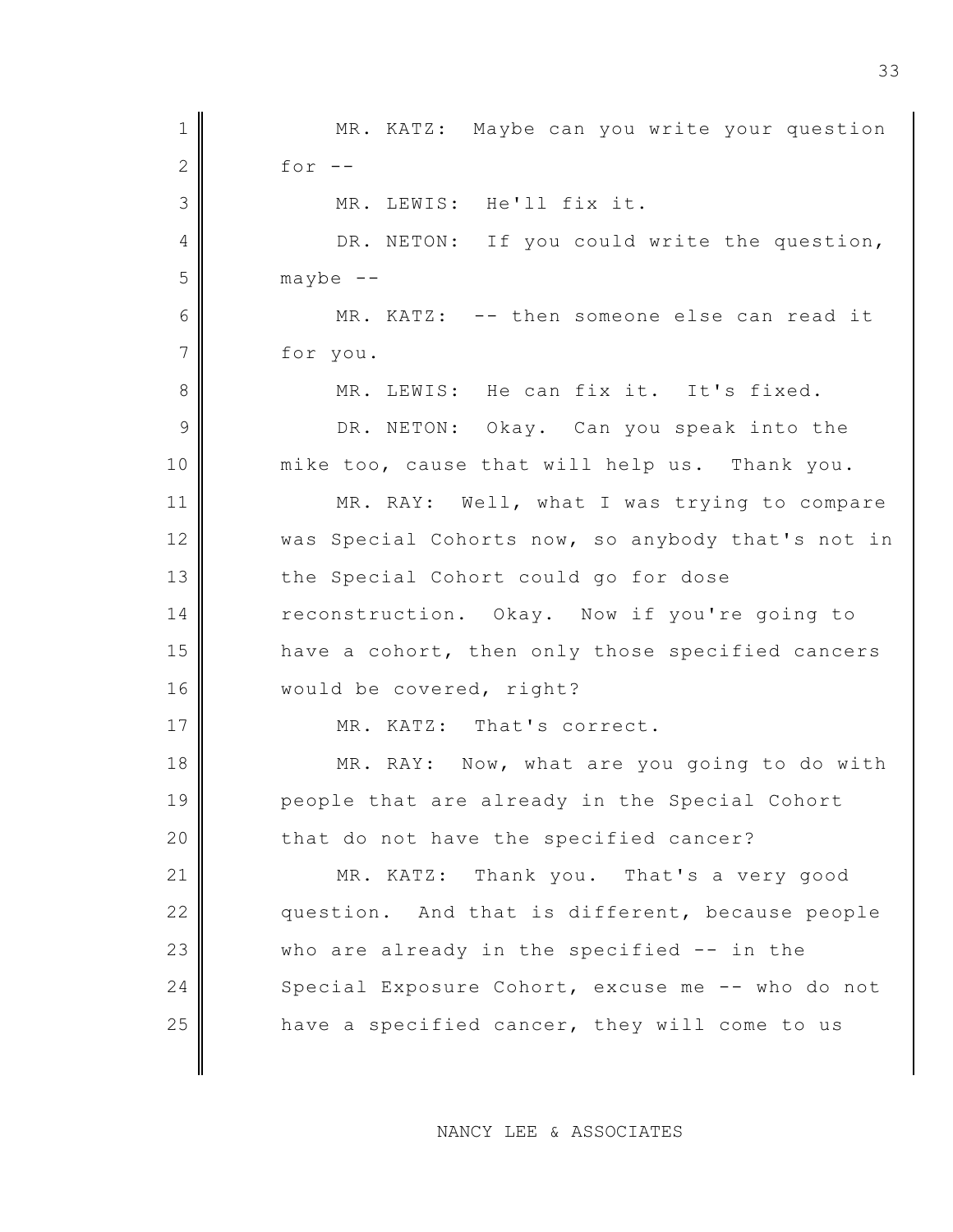1 || MR. KATZ: Maybe can you write your question  $2 \parallel$  for  $-$ 3 MR. LEWIS: He'll fix it. 4 DR. NETON: If you could write the question,  $5$  maybe  $-$ 6 MR. KATZ: -- then someone else can read it 7 for you. 8 MR. LEWIS: He can fix it. It's fixed. 9 DR. NETON: Okay. Can you speak into the 10 mike too, cause that will help us. Thank you. 11 MR. RAY: Well, what I was trying to compare 12 was Special Cohorts now, so anybody that's not in 13 the Special Cohort could go for dose 14 reconstruction. Okay. Now if you're going to 15 have a cohort, then only those specified cancers 16 | would be covered, right? 17 MR. KATZ: That's correct. 18 MR. RAY: Now, what are you going to do with 19 people that are already in the Special Cohort 20 that do not have the specified cancer? 21 MR. KATZ: Thank you. That's a very good 22 question. And that is different, because people  $23$  who are already in the specified  $-$  in the 24 Special Exposure Cohort, excuse me -- who do not 25 **h** ave a specified cancer, they will come to us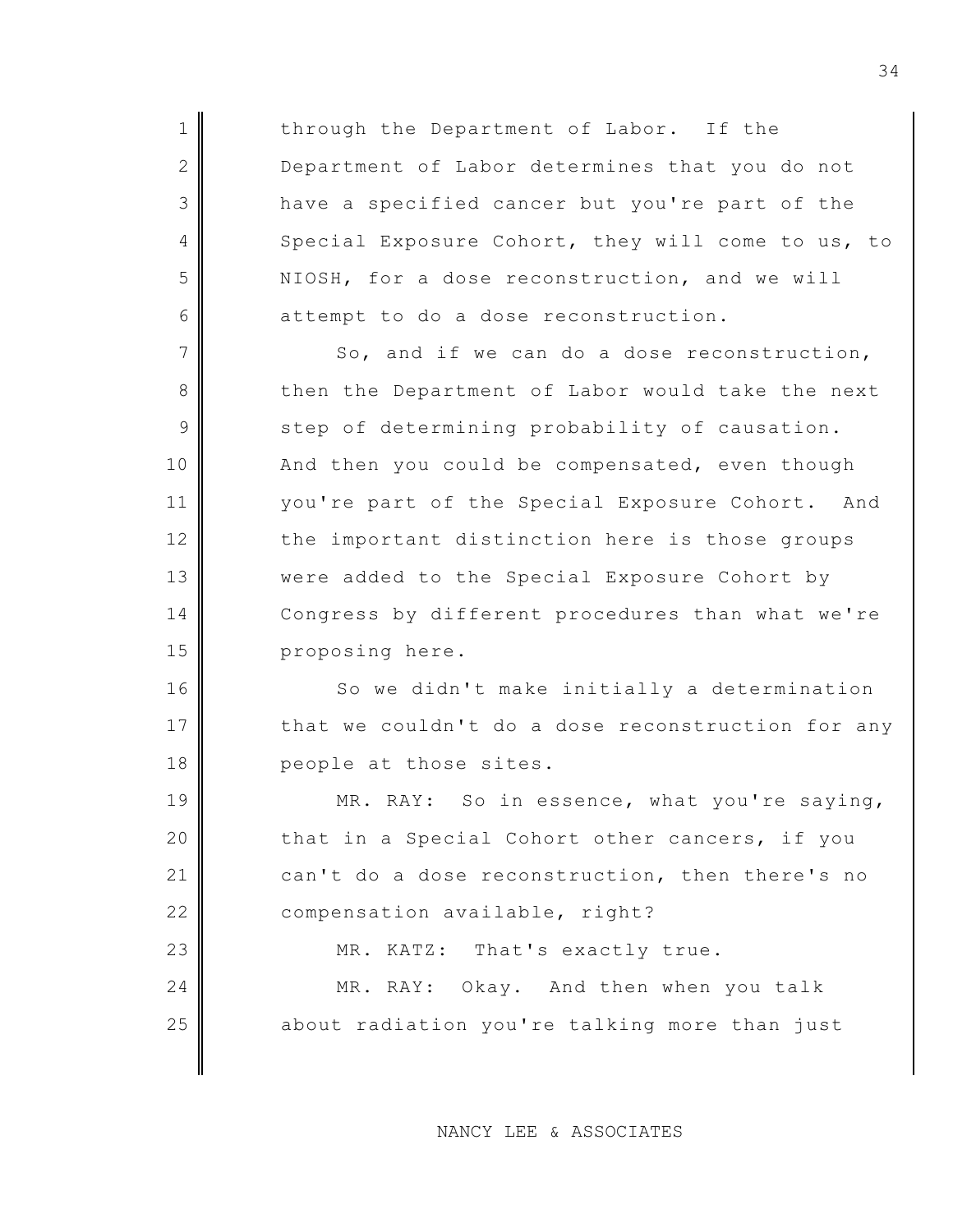1 through the Department of Labor. If the 2 Department of Labor determines that you do not 3 have a specified cancer but you're part of the 4 Special Exposure Cohort, they will come to us, to 5 NIOSH, for a dose reconstruction, and we will 6 attempt to do a dose reconstruction.

 $7$  So, and if we can do a dose reconstruction, 8 then the Department of Labor would take the next  $9$  step of determining probability of causation. 10 And then you could be compensated, even though 11 | vou're part of the Special Exposure Cohort. And 12 the important distinction here is those groups 13 were added to the Special Exposure Cohort by 14 Congress by different procedures than what we're 15 proposing here.

16 So we didn't make initially a determination 17 that we couldn't do a dose reconstruction for any 18 people at those sites.

19 MR. RAY: So in essence, what you're saying, 20 that in a Special Cohort other cancers, if you 21 can't do a dose reconstruction, then there's no 22 compensation available, right?

23 MR. KATZ: That's exactly true.

24 MR. RAY: Okay. And then when you talk 25 about radiation you're talking more than just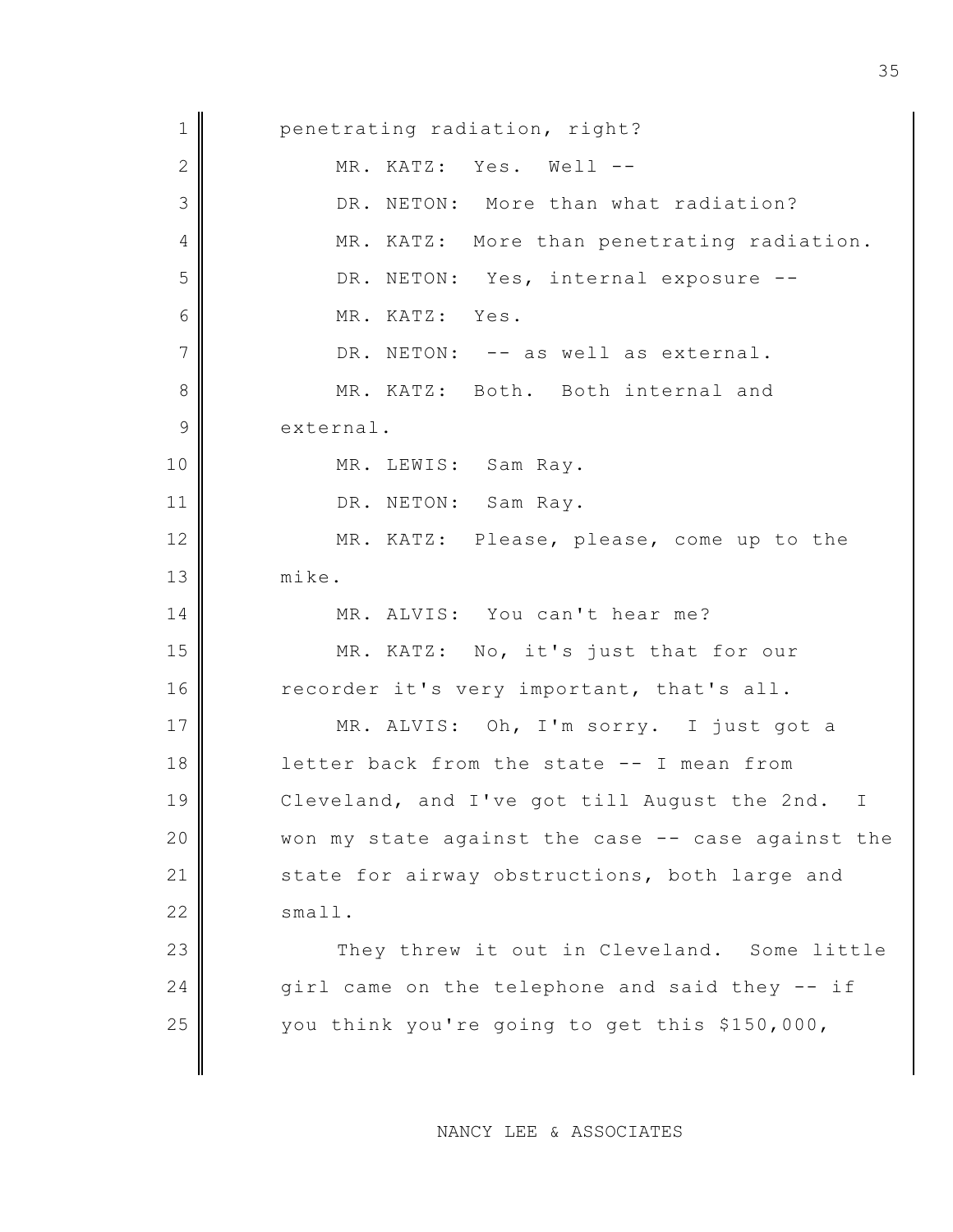1 penetrating radiation, right? 2 MR. KATZ: Yes. Well -- 3 DR. NETON: More than what radiation? 4 MR. KATZ: More than penetrating radiation. 5 DR. NETON: Yes, internal exposure --6 MR. KATZ: Yes.  $7$  DR. NETON:  $-$  as well as external. 8 MR. KATZ: Both. Both internal and 9 external. 10 || MR. LEWIS: Sam Ray. 11 DR. NETON: Sam Ray. 12 MR. KATZ: Please, please, come up to the 13 mike. 14 MR. ALVIS: You can't hear me? 15 MR. KATZ: No, it's just that for our 16 recorder it's very important, that's all. 17 MR. ALVIS: Oh, I'm sorry. I just got a 18 letter back from the state -- I mean from 19 Cleveland, and I've got till August the 2nd. I  $20$  Won my state against the case  $-$ - case against the 21 state for airway obstructions, both large and  $22 \parallel$  small. 23 They threw it out in Cleveland. Some little 24 girl came on the telephone and said they  $-$  if 25 you think you're going to get this \$150,000,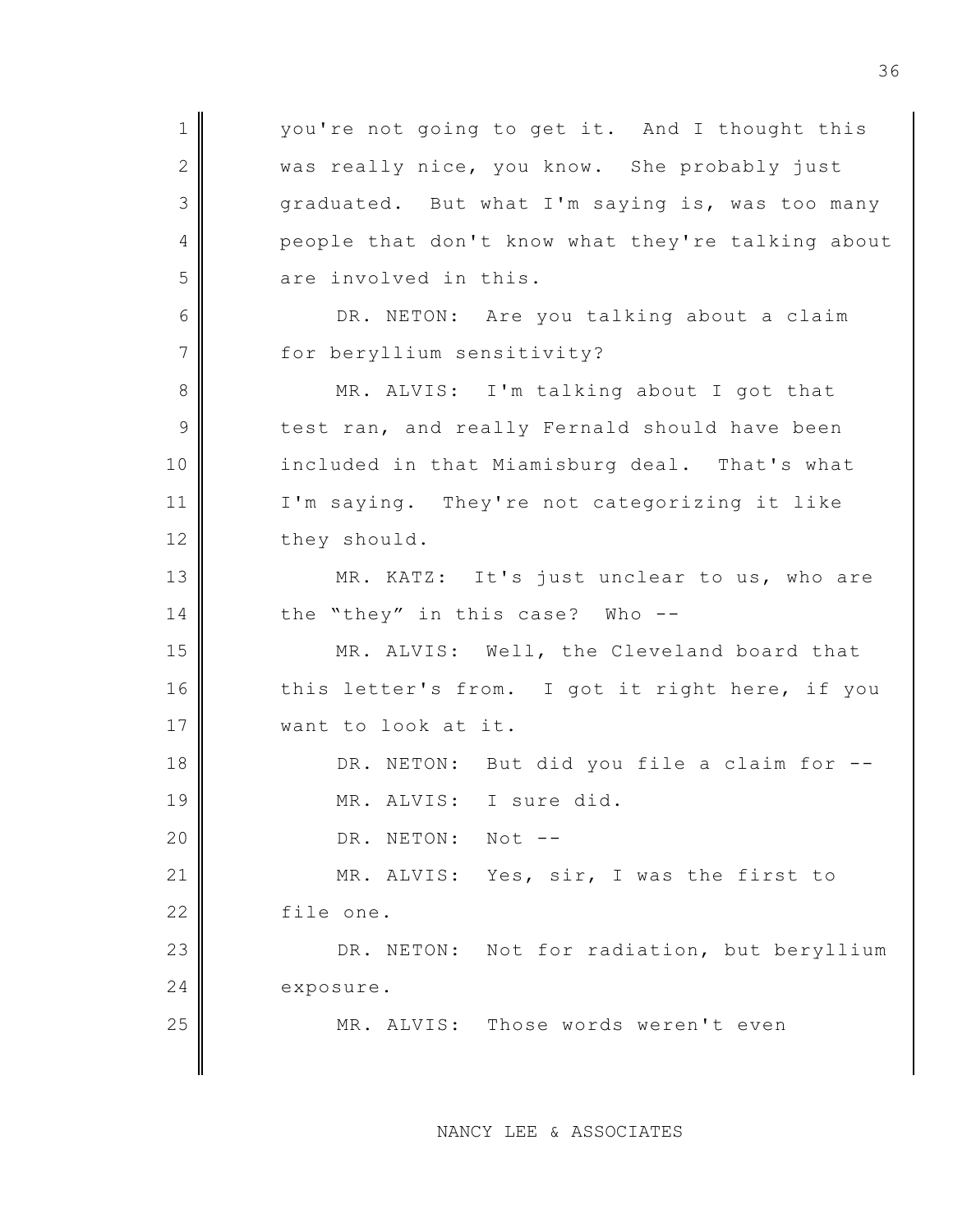1 || vou're not going to get it. And I thought this 2 was really nice, you know. She probably just 3 graduated. But what I'm saying is, was too many 4 people that don't know what they're talking about 5 are involved in this. 6 DR. NETON: Are you talking about a claim 7 for beryllium sensitivity? 8 MR. ALVIS: I'm talking about I got that 9 test ran, and really Fernald should have been 10 included in that Miamisburg deal. That's what 11 I'm saying. They're not categorizing it like 12 they should. 13 MR. KATZ: It's just unclear to us, who are 14 the "they" in this case? Who --15 MR. ALVIS: Well, the Cleveland board that 16 this letter's from. I got it right here, if you 17 || want to look at it. 18 DR. NETON: But did you file a claim for --19 MR. ALVIS: I sure did. 20 || DR. NETON: Not --21 MR. ALVIS: Yes, sir, I was the first to 22 file one. 23 DR. NETON: Not for radiation, but beryllium 24 exposure. 25 MR. ALVIS: Those words weren't even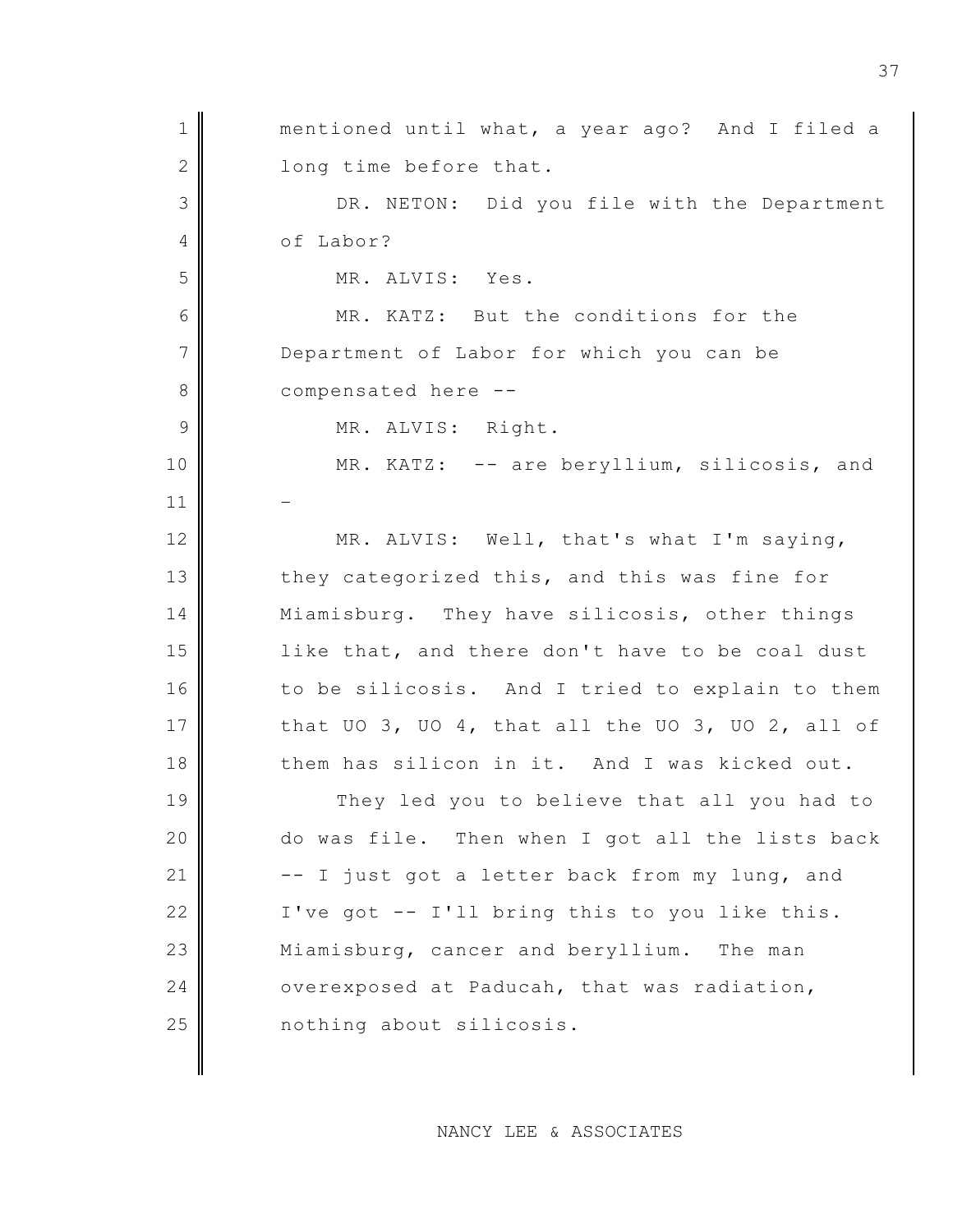| $\mathbf 1$    | mentioned until what, a year ago? And I filed a  |
|----------------|--------------------------------------------------|
| $\mathbf{2}$   | long time before that.                           |
| 3              | DR. NETON: Did you file with the Department      |
| 4              | of Labor?                                        |
| 5              | MR. ALVIS: Yes.                                  |
| 6              | MR. KATZ: But the conditions for the             |
| 7              | Department of Labor for which you can be         |
| $8\,$          | compensated here --                              |
| $\overline{9}$ | MR. ALVIS: Right.                                |
| 10             | MR. KATZ: -- are beryllium, silicosis, and       |
| 11             |                                                  |
| 12             | MR. ALVIS: Well, that's what I'm saying,         |
| 13             | they categorized this, and this was fine for     |
| 14             | Miamisburg. They have silicosis, other things    |
| 15             | like that, and there don't have to be coal dust  |
| 16             | to be silicosis. And I tried to explain to them  |
| 17             | that UO 3, UO 4, that all the UO 3, UO 2, all of |
| 18             | them has silicon in it. And I was kicked out.    |
| 19             | They led you to believe that all you had to      |
| 20             | do was file. Then when I got all the lists back  |
| 21             | -- I just got a letter back from my lung, and    |
| 22             | I've got -- I'll bring this to you like this.    |
| 23             | Miamisburg, cancer and beryllium. The man        |
| 24             | overexposed at Paducah, that was radiation,      |
| 25             | nothing about silicosis.                         |
|                |                                                  |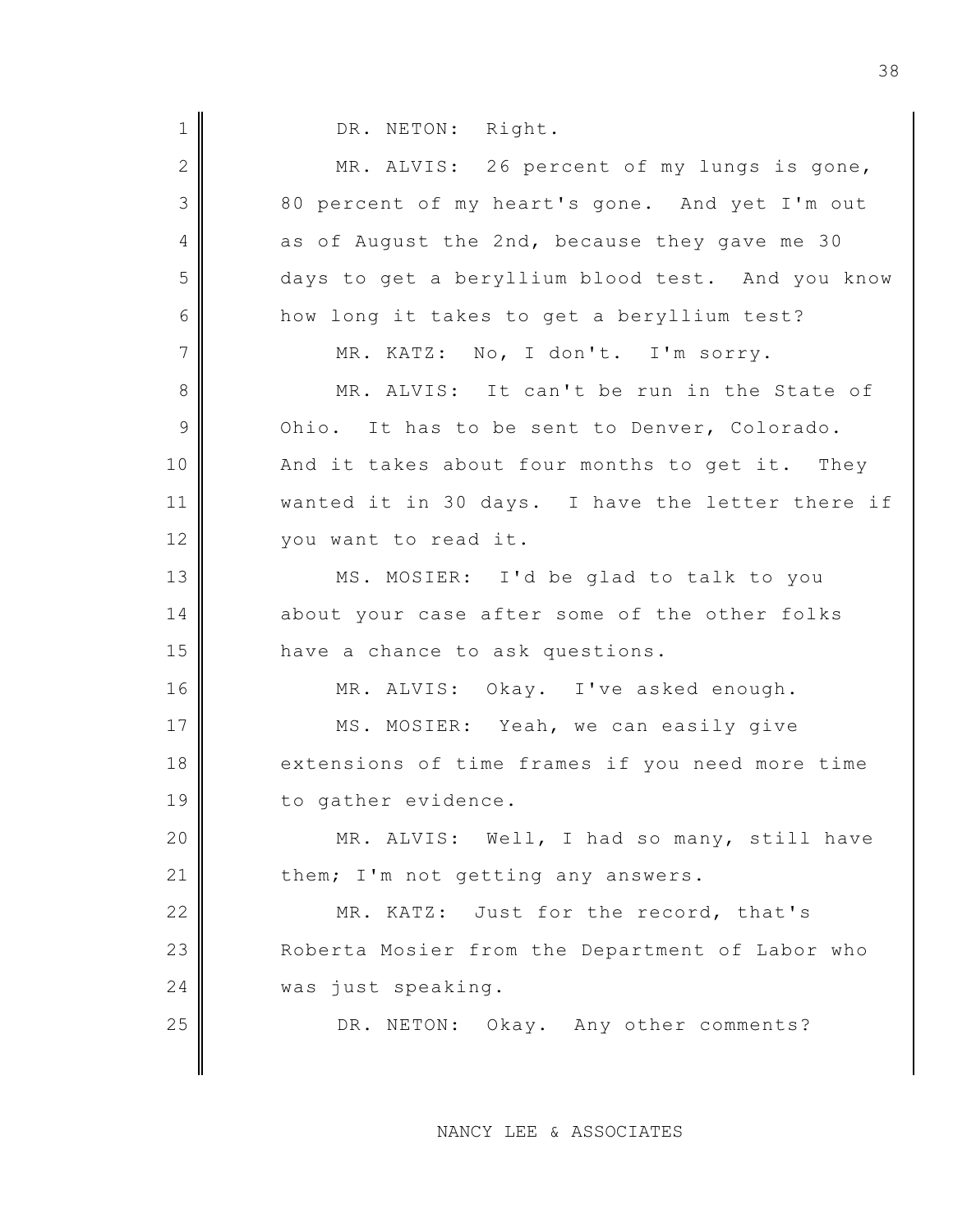1 DR. NETON: Right. 2 MR. ALVIS: 26 percent of my lungs is gone, 3 80 percent of my heart's gone. And yet I'm out 4 as of August the 2nd, because they gave me 30 5 days to get a beryllium blood test. And you know 6 how long it takes to get a beryllium test?  $7$  MR. KATZ: No, I don't. I'm sorry. 8 MR. ALVIS: It can't be run in the State of  $9$  Ohio. It has to be sent to Denver, Colorado. 10 | And it takes about four months to get it. They 11 wanted it in 30 days. I have the letter there if 12 | vou want to read it. 13 MS. MOSIER: I'd be glad to talk to you 14 about your case after some of the other folks 15 have a chance to ask questions. 16 MR. ALVIS: Okay. I've asked enough. 17 MS. MOSIER: Yeah, we can easily give 18 extensions of time frames if you need more time 19 to gather evidence. 20 MR. ALVIS: Well, I had so many, still have 21 them; I'm not getting any answers. 22 MR. KATZ: Just for the record, that's 23 Roberta Mosier from the Department of Labor who 24 was just speaking. 25 DR. NETON: Okay. Any other comments?

NANCY LEE & ASSOCIATES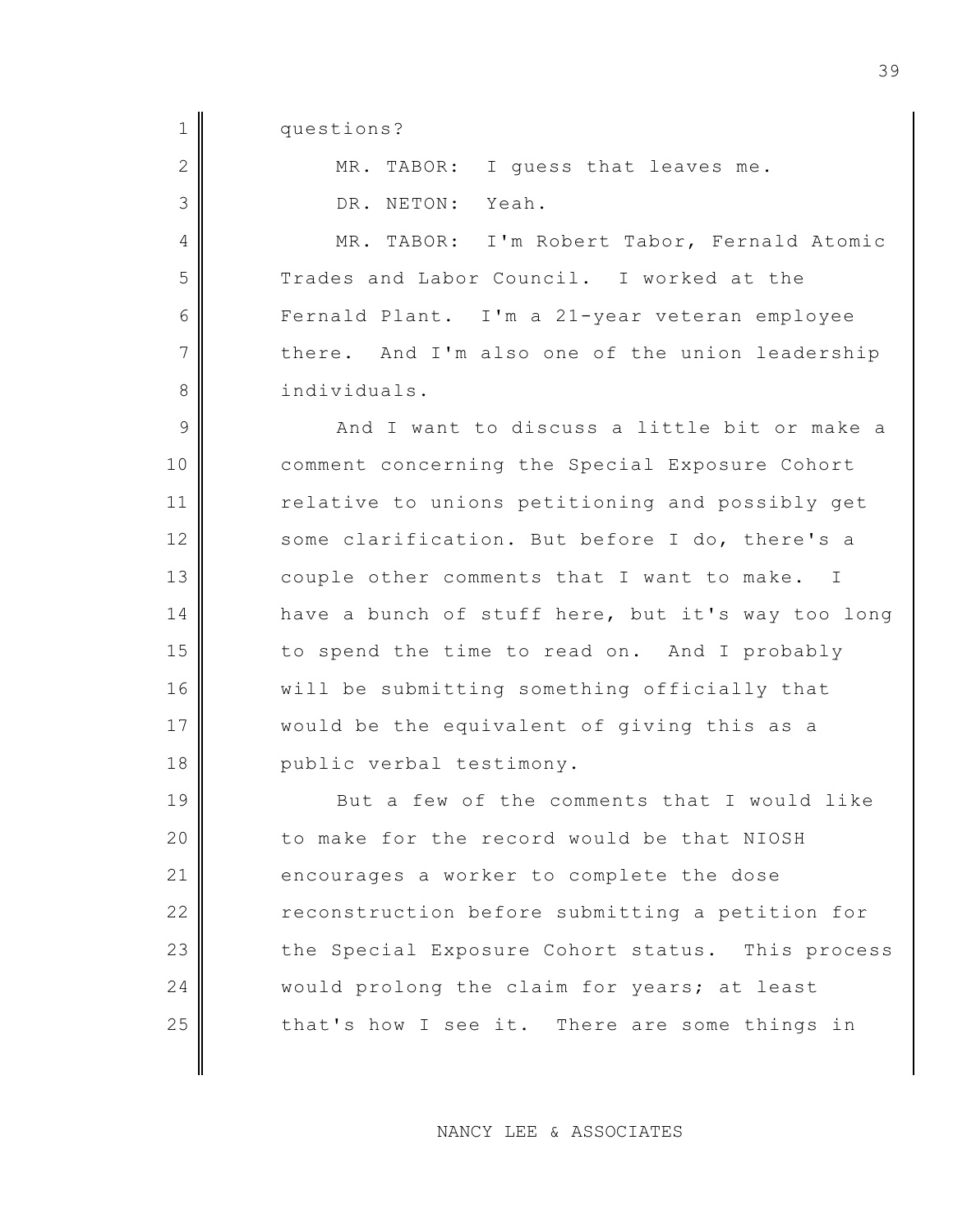1 questions?

| $\overline{2}$ | MR. TABOR: I guess that leaves me.                |
|----------------|---------------------------------------------------|
| 3              | DR. NETON:<br>Yeah.                               |
| 4              | MR. TABOR: I'm Robert Tabor, Fernald Atomic       |
| 5              | Trades and Labor Council. I worked at the         |
| 6              | Fernald Plant. I'm a 21-year veteran employee     |
| $\overline{7}$ | there. And I'm also one of the union leadership   |
| 8              | individuals.                                      |
| 9              | And I want to discuss a little bit or make a      |
| 10             | comment concerning the Special Exposure Cohort    |
| 11             | relative to unions petitioning and possibly get   |
| 12             | some clarification. But before I do, there's a    |
| 13             | couple other comments that I want to make. I      |
| 14             | have a bunch of stuff here, but it's way too long |
| 15             | to spend the time to read on. And I probably      |
| 16             | will be submitting something officially that      |
| 17             | would be the equivalent of giving this as a       |
| 18             | public verbal testimony.                          |
| 19             | But a few of the comments that I would like       |
| 20             | to make for the record would be that NIOSH        |
| 21             | encourages a worker to complete the dose          |
| 22             | reconstruction before submitting a petition for   |
| 23             | the Special Exposure Cohort status. This process  |
| 24             | would prolong the claim for years; at least       |
| 25             | that's how I see it. There are some things in     |
|                |                                                   |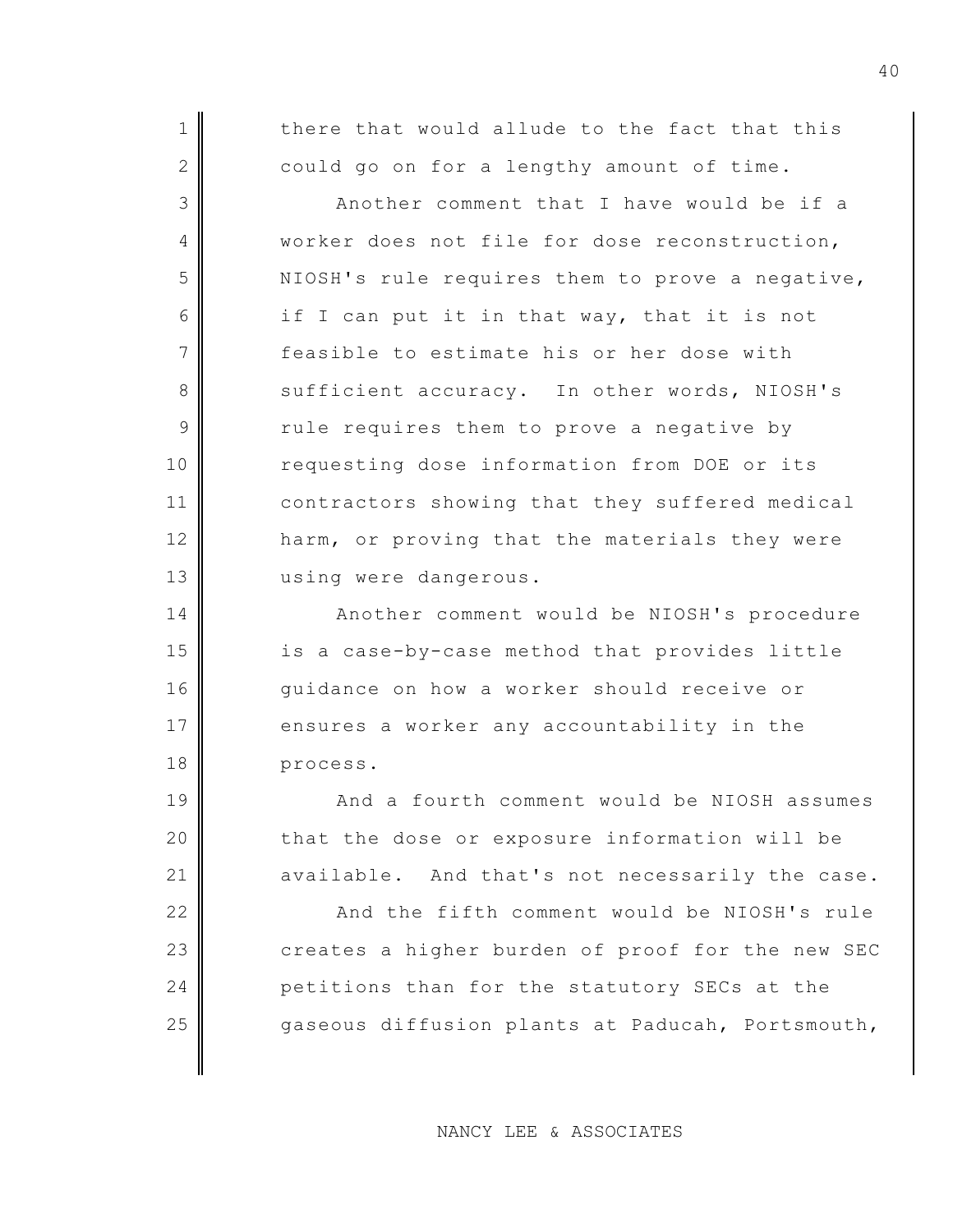1 1 there that would allude to the fact that this  $2$  could go on for a lengthy amount of time.

3 Another comment that I have would be if a 4 worker does not file for dose reconstruction,  $5$  NIOSH's rule requires them to prove a negative, 6 if I can put it in that way, that it is not 7 feasible to estimate his or her dose with 8 Sufficient accuracy. In other words, NIOSH's  $9$  rule requires them to prove a negative by 10 requesting dose information from DOE or its 11 contractors showing that they suffered medical 12 harm, or proving that the materials they were 13 using were dangerous.

14 Another comment would be NIOSH's procedure 15 is a case-by-case method that provides little 16 guidance on how a worker should receive or 17 ensures a worker any accountability in the 18 process.

19 And a fourth comment would be NIOSH assumes  $20$  that the dose or exposure information will be  $21$  available. And that's not necessarily the case.

22 | And the fifth comment would be NIOSH's rule  $23$  creates a higher burden of proof for the new SEC 24 petitions than for the statutory SECs at the 25 gaseous diffusion plants at Paducah, Portsmouth,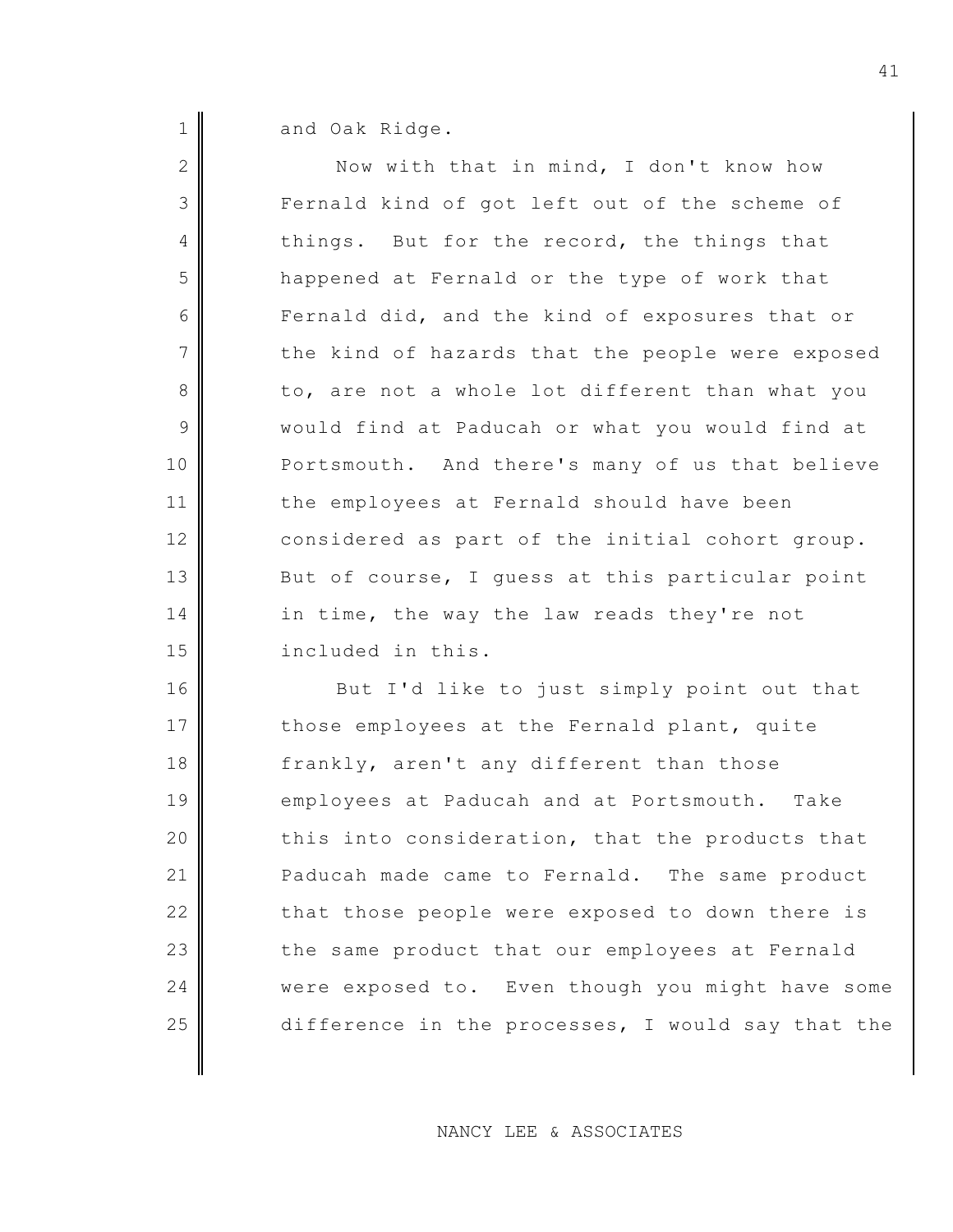1 and Oak Ridge.

| $\mathbf{2}$ | Now with that in mind, I don't know how           |
|--------------|---------------------------------------------------|
| 3            | Fernald kind of got left out of the scheme of     |
| 4            | things. But for the record, the things that       |
| 5            | happened at Fernald or the type of work that      |
| 6            | Fernald did, and the kind of exposures that or    |
| 7            | the kind of hazards that the people were exposed  |
| 8            | to, are not a whole lot different than what you   |
| $\mathsf 9$  | would find at Paducah or what you would find at   |
| 10           | Portsmouth. And there's many of us that believe   |
| 11           | the employees at Fernald should have been         |
| 12           | considered as part of the initial cohort group.   |
| 13           | But of course, I guess at this particular point   |
| 14           | in time, the way the law reads they're not        |
| 15           | included in this.                                 |
| 16           | But I'd like to just simply point out that        |
| 17           | those employees at the Fernald plant, quite       |
| 18           | frankly, aren't any different than those          |
| 19           | employees at Paducah and at Portsmouth. Take      |
| 20           | this into consideration, that the products that   |
| 21           | Paducah made came to Fernald. The same product    |
| 22           | that those people were exposed to down there is   |
| 23           | the same product that our employees at Fernald    |
| 24           | were exposed to. Even though you might have some  |
| 25           | difference in the processes, I would say that the |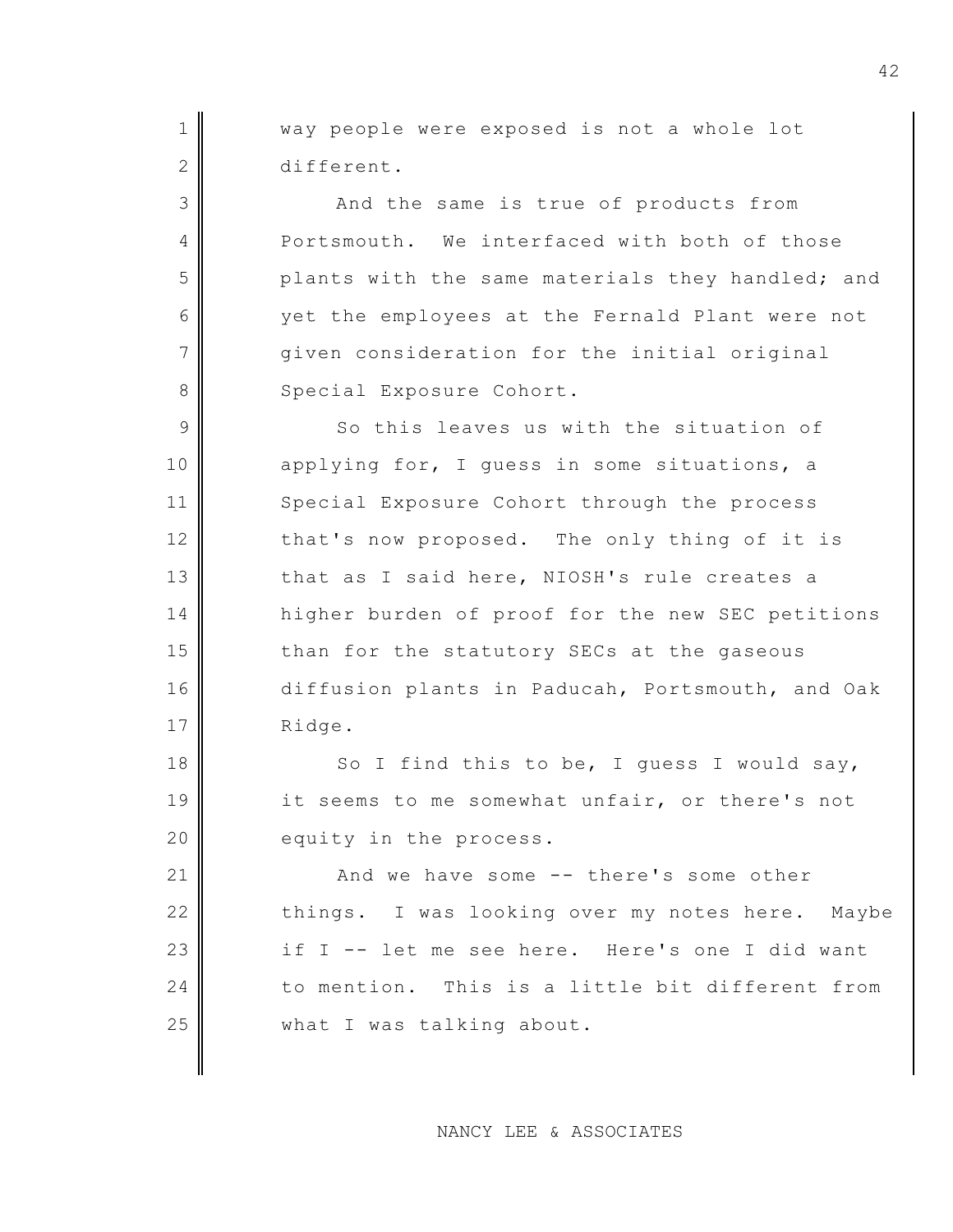1 Way people were exposed is not a whole lot 2 different.

3 And the same is true of products from 4 Portsmouth. We interfaced with both of those  $5$  plants with the same materials they handled; and 6 yet the employees at the Fernald Plant were not  $7$   $\parallel$  qiven consideration for the initial original 8 Special Exposure Cohort.

9 So this leaves us with the situation of 10 applying for, I quess in some situations, a 11 Special Exposure Cohort through the process  $12$  that's now proposed. The only thing of it is 13 that as I said here, NIOSH's rule creates a 14 higher burden of proof for the new SEC petitions 15 than for the statutory SECs at the gaseous 16 diffusion plants in Paducah, Portsmouth, and Oak 17 Ridge.

18  $\parallel$  So I find this to be, I guess I would say, 19 it seems to me somewhat unfair, or there's not 20 equity in the process.

21 And we have some -- there's some other 22 things. I was looking over my notes here. Maybe 23 if I -- let me see here. Here's one I did want 24 to mention. This is a little bit different from 25 what I was talking about.

NANCY LEE & ASSOCIATES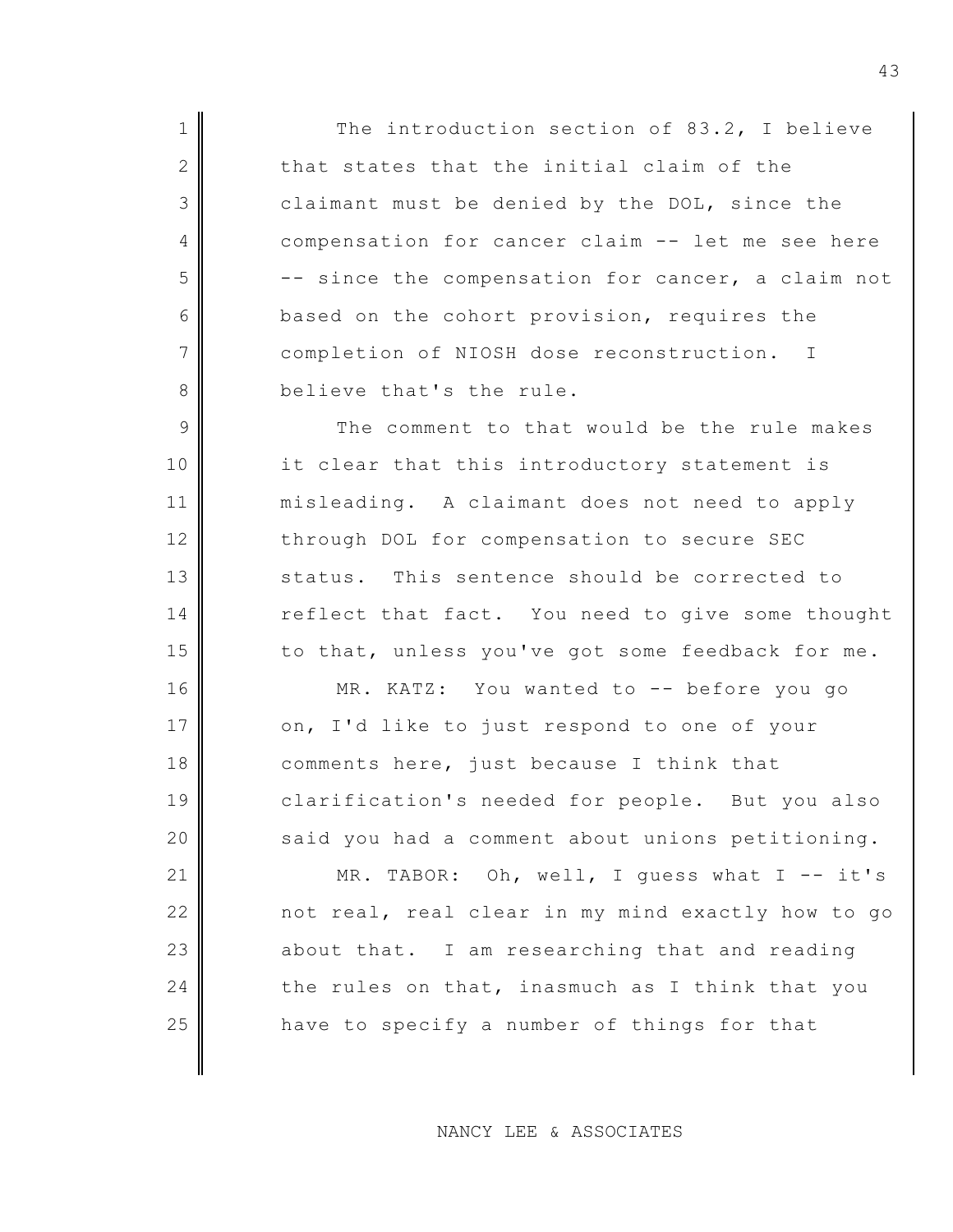1 The introduction section of 83.2, I believe 2 that states that the initial claim of the 3 claimant must be denied by the DOL, since the 4 compensation for cancer claim -- let me see here  $5$   $\parallel$  -- since the compensation for cancer, a claim not 6 based on the cohort provision, requires the 7 completion of NIOSH dose reconstruction. I 8 believe that's the rule.

9 The comment to that would be the rule makes 10 it clear that this introductory statement is 11 misleading. A claimant does not need to apply 12 through DOL for compensation to secure SEC 13 status. This sentence should be corrected to 14 reflect that fact. You need to give some thought  $15$  to that, unless you've got some feedback for me.

16 MR. KATZ: You wanted to -- before you go 17 on, I'd like to just respond to one of your 18 comments here, just because I think that 19 clarification's needed for people. But you also  $20$  said you had a comment about unions petitioning.

21 MR. TABOR: Oh, well, I quess what I -- it's 22 not real, real clear in my mind exactly how to go  $23$  about that. I am researching that and reading 24 the rules on that, inasmuch as I think that you 25 have to specify a number of things for that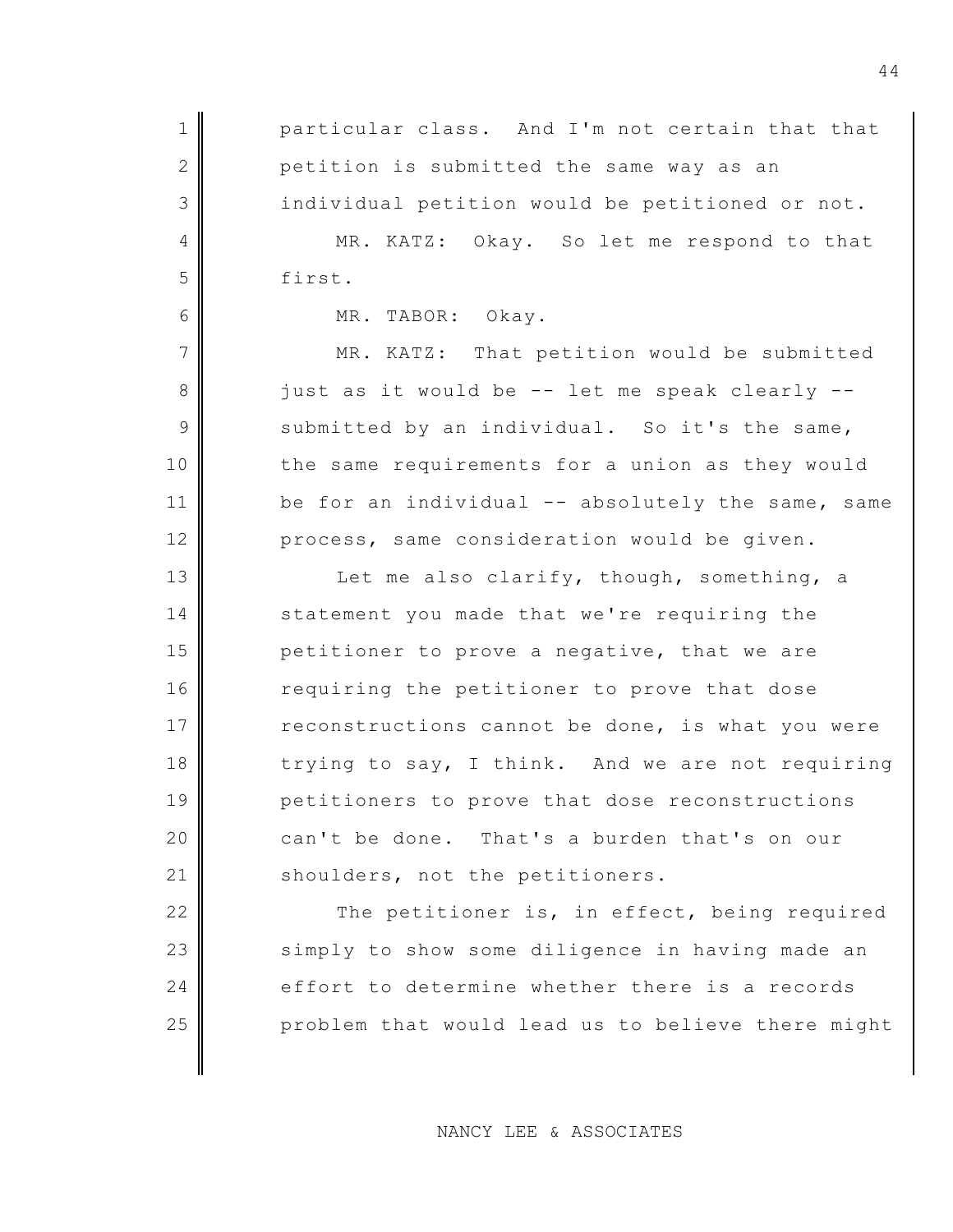| $1\,$          | particular class. And I'm not certain that that   |
|----------------|---------------------------------------------------|
| $\sqrt{2}$     | petition is submitted the same way as an          |
| 3              | individual petition would be petitioned or not.   |
| 4              | MR. KATZ:<br>Okay. So let me respond to that      |
| 5              | first.                                            |
| 6              | MR.<br>TABOR: Okay.                               |
| 7              | MR.<br>KATZ: That petition would be submitted     |
| 8              | just as it would be -- let me speak clearly --    |
| $\overline{9}$ | submitted by an individual. So it's the same,     |
| 10             | the same requirements for a union as they would   |
| 11             | be for an individual -- absolutely the same, same |
| 12             | process, same consideration would be given.       |
| 13             | Let me also clarify, though, something, a         |
| 14             | statement you made that we're requiring the       |
| 15             | petitioner to prove a negative, that we are       |
| 16             | requiring the petitioner to prove that dose       |
| 17             | reconstructions cannot be done, is what you were  |
| 18             | trying to say, I think. And we are not requiring  |
| 19             | petitioners to prove that dose reconstructions    |
| 20             | can't be done. That's a burden that's on our      |
| 21             | shoulders, not the petitioners.                   |
| 22             | The petitioner is, in effect, being required      |
| 23             | simply to show some diligence in having made an   |
| 24             | effort to determine whether there is a records    |
| 25             | problem that would lead us to believe there might |
|                |                                                   |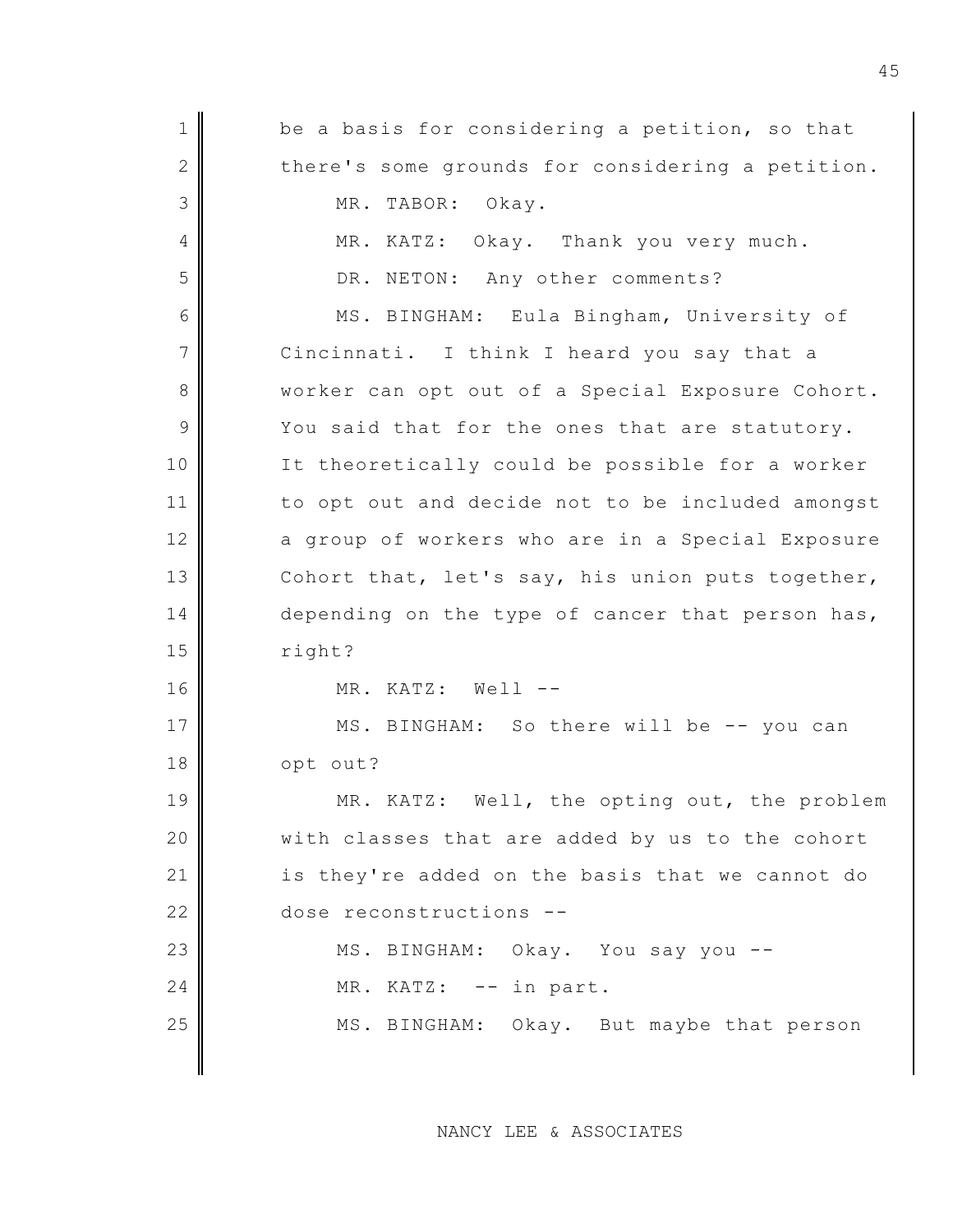| $\mathbf 1$   | be a basis for considering a petition, so that   |
|---------------|--------------------------------------------------|
| $\mathbf{2}$  | there's some grounds for considering a petition. |
| 3             | MR. TABOR: Okay.                                 |
| 4             | MR. KATZ: Okay. Thank you very much.             |
| 5             | DR. NETON: Any other comments?                   |
| 6             | MS. BINGHAM: Eula Bingham, University of         |
| 7             | Cincinnati. I think I heard you say that a       |
| $8\,$         | worker can opt out of a Special Exposure Cohort. |
| $\mathcal{G}$ | You said that for the ones that are statutory.   |
| 10            | It theoretically could be possible for a worker  |
| 11            | to opt out and decide not to be included amongst |
| 12            | a group of workers who are in a Special Exposure |
| 13            | Cohort that, let's say, his union puts together, |
| 14            | depending on the type of cancer that person has, |
| 15            | right?                                           |
| 16            | MR. KATZ: Well --                                |
| 17            | MS. BINGHAM: So there will be -- you can         |
| 18            | opt out?                                         |
| 19            | MR. KATZ: Well, the opting out, the problem      |
| 20            | with classes that are added by us to the cohort  |
| 21            | is they're added on the basis that we cannot do  |
| 22            | dose reconstructions --                          |
| 23            | MS. BINGHAM: Okay. You say you --                |
| 24            | MR. KATZ: -- in part.                            |
| 25            | MS. BINGHAM: Okay. But maybe that person         |
|               |                                                  |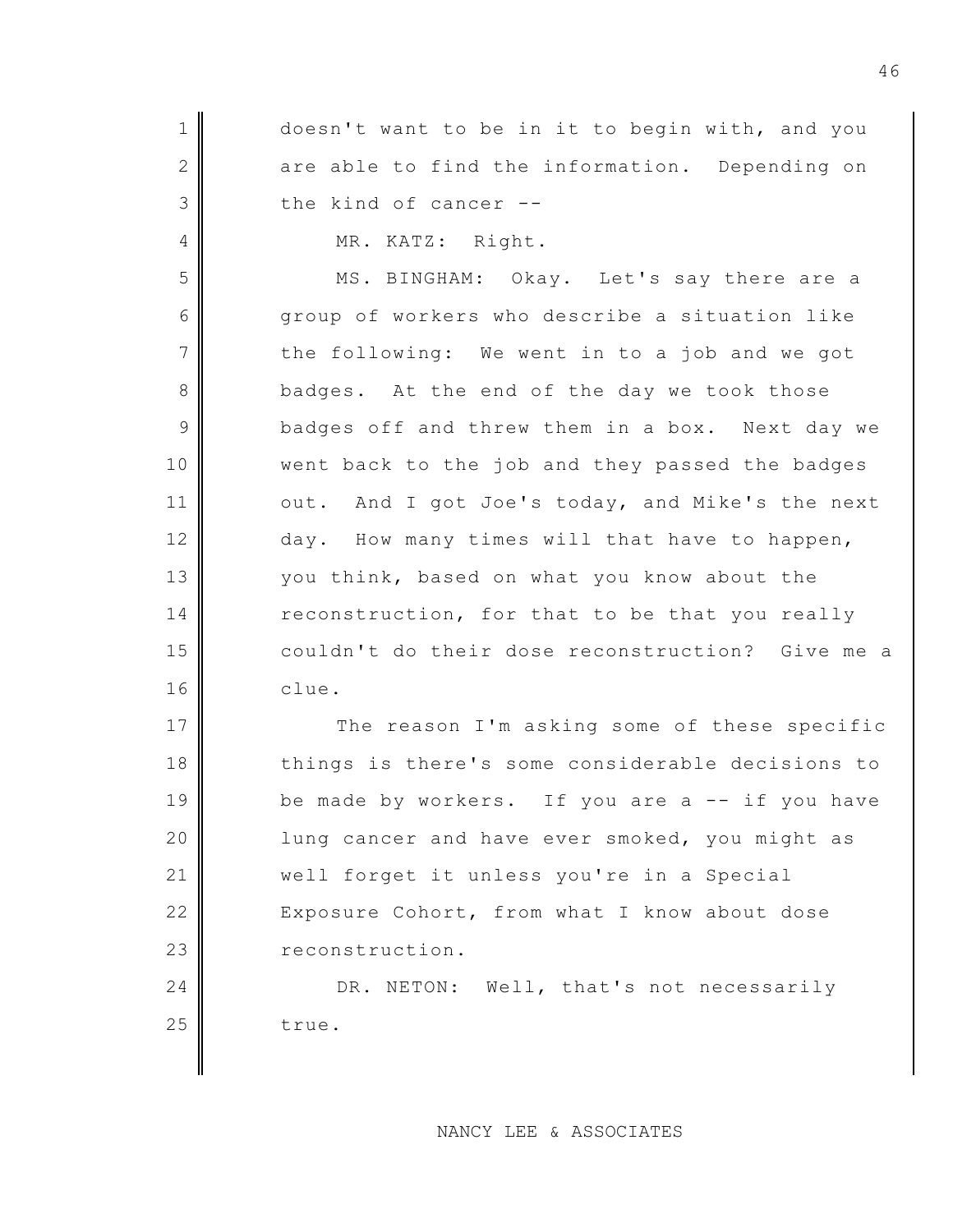$1$  doesn't want to be in it to begin with, and you 2 are able to find the information. Depending on 3 the kind of cancer --

4 MR. KATZ: Right.

5 MS. BINGHAM: Okay. Let's say there are a 6 Geogroup of workers who describe a situation like  $7$  the following: We went in to a job and we got 8 badges. At the end of the day we took those 9 badges off and threw them in a box. Next day we 10 went back to the job and they passed the badges 11 out. And I got Joe's today, and Mike's the next 12 day. How many times will that have to happen, 13 you think, based on what you know about the 14 reconstruction, for that to be that you really 15 couldn't do their dose reconstruction? Give me a 16 clue.

17 The reason I'm asking some of these specific 18 things is there's some considerable decisions to 19 be made by workers. If you are a -- if you have 20 | lung cancer and have ever smoked, you might as 21 | well forget it unless you're in a Special 22 Exposure Cohort, from what I know about dose 23 reconstruction.

24 DR. NETON: Well, that's not necessarily  $25$  true.

## NANCY LEE & ASSOCIATES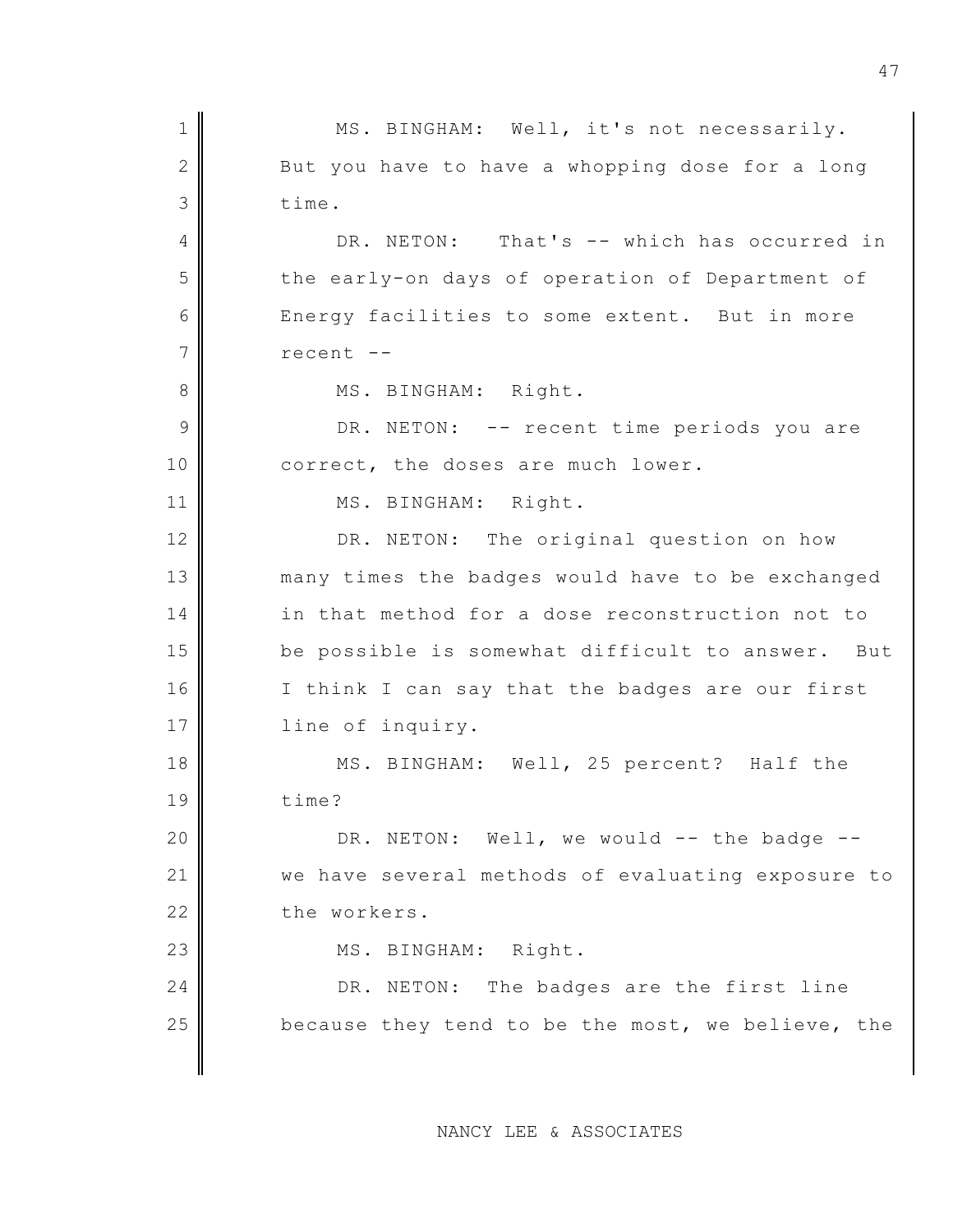1 MS. BINGHAM: Well, it's not necessarily.  $2$  But you have to have a whopping dose for a long 3 time. 4 DR. NETON: That's -- which has occurred in 5 the early-on days of operation of Department of 6 Energy facilities to some extent. But in more 7 recent --8 || MS. BINGHAM: Right. 9 DR. NETON: -- recent time periods you are 10 correct, the doses are much lower. 11 | MS. BINGHAM: Right. 12 DR. NETON: The original question on how 13 many times the badges would have to be exchanged 14 in that method for a dose reconstruction not to 15 be possible is somewhat difficult to answer. But 16 I think I can say that the badges are our first 17 || line of inquiry. 18 MS. BINGHAM: Well, 25 percent? Half the 19 time? 20  $\parallel$  DR. NETON: Well, we would -- the badge --21 we have several methods of evaluating exposure to 22 the workers. 23 || MS. BINGHAM: Right. 24 DR. NETON: The badges are the first line  $25$  because they tend to be the most, we believe, the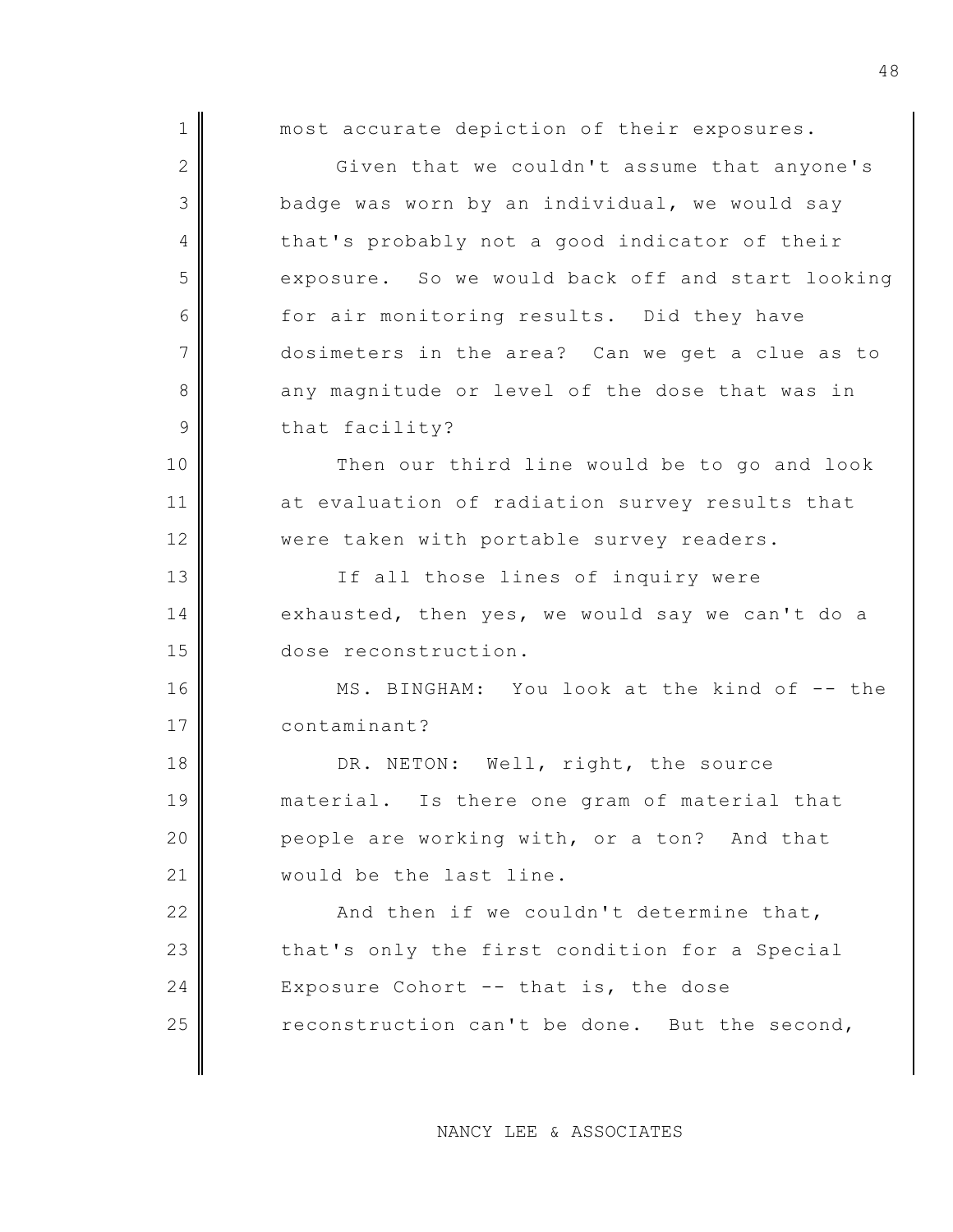| $\mathbf 1$    | most accurate depiction of their exposures.      |
|----------------|--------------------------------------------------|
| $\mathbf{2}$   | Given that we couldn't assume that anyone's      |
| 3              | badge was worn by an individual, we would say    |
| 4              | that's probably not a good indicator of their    |
| 5              | exposure. So we would back off and start looking |
| 6              | for air monitoring results. Did they have        |
| $\overline{7}$ | dosimeters in the area? Can we get a clue as to  |
| 8              | any magnitude or level of the dose that was in   |
| 9              | that facility?                                   |
| 10             | Then our third line would be to go and look      |
| 11             | at evaluation of radiation survey results that   |
| 12             | were taken with portable survey readers.         |
| 13             | If all those lines of inquiry were               |
| 14             | exhausted, then yes, we would say we can't do a  |
| 15             | dose reconstruction.                             |
| 16             | MS. BINGHAM: You look at the kind of -- the      |
| 17             | contaminant?                                     |
| 18             | DR. NETON: Well, right, the source               |
| 19             | material. Is there one gram of material that     |
| 20             | people are working with, or a ton? And that      |
| 21             | would be the last line.                          |
| 22             | And then if we couldn't determine that,          |
| 23             | that's only the first condition for a Special    |
| 24             | Exposure Cohort $--$ that is, the dose           |
| 25             | reconstruction can't be done. But the second,    |
|                |                                                  |

NANCY LEE & ASSOCIATES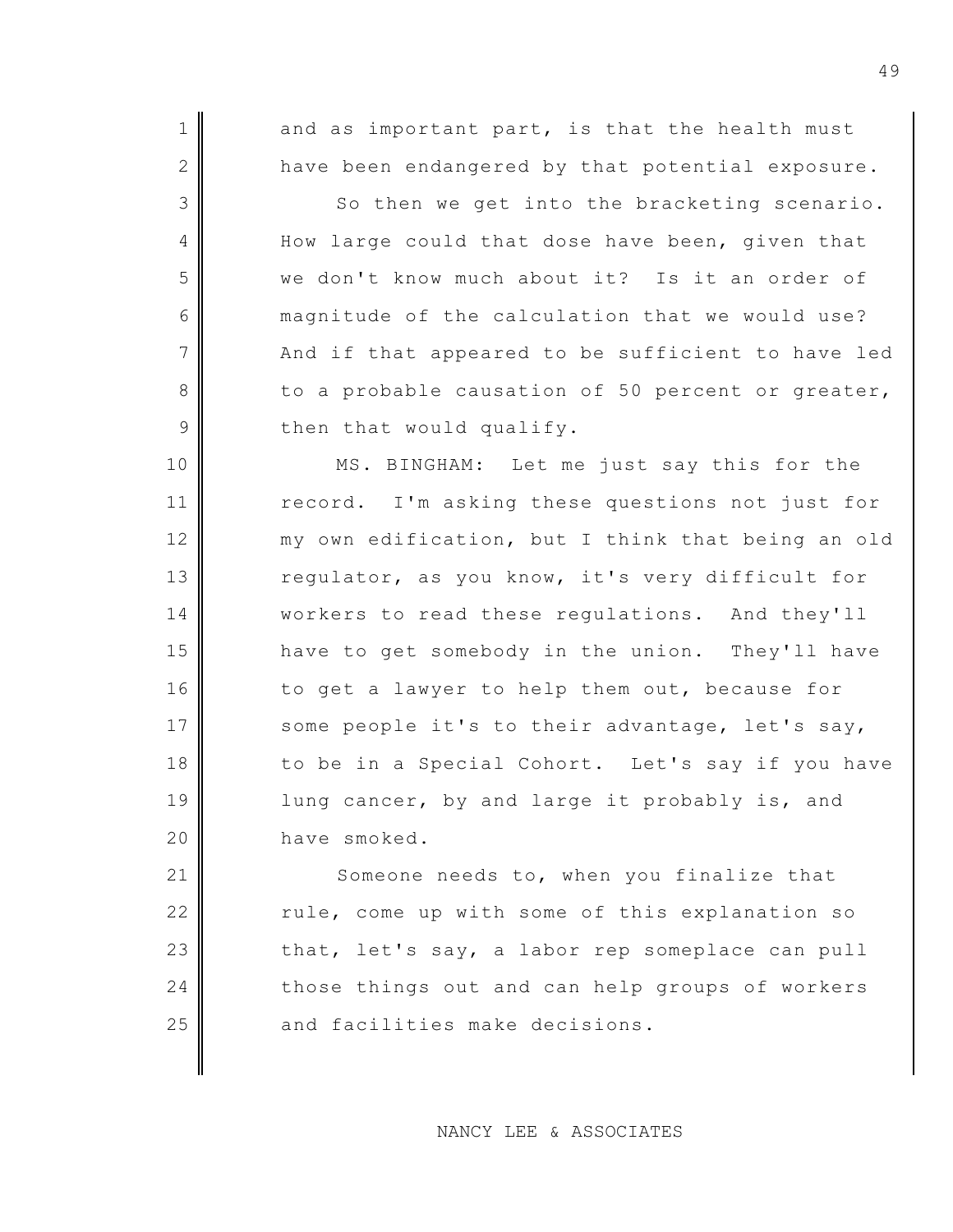$1$  and as important part, is that the health must 2 have been endangered by that potential exposure.

3 So then we get into the bracketing scenario. 4 How large could that dose have been, given that 5 we don't know much about it? Is it an order of 6 magnitude of the calculation that we would use?  $7$   $\parallel$  And if that appeared to be sufficient to have led 8 to a probable causation of 50 percent or greater,  $9$  then that would qualify.

10 MS. BINGHAM: Let me just say this for the 11 record. I'm asking these questions not just for 12 my own edification, but I think that being an old 13 regulator, as you know, it's very difficult for 14 | workers to read these regulations. And they'll 15 have to get somebody in the union. They'll have 16 to get a lawyer to help them out, because for 17 some people it's to their advantage, let's say, 18 to be in a Special Cohort. Let's say if you have 19 || lung cancer, by and large it probably is, and 20 have smoked.

21 Someone needs to, when you finalize that 22 rule, come up with some of this explanation so 23 that, let's say, a labor rep someplace can pull 24 those things out and can help groups of workers  $25$  and facilities make decisions.

NANCY LEE & ASSOCIATES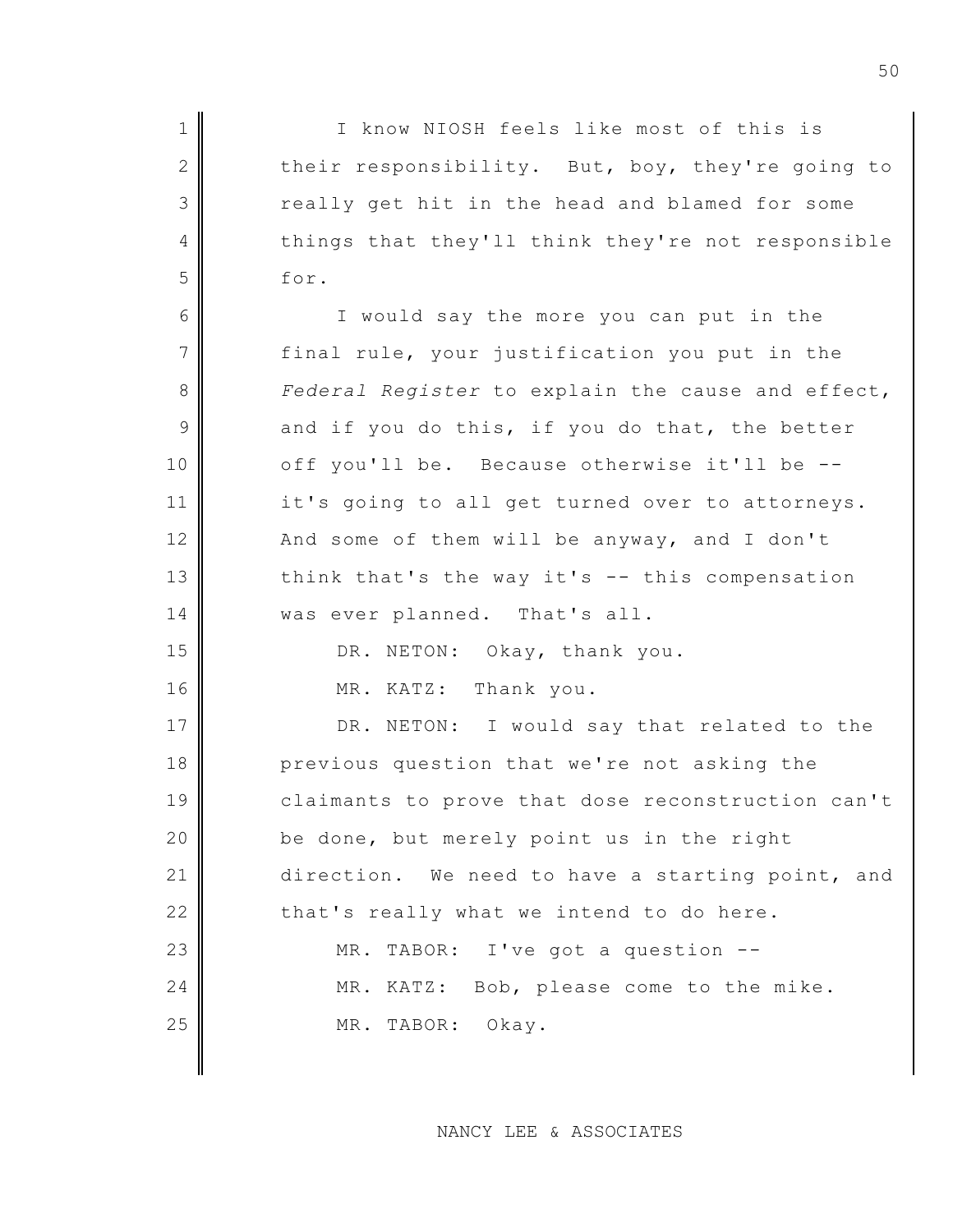1 I know NIOSH feels like most of this is 2 their responsibility. But, boy, they're going to 3 really get hit in the head and blamed for some 4 things that they'll think they're not responsible  $5 \parallel$  for. 6 I would say the more you can put in the  $7$  final rule, your justification you put in the 8 *Federal Register* to explain the cause and effect,  $9$  and if you do this, if you do that, the better 10 off you'll be. Because otherwise it'll be --11 it's going to all get turned over to attorneys. 12  $\parallel$  And some of them will be anyway, and I don't 13 think that's the way it's  $-$  this compensation 14 | was ever planned. That's all. 15 DR. NETON: Okay, thank you. 16 MR. KATZ: Thank you. 17 DR. NETON: I would say that related to the 18 previous question that we're not asking the 19 || claimants to prove that dose reconstruction can't 20 be done, but merely point us in the right 21 direction. We need to have a starting point, and  $22$   $\parallel$  that's really what we intend to do here. 23 MR. TABOR: I've got a question --24 MR. KATZ: Bob, please come to the mike. 25 MR. TABOR: Okay.

NANCY LEE & ASSOCIATES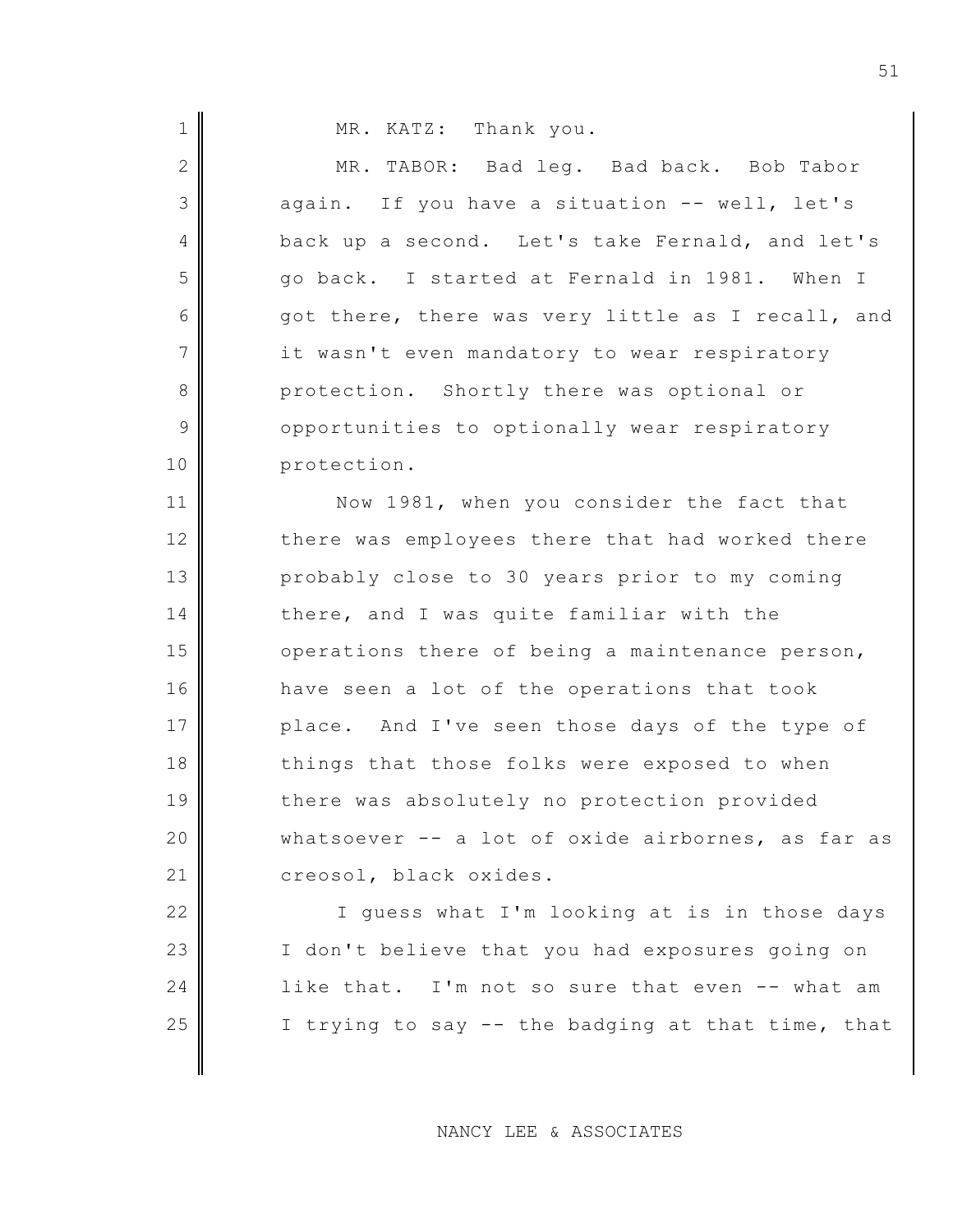| $\mathbf 1$     | MR. KATZ: Thank you.                              |
|-----------------|---------------------------------------------------|
| $\mathbf{2}$    | MR. TABOR: Bad leg. Bad back. Bob Tabor           |
| 3               | again. If you have a situation -- well, let's     |
| 4               | back up a second. Let's take Fernald, and let's   |
| 5               | go back. I started at Fernald in 1981. When I     |
| 6               | got there, there was very little as I recall, and |
| $7\phantom{.0}$ | it wasn't even mandatory to wear respiratory      |
| $8\,$           | protection. Shortly there was optional or         |
| $\mathcal{G}$   | opportunities to optionally wear respiratory      |
| 10              | protection.                                       |
| 11              | Now 1981, when you consider the fact that         |
| 12              | there was employees there that had worked there   |
| 13              | probably close to 30 years prior to my coming     |
| 14              | there, and I was quite familiar with the          |
| 15              | operations there of being a maintenance person,   |
| 16              | have seen a lot of the operations that took       |
| 17              | place. And I've seen those days of the type of    |
| 18              | things that those folks were exposed to when      |
| 19              | there was absolutely no protection provided       |
| 20              | whatsoever -- a lot of oxide airbornes, as far as |
| 21              | creosol, black oxides.                            |
| 22              | I guess what I'm looking at is in those days      |

NANCY LEE & ASSOCIATES

23 | I don't believe that you had exposures going on

24 like that. I'm not so sure that even  $--$  what am

 $\parallel$  I trying to say -- the badging at that time, that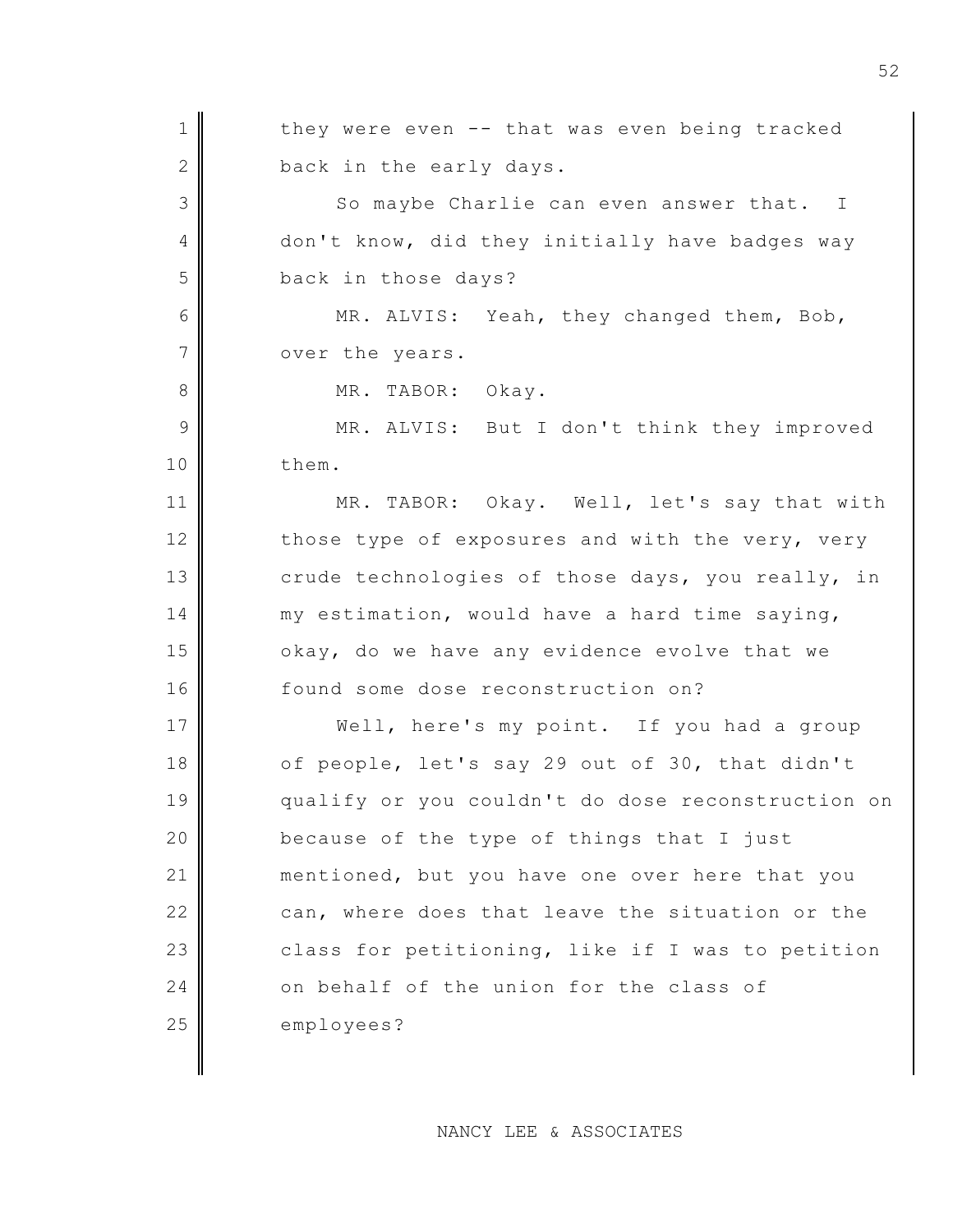1 1 they were even -- that was even being tracked  $2$  back in the early days. 3 So maybe Charlie can even answer that. I 4 don't know, did they initially have badges way 5 back in those days? 6 MR. ALVIS: Yeah, they changed them, Bob, 7 over the years. 8 MR. TABOR: Okay. 9 MR. ALVIS: But I don't think they improved 10 them. 11 MR. TABOR: Okay. Well, let's say that with 12 those type of exposures and with the very, very 13 crude technologies of those days, you really, in 14 my estimation, would have a hard time saying,  $15$  okay, do we have any evidence evolve that we 16 found some dose reconstruction on? 17 Well, here's my point. If you had a group 18 of people, let's say 29 out of 30, that didn't 19 qualify or you couldn't do dose reconstruction on 20 **because of the type of things that I just** 21 mentioned, but you have one over here that you 22 can, where does that leave the situation or the  $23$  class for petitioning, like if I was to petition 24 on behalf of the union for the class of 25 employees?

NANCY LEE & ASSOCIATES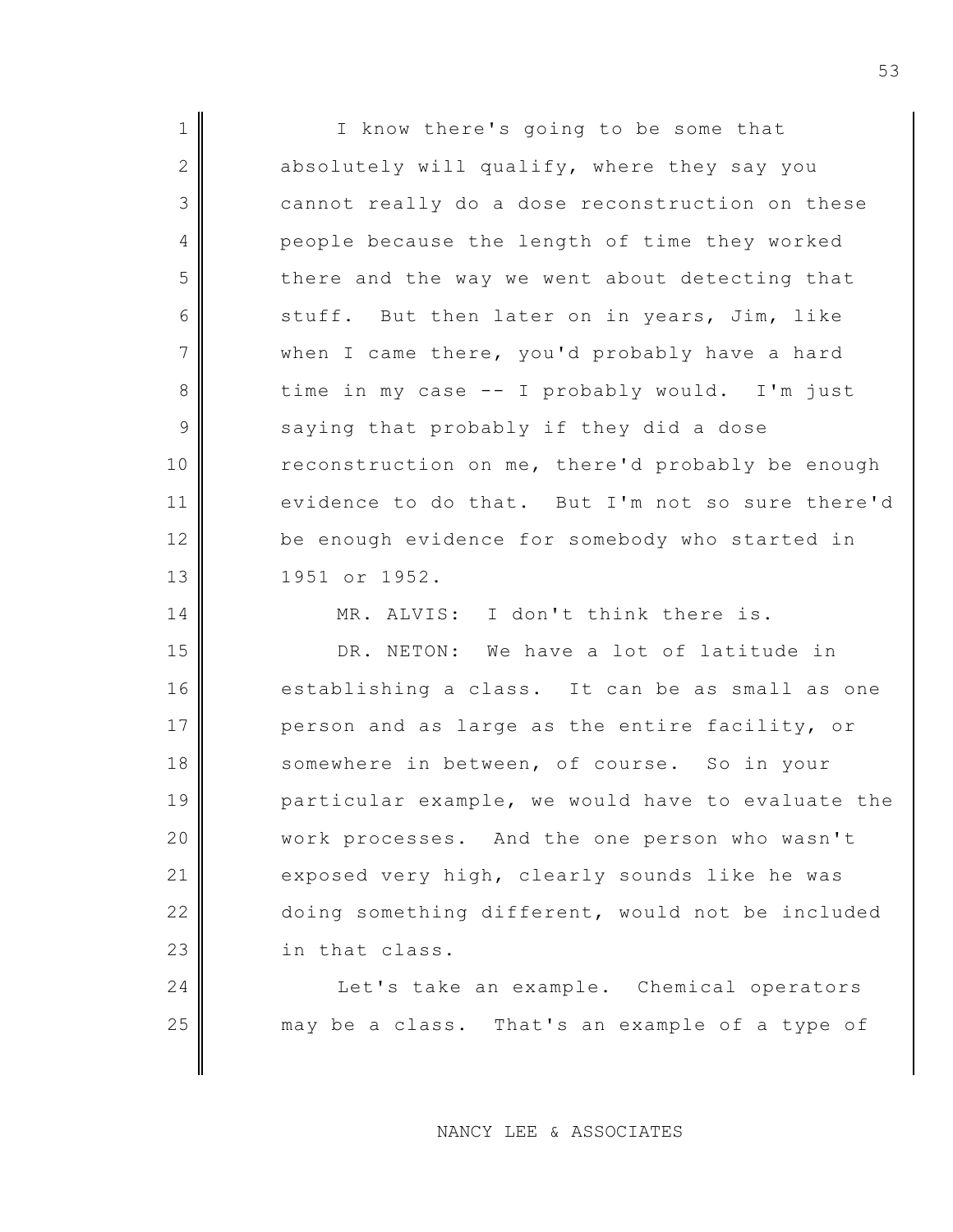| $\mathbf 1$    | I know there's going to be some that              |
|----------------|---------------------------------------------------|
| $\mathbf{2}$   | absolutely will qualify, where they say you       |
| $\mathfrak{Z}$ | cannot really do a dose reconstruction on these   |
| 4              | people because the length of time they worked     |
| 5              | there and the way we went about detecting that    |
| 6              | stuff. But then later on in years, Jim, like      |
| $\overline{7}$ | when I came there, you'd probably have a hard     |
| $8\,$          | time in my case -- I probably would. I'm just     |
| $\mathcal{G}$  | saying that probably if they did a dose           |
| 10             | reconstruction on me, there'd probably be enough  |
| 11             | evidence to do that. But I'm not so sure there'd  |
| 12             | be enough evidence for somebody who started in    |
| 13             | 1951 or 1952.                                     |
|                |                                                   |
| 14             | MR. ALVIS: I don't think there is.                |
| 15             | DR. NETON: We have a lot of latitude in           |
| 16             | establishing a class. It can be as small as one   |
| 17             | person and as large as the entire facility, or    |
| 18             | somewhere in between, of course. So in your       |
| 19             | particular example, we would have to evaluate the |
| 20             | work processes. And the one person who wasn't     |
| 21             | exposed very high, clearly sounds like he was     |
| 22             | doing something different, would not be included  |
| 23             | in that class.                                    |
| 24             | Let's take an example. Chemical operators         |
| 25             | may be a class. That's an example of a type of    |

NANCY LEE & ASSOCIATES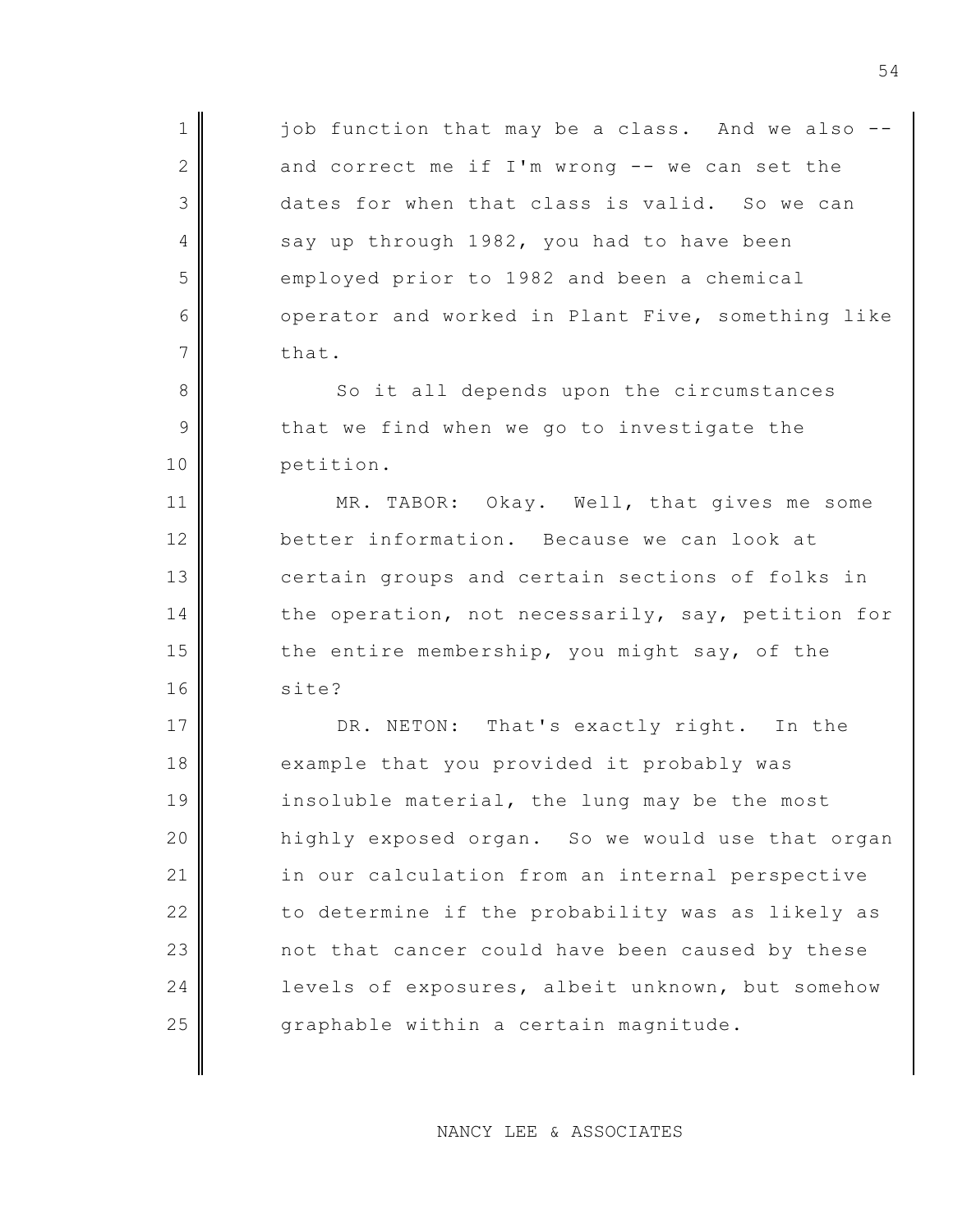$1$  job function that may be a class. And we also 2 and correct me if I'm wrong  $-$ - we can set the 3 dates for when that class is valid. So we can 4 say up through 1982, you had to have been 5 employed prior to 1982 and been a chemical 6 operator and worked in Plant Five, something like 7 that.

8 So it all depends upon the circumstances  $9$  that we find when we go to investigate the 10 petition.

11 MR. TABOR: Okay. Well, that gives me some 12 better information. Because we can look at 13 certain groups and certain sections of folks in 14 the operation, not necessarily, say, petition for 15  $\parallel$  the entire membership, you might say, of the 16 site?

17 DR. NETON: That's exactly right. In the 18 example that you provided it probably was 19 insoluble material, the lung may be the most 20 highly exposed organ. So we would use that organ 21 in our calculation from an internal perspective 22 to determine if the probability was as likely as 23 not that cancer could have been caused by these 24 evels of exposures, albeit unknown, but somehow 25  $\parallel$  graphable within a certain magnitude.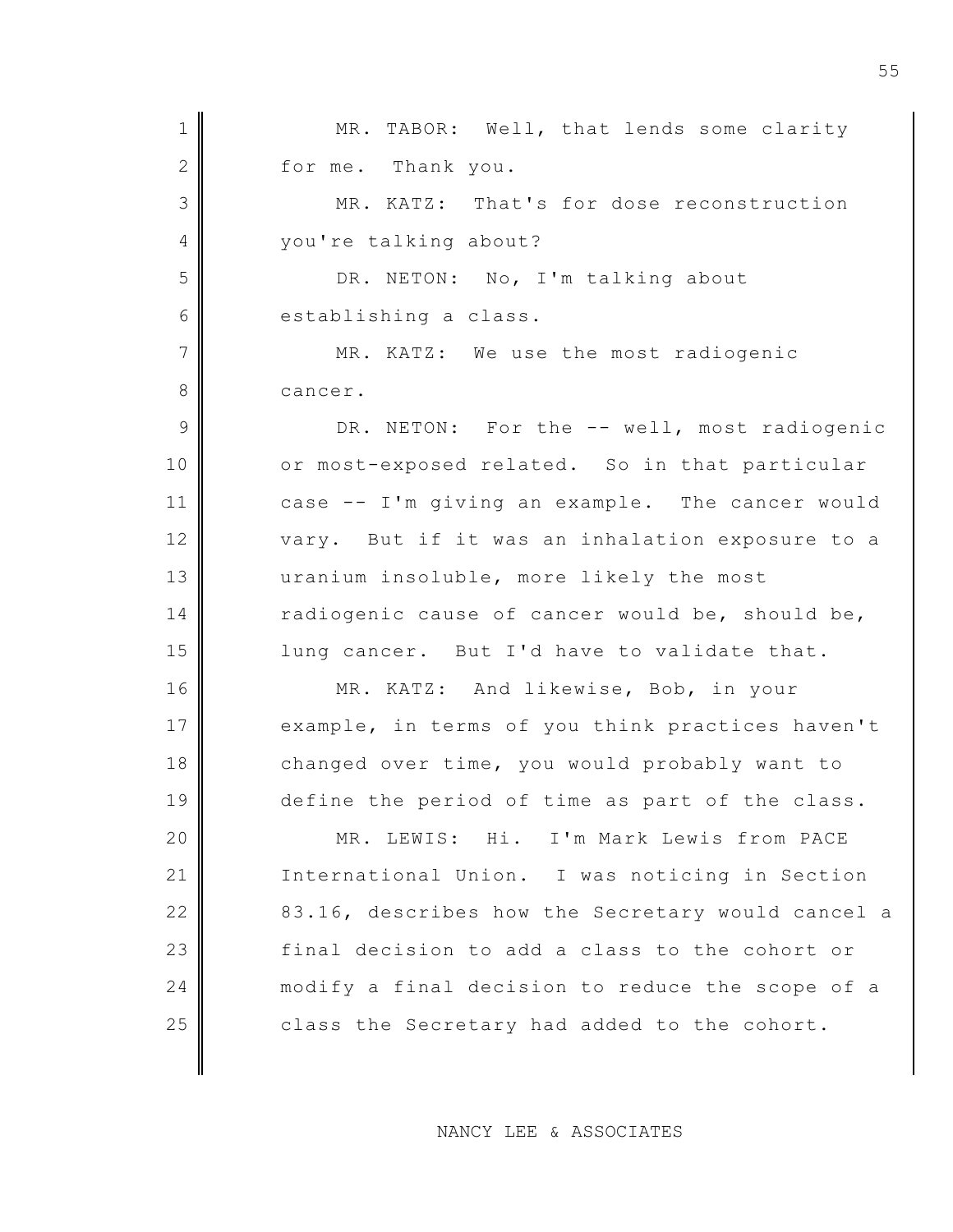1 MR. TABOR: Well, that lends some clarity 2 for me. Thank you. 3 MR. KATZ: That's for dose reconstruction 4 vou're talking about? 5 DR. NETON: No, I'm talking about 6 establishing a class. 7 MR. KATZ: We use the most radiogenic 8 cancer. 9 DR. NETON: For the -- well, most radiogenic 10 or most-exposed related. So in that particular 11 case -- I'm giving an example. The cancer would 12 vary. But if it was an inhalation exposure to a 13 uranium insoluble, more likely the most 14 radiogenic cause of cancer would be, should be, 15 | lung cancer. But I'd have to validate that. 16 MR. KATZ: And likewise, Bob, in your 17 example, in terms of you think practices haven't 18 changed over time, you would probably want to 19 define the period of time as part of the class. 20 MR. LEWIS: Hi. I'm Mark Lewis from PACE 21 International Union. I was noticing in Section 22 83.16, describes how the Secretary would cancel a 23 final decision to add a class to the cohort or 24 modify a final decision to reduce the scope of a  $25$  class the Secretary had added to the cohort.

NANCY LEE & ASSOCIATES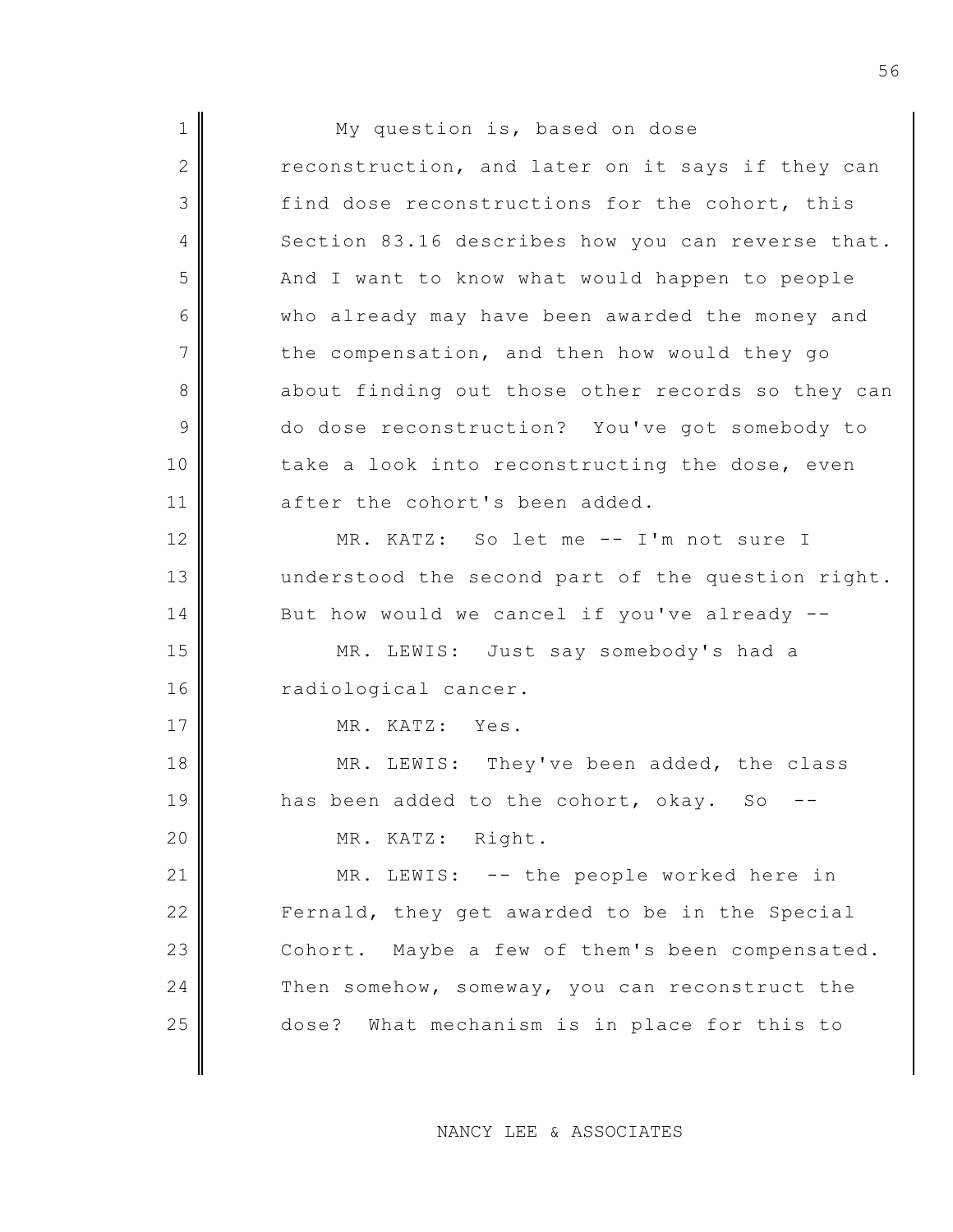1 || My question is, based on dose  $2$  reconstruction, and later on it says if they can 3 find dose reconstructions for the cohort, this 4 Section 83.16 describes how you can reverse that. 5 And I want to know what would happen to people 6 who already may have been awarded the money and  $7$  the compensation, and then how would they go 8 about finding out those other records so they can 9 do dose reconstruction? You've got somebody to 10 take a look into reconstructing the dose, even 11 after the cohort's been added. 12 MR. KATZ: So let me -- I'm not sure I 13 understood the second part of the question right. 14 But how would we cancel if you've already --15 MR. LEWIS: Just say somebody's had a 16 radiological cancer. 17 MR. KATZ: Yes. 18 MR. LEWIS: They've been added, the class  $19$  has been added to the cohort, okay. So 20 MR. KATZ: Right. 21 MR. LEWIS: -- the people worked here in 22 Fernald, they get awarded to be in the Special 23 Cohort. Maybe a few of them's been compensated. 24 Then somehow, someway, you can reconstruct the 25 dose? What mechanism is in place for this to

NANCY LEE & ASSOCIATES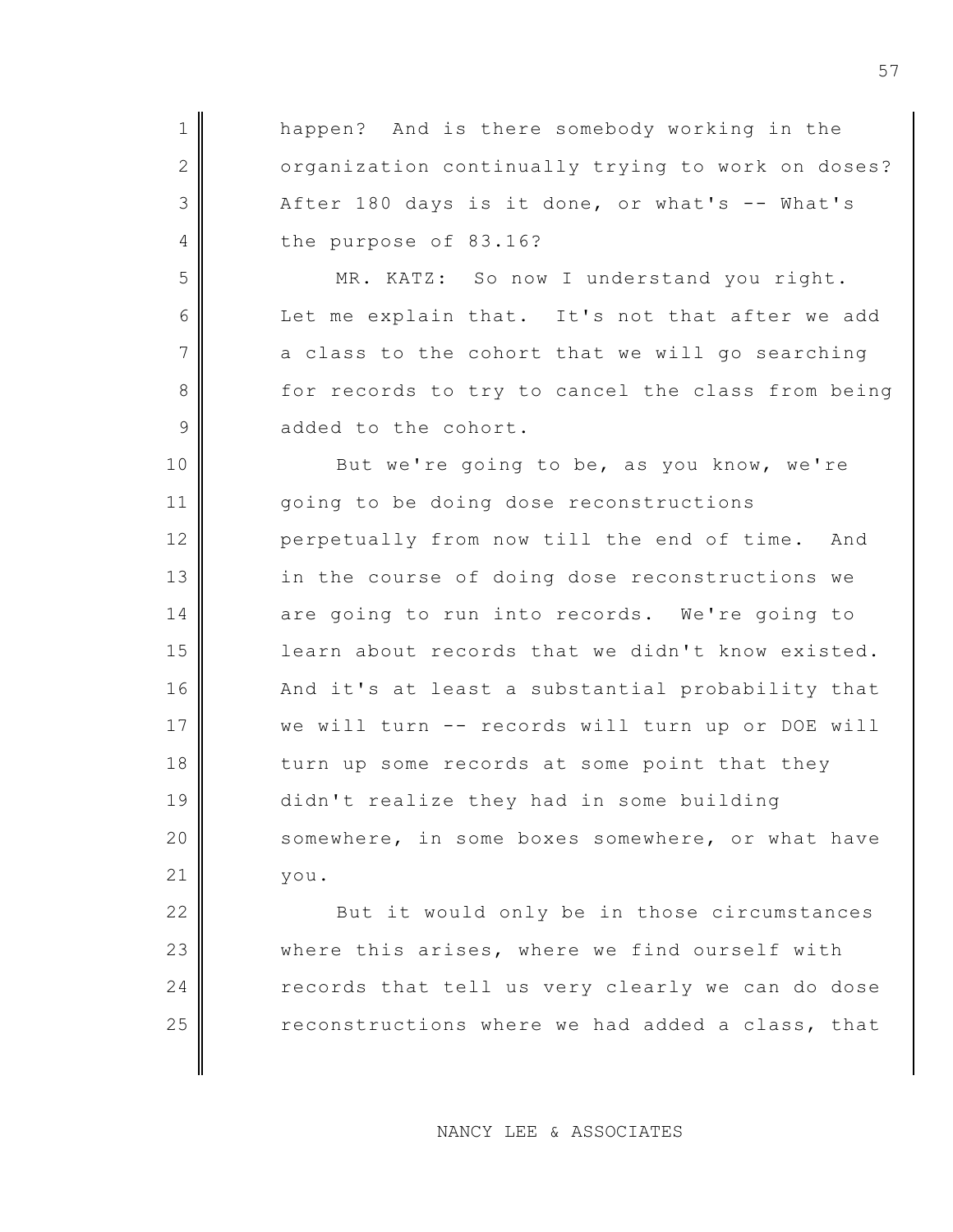| happen? And is there somebody working in the      |
|---------------------------------------------------|
| organization continually trying to work on doses? |
| After 180 days is it done, or what's -- What's    |
| the purpose of 83.16?                             |
| MR. KATZ: So now I understand you right.          |
| Let me explain that. It's not that after we add   |
| a class to the cohort that we will go searching   |
| for records to try to cancel the class from being |
| added to the cohort.                              |
| But we're going to be, as you know, we're         |
| going to be doing dose reconstructions            |
| perpetually from now till the end of time. And    |
| in the course of doing dose reconstructions we    |
| are going to run into records. We're going to     |
| learn about records that we didn't know existed.  |
| And it's at least a substantial probability that  |
| we will turn -- records will turn up or DOE will  |
| turn up some records at some point that they      |
| didn't realize they had in some building          |
| somewhere, in some boxes somewhere, or what have  |
| you.                                              |
| But it would only be in those circumstances       |
|                                                   |

23 where this arises, where we find ourself with 24 records that tell us very clearly we can do dose  $\parallel$  reconstructions where we had added a class, that

NANCY LEE & ASSOCIATES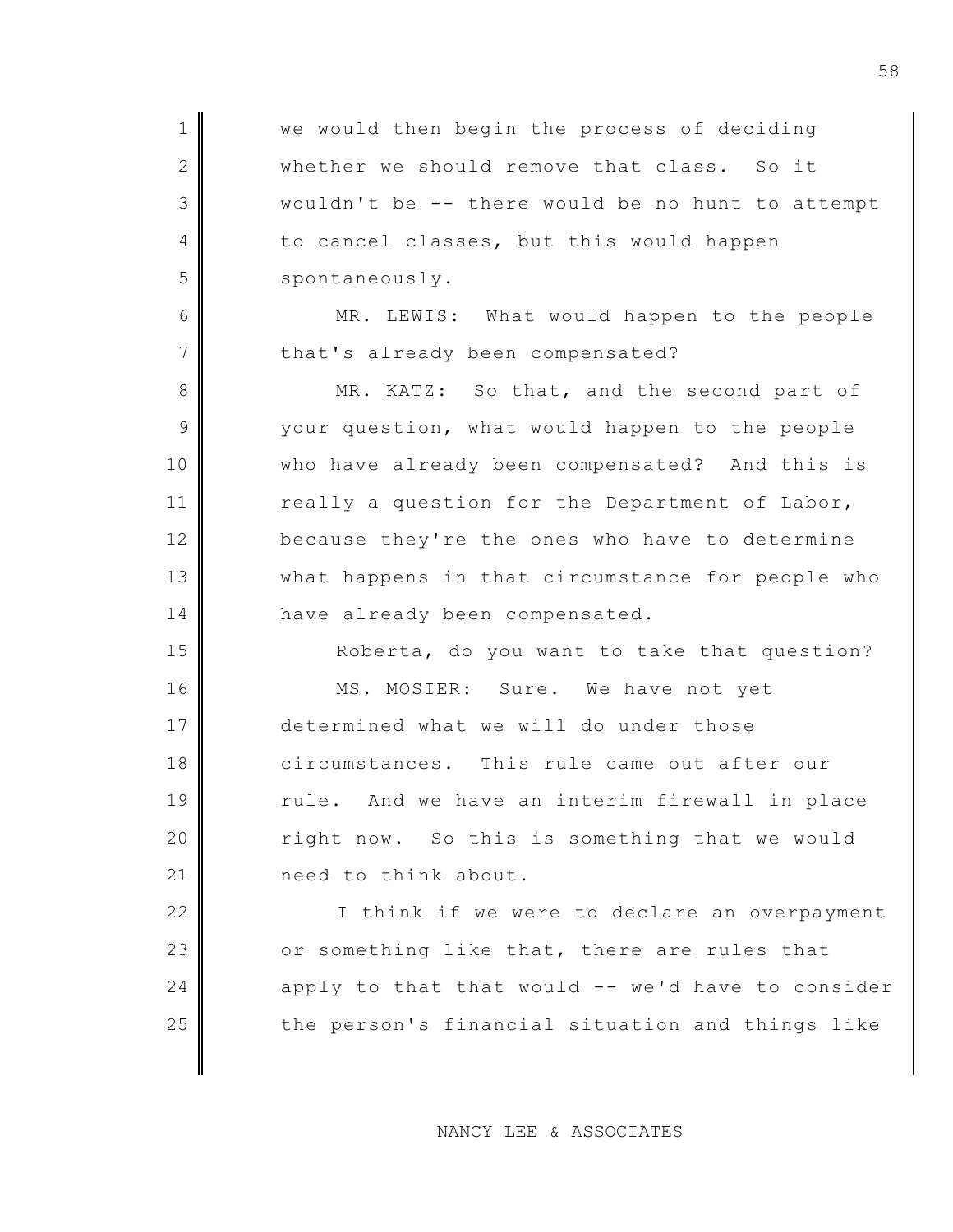1 We would then begin the process of deciding 2 whether we should remove that class. So it 3 wouldn't be -- there would be no hunt to attempt 4 to cancel classes, but this would happen 5 spontaneously. 6 MR. LEWIS: What would happen to the people 7 that's already been compensated? 8 MR. KATZ: So that, and the second part of 9 your question, what would happen to the people 10 | who have already been compensated? And this is 11 really a question for the Department of Labor, 12 because they're the ones who have to determine 13 what happens in that circumstance for people who 14 have already been compensated. 15 Roberta, do you want to take that question? 16 MS. MOSIER: Sure. We have not yet 17 determined what we will do under those 18 circumstances. This rule came out after our 19 rule. And we have an interim firewall in place 20 | right now. So this is something that we would 21 | meed to think about. 22 | I think if we were to declare an overpayment 23  $\parallel$  or something like that, there are rules that  $24$  apply to that that would -- we'd have to consider 25 the person's financial situation and things like